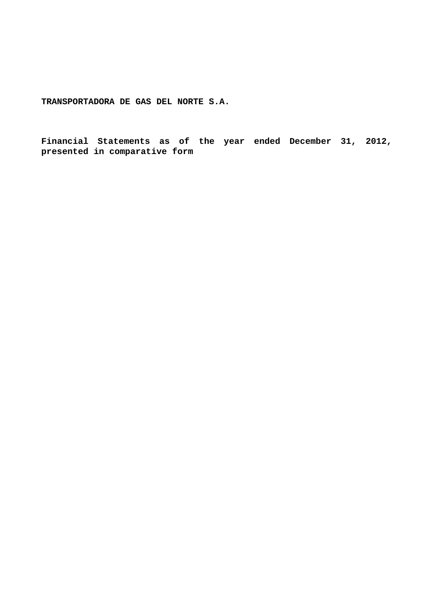**Financial Statements as of the year ended December 31, 2012, presented in comparative form**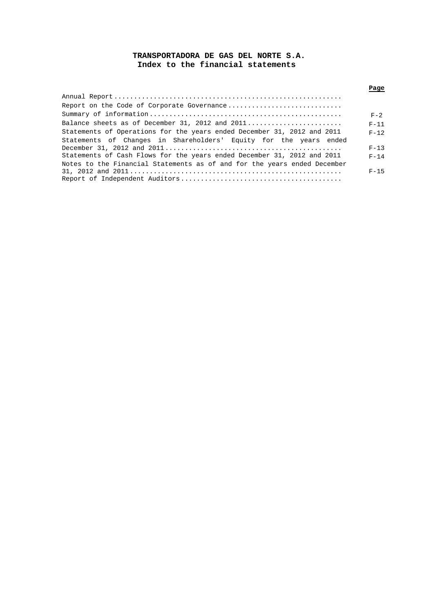# **TRANSPORTADORA DE GAS DEL NORTE S.A. Index to the financial statements**

|                                                                          | Page     |
|--------------------------------------------------------------------------|----------|
|                                                                          |          |
| Report on the Code of Corporate Governance                               |          |
|                                                                          | $F - 2$  |
| Balance sheets as of December 31, 2012 and $2011$                        | $F - 11$ |
| Statements of Operations for the years ended December 31, 2012 and 2011  | $F - 12$ |
| Statements of Changes in Shareholders' Equity for the years ended        |          |
|                                                                          | $F-13$   |
| Statements of Cash Flows for the years ended December 31, 2012 and 2011  | $F - 14$ |
| Notes to the Financial Statements as of and for the years ended December |          |
|                                                                          | $F-15$   |
|                                                                          |          |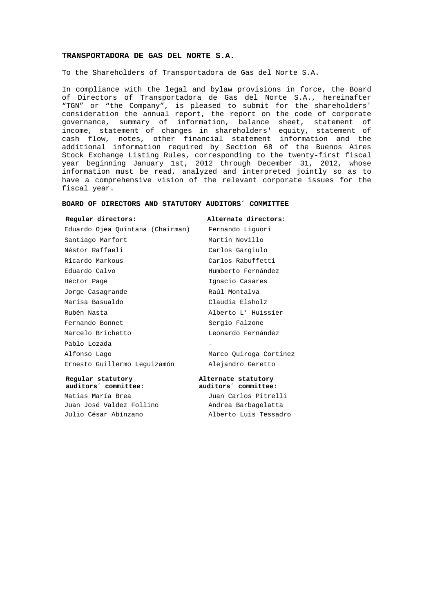To the Shareholders of Transportadora de Gas del Norte S.A.

In compliance with the legal and bylaw provisions in force, the Board of Directors of Transportadora de Gas del Norte S.A., hereinafter "TGN" or "the Company", is pleased to submit for the shareholders' consideration the annual report, the report on the code of corporate governance, summary of information, balance sheet, statement of income, statement of changes in shareholders' equity, statement of cash flow, notes, other financial statement information and the additional information required by Section 68 of the Buenos Aires Stock Exchange Listing Rules, corresponding to the twenty-first fiscal year beginning January 1st, 2012 through December 31, 2012, whose information must be read, analyzed and interpreted jointly so as to have a comprehensive vision of the relevant corporate issues for the fiscal year.

### **BOARD OF DIRECTORS AND STATUTORY AUDITORS´ COMMITTEE**

#### **Regular directors: Alternate directors:**

Eduardo Ojea Quintana (Chairman) Fernando Liguori Santiago Marfort Martín Novillo Néstor Raffaeli **Carlos Gargiulo** Ricardo Markous Carlos Rabuffetti Eduardo Calvo Humberto Fernández Héctor Page **Ignacio** Casares Jorge Casagrande **Raúl Montalva** Marisa Basualdo Claudia Elsholz Rubén Nasta Alberto L' Huissier Fernando Bonnet Sergio Falzone Marcelo Brichetto Leonardo Fernández Pablo Lozada Alfonso Lago Marco Quiroga Cortínez Ernesto Guillermo Leguizamón Alejandro Geretto

**Regular statutory <br>auditors** committee:<br>auditors committee:<br>auditors committee:  **auditors´ committee**: **auditors´ committee:** Matías María Brea **1988** Juan Carlos Pitrelli Juan José Valdez Follino (andrea Barbagelatta

Julio César Abínzano Alberto Luis Tessadro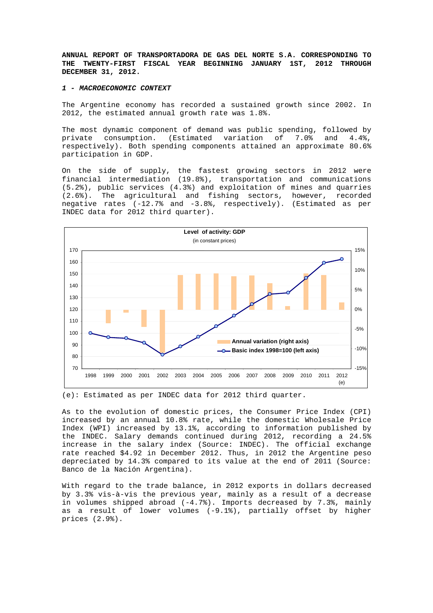**ANNUAL REPORT OF TRANSPORTADORA DE GAS DEL NORTE S.A. CORRESPONDING TO THE TWENTY-FIRST FISCAL YEAR BEGINNING JANUARY 1ST, 2012 THROUGH DECEMBER 31, 2012.** 

### *1 - MACROECONOMIC CONTEXT*

The Argentine economy has recorded a sustained growth since 2002. In 2012, the estimated annual growth rate was 1.8%.

The most dynamic component of demand was public spending, followed by private consumption. (Estimated variation of 7.0% and 4.4%, respectively). Both spending components attained an approximate 80.6% participation in GDP.

On the side of supply, the fastest growing sectors in 2012 were financial intermediation (19.8%), transportation and communications (5.2%), public services (4.3%) and exploitation of mines and quarries (2.6%). The agricultural and fishing sectors, however, recorded negative rates (-12.7% and -3.8%, respectively). (Estimated as per INDEC data for 2012 third quarter).



(e): Estimated as per INDEC data for 2012 third quarter.

As to the evolution of domestic prices, the Consumer Price Index (CPI) increased by an annual 10.8% rate, while the domestic Wholesale Price Index (WPI) increased by 13.1%, according to information published by the INDEC. Salary demands continued during 2012, recording a 24.5% increase in the salary index (Source: INDEC). The official exchange rate reached \$4.92 in December 2012. Thus, in 2012 the Argentine peso depreciated by 14.3% compared to its value at the end of 2011 (Source: Banco de la Nación Argentina).

With regard to the trade balance, in 2012 exports in dollars decreased by 3.3% vis-à-vis the previous year, mainly as a result of a decrease in volumes shipped abroad (-4.7%). Imports decreased by 7.3%, mainly as a result of lower volumes (-9.1%), partially offset by higher prices (2.9%).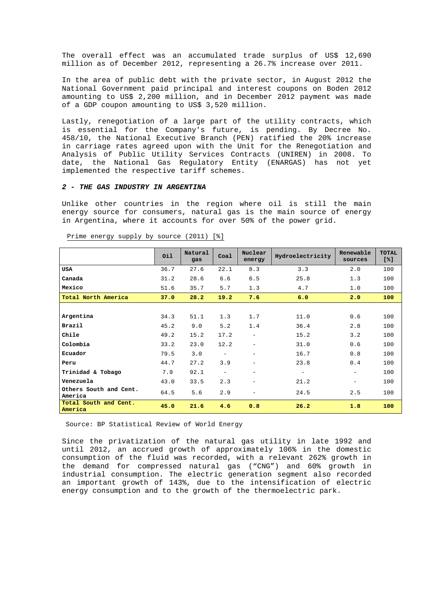The overall effect was an accumulated trade surplus of US\$ 12,690 million as of December 2012, representing a 26.7% increase over 2011.

In the area of public debt with the private sector, in August 2012 the National Government paid principal and interest coupons on Boden 2012 amounting to US\$ 2,200 million, and in December 2012 payment was made of a GDP coupon amounting to US\$ 3,520 million.

Lastly, renegotiation of a large part of the utility contracts, which is essential for the Company's future, is pending. By Decree No. 458/10, the National Executive Branch (PEN) ratified the 20% increase in carriage rates agreed upon with the Unit for the Renegotiation and Analysis of Public Utility Services Contracts (UNIREN) in 2008. To date, the National Gas Regulatory Entity (ENARGAS) has not yet implemented the respective tariff schemes.

## *2 - THE GAS INDUSTRY IN ARGENTINA*

Unlike other countries in the region where oil is still the main energy source for consumers, natural gas is the main source of energy in Argentina, where it accounts for over 50% of the power grid.

|                                   | Oil  | Natural<br>gas | Coal                     | Nuclear<br>energy        | Hydroelectricity         | Renewable<br>sources     | <b>TOTAL</b><br>[8] |
|-----------------------------------|------|----------------|--------------------------|--------------------------|--------------------------|--------------------------|---------------------|
| <b>USA</b>                        | 36.7 | 27.6           | 22.1                     | 8.3                      | 3.3                      | 2.0                      | 100                 |
| Canada                            | 31.2 | 28.6           | 6.6                      | 6.5                      | 25.8                     | 1.3                      | 100                 |
| Mexico                            | 51.6 | 35.7           | 5.7                      | 1.3                      | 4.7                      | 1.0                      | 100                 |
| Total North America               | 37.0 | 28.2           | 19.2                     | 7.6                      | 6.0                      | 2.0                      | 100                 |
|                                   |      |                |                          |                          |                          |                          |                     |
| Argentina                         | 34.3 | 51.1           | 1.3                      | 1.7                      | 11.0                     | 0.6                      | 100                 |
| Brazil                            | 45.2 | 9.0            | 5.2                      | 1.4                      | 36.4                     | 2.8                      | 100                 |
| Chile                             | 49.2 | 15.2           | 17.2                     | $\overline{\phantom{a}}$ | 15.2                     | 3.2                      | 100                 |
| Colombia                          | 33.2 | 23.0           | 12.2                     | $\overline{\phantom{m}}$ | 31.0                     | 0.6                      | 100                 |
| Ecuador                           | 79.5 | 3.0            | $\overline{\phantom{a}}$ | $\overline{\phantom{m}}$ | 16.7                     | 0.8                      | 100                 |
| Peru                              | 44.7 | 27.2           | 3.9                      | -                        | 23.8                     | 0.4                      | 100                 |
| Trinidad & Tobago                 | 7.9  | 92.1           | $\overline{\phantom{m}}$ | $\overline{\phantom{m}}$ | $\overline{\phantom{m}}$ | $\overline{\phantom{m}}$ | 100                 |
| Venezuela                         | 43.0 | 33.5           | 2.3                      | $\overline{\phantom{m}}$ | 21.2                     | $\overline{\phantom{m}}$ | 100                 |
| Others South and Cent.<br>America | 64.5 | 5.6            | 2.9                      | $\overline{\phantom{m}}$ | 24.5                     | 2.5                      | 100                 |
| Total South and Cent.<br>America  | 45.0 | 21.6           | 4.6                      | 0.8                      | 26.2                     | 1.8                      | 100                 |

Prime energy supply by source (2011) [%]

Source: BP Statistical Review of World Energy

Since the privatization of the natural gas utility in late 1992 and until 2012, an accrued growth of approximately 106% in the domestic consumption of the fluid was recorded, with a relevant 262% growth in the demand for compressed natural gas ("CNG") and 60% growth in industrial consumption. The electric generation segment also recorded an important growth of 143%, due to the intensification of electric energy consumption and to the growth of the thermoelectric park.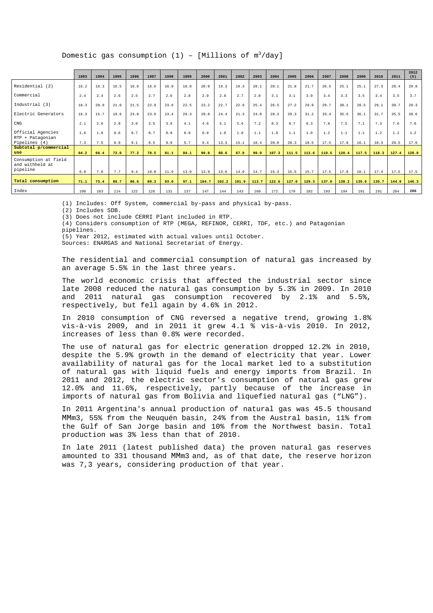Domestic gas consumption (1) - [Millions of  $\mathfrak{m}^3/\text{day}$ ]

|                                                     | 1993 | 1994 | 1995 | 1996 | 1997 | 1998 | 1999 | 2000  | 2001  | 2002  | 2003  | 2004  | 2005  | 2006  | 2007  | 2008  | 2009  | 2010  | 2011  | 2012<br>(5) |
|-----------------------------------------------------|------|------|------|------|------|------|------|-------|-------|-------|-------|-------|-------|-------|-------|-------|-------|-------|-------|-------------|
| Residential (2)                                     | 16.2 | 16.3 | 16.5 | 16.6 | 16.6 | 16.9 | 18.8 | 20.0  | 19.3  | 19.3  | 20.1  | 20.1  | 21.8  | 21.7  | 26.5  | 25.1  | 25.1  | 27.3  | 28.4  | 29.8        |
| Commercial                                          | 2.4  | 2.4  | 2.6  | 2.5  | 2.7  | 2.6  | 2.8  | 2.9   | 2.8   | 2.7   | 2.8   | 3.1   | 3.1   | 3.0   | 3.4   | 3.3   | 3.5   | 3.4   | 3.5   | 3.7         |
| Industrial (3)                                      | 18.3 | 20.9 | 21.0 | 21.5 | 22.9 | 23.6 | 22.5 | 23.2  | 22.7  | 22.9  | 25.4  | 26.5  | 27.2  | 29.9  | 29.7  | 30.1  | 28.5  | 29.1  | 30.7  | 29.3        |
| Electric Generators                                 | 16.3 | 15.7 | 19.6 | 23.8 | 23.6 | 23.4 | 29.3 | 29.8  | 24.4  | 21.3  | 24.0  | 28.3  | 29.3  | 31.2  | 33.4  | 35.5  | 36.1  | 31.7  | 35.5  | 39.6        |
| $_{\mathrm{CNG}}$                                   | 2.1  | 2.6  | 2.8  | 3.0  | 3.5  | 3.9  | 4.1  | 4.6   | 5.1   | 5.6   | 7.2   | 8.3   | 8.7   | 8.3   | 7.8   | 7.5   | 7.1   | 7.3   | 7.6   | 7.6         |
| Official Agencies<br>RTP + Patagonian               | 1.6  | 1.0  | 0.6  | 0.7  | 0.7  | 0.8  | 0.9  | 0.9   | 1.0   | 1.0   | 1.1   | 1.0   | 1.1   | 1.0   | 1.2   | 1.1   | 1.1   | 1.2   | 1.2   | 1.2         |
| Pipelines (4)                                       | 7.3  | 7.5  | 9.9  | 9.1  | 8.5  | 9.9  | 5.7  | 9.4   | 13.3  | 15.1  | 18.4  | 20.0  | 20.3  | 18.5  | 17.5  | 17.8  | 16.1  | 18.3  | 20.5  | 17.6        |
| Subtotal p/commercial<br>use                        | 64.2 | 66.4 | 73.0 | 77.2 | 78.5 | 81.1 | 84.1 | 90.8  | 88.6  | 87.9  | 99.0  | 107.3 | 111.5 | 113.6 | 119.5 | 120.4 | 117.5 | 118.3 | 127.4 | 128.8       |
| Consumption at field<br>and withheld at<br>pipeline | 6.9  | 7.0  | 7.7  | 9.4  | 10.8 | 11.9 | 13.0 | 13.9  | 13.6  | 14.0  | 14.7  | 15.3  | 15.5  | 15.7  | 17.5  | 17.8  | 18.1  | 17.4  | 17.5  | 17.5        |
| Total consumption                                   | 71.1 | 73.4 | 80.7 | 86.6 | 89.3 | 93.0 | 97.1 | 104.7 | 102.2 | 101.9 | 113.7 | 122.6 | 127.0 | 129.3 | 137.0 | 138.2 | 135.6 | 135.7 | 144.9 | 146.3       |
| Index                                               | 100  | 103  | 114  | 122  | 126  | 131  | 137  | 147   | 144   | 143   | 160   | 172   | 179   | 182   | 193   | 194   | 191   | 191   | 204   | 206         |

(1) Includes: Off System, commercial by-pass and physical by-pass.

(2) Includes SDB.

(3) Does not include CERRI Plant included in RTP.

(4) Considers consumption of RTP (MEGA, REFINOR, CERRI, TDF, etc.) and Patagonian

pipelines.

(5) Year 2012, estimated with actual values until October.

Sources: ENARGAS and National Secretariat of Energy.

The residential and commercial consumption of natural gas increased by an average 5.5% in the last three years.

The world economic crisis that affected the industrial sector since late 2008 reduced the natural gas consumption by 5.3% in 2009. In 2010 and 2011 natural gas consumption recovered by 2.1% and 5.5%, respectively, but fell again by 4.6% in 2012.

In 2010 consumption of CNG reversed a negative trend, growing 1.8% vis-à-vis 2009, and in 2011 it grew 4.1 % vis-à-vis 2010. In 2012, increases of less than 0.8% were recorded.

The use of natural gas for electric generation dropped 12.2% in 2010, despite the 5.9% growth in the demand of electricity that year. Lower availability of natural gas for the local market led to a substitution of natural gas with liquid fuels and energy imports from Brazil. In 2011 and 2012, the electric sector's consumption of natural gas grew 12.0% and 11.6%, respectively, partly because of the increase in imports of natural gas from Bolivia and liquefied natural gas ("LNG").

In 2011 Argentina's annual production of natural gas was 45.5 thousand MMm3, 55% from the Neuquén basin, 24% from the Austral basin, 11% from the Gulf of San Jorge basin and 10% from the Northwest basin. Total production was 3% less than that of 2010.

In late 2011 (latest published data) the proven natural gas reserves amounted to 331 thousand MMm3 and, as of that date, the reserve horizon was 7,3 years, considering production of that year.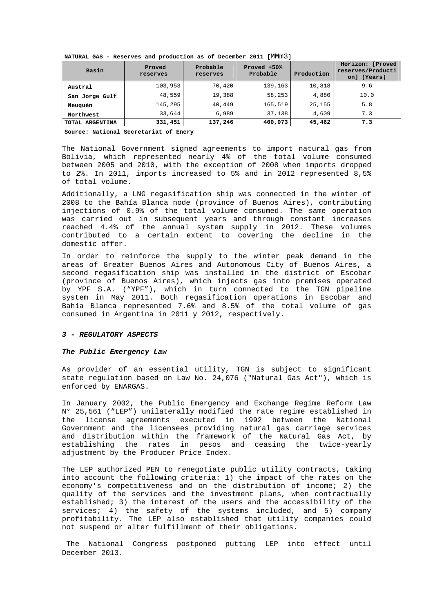**NATURAL GAS - Reserves and production as of December 2011 [**MMm3**]** 

| Basin           | Proved<br>reserves | Probable<br>reserves | Proved +50%<br>Probable | Production | Horizon: [Proved<br>reserves/Producti<br>on] (Years) |
|-----------------|--------------------|----------------------|-------------------------|------------|------------------------------------------------------|
| Austral         | 103,953            | 70,420               | 139,163                 | 10,818     | 9.6                                                  |
| San Jorge Gulf  | 48,559             | 19,388               | 58,253                  | 4,880      | 10.0                                                 |
| Neuguén         | 145,295            | 40,449               | 165,519                 | 25,155     | 5.8                                                  |
| Northwest       | 33,644             | 6,989                | 37,138                  | 4,609      | 7.3                                                  |
| TOTAL ARGENTINA | 331,451            | 137,246              | 400,073                 | 45,462     | 7.3                                                  |

**Source: National Secretariat of Enery**

The National Government signed agreements to import natural gas from Bolivia, which represented nearly 4% of the total volume consumed between 2005 and 2010, with the exception of 2008 when imports dropped to 2%. In 2011, imports increased to 5% and in 2012 represented 8,5% of total volume.

Additionally, a LNG regasification ship was connected in the winter of 2008 to the Bahía Blanca node (province of Buenos Aires), contributing injections of 0.9% of the total volume consumed. The same operation was carried out in subsequent years and through constant increases reached 4.4% of the annual system supply in 2012. These volumes contributed to a certain extent to covering the decline in the domestic offer.

In order to reinforce the supply to the winter peak demand in the areas of Greater Buenos Aires and Autonomous City of Buenos Aires, a second regasification ship was installed in the district of Escobar (province of Buenos Aires), which injects gas into premises operated by YPF S.A. ("YPF"), which in turn connected to the TGN pipeline system in May 2011. Both regasification operations in Escobar and Bahía Blanca represented 7.6% and 8.5% of the total volume of gas consumed in Argentina in 2011 y 2012, respectively.

## *3 - REGULATORY ASPECTS*

#### *The Public Emergency Law*

As provider of an essential utility, TGN is subject to significant state regulation based on Law No. 24,076 ("Natural Gas Act"), which is enforced by ENARGAS.

In January 2002, the Public Emergency and Exchange Regime Reform Law N° 25,561 ("LEP") unilaterally modified the rate regime established in the license agreements executed in 1992 between the National Government and the licensees providing natural gas carriage services and distribution within the framework of the Natural Gas Act, by establishing the rates in pesos and ceasing the twice-yearly adjustment by the Producer Price Index.

The LEP authorized PEN to renegotiate public utility contracts, taking into account the following criteria: 1) the impact of the rates on the economy's competitiveness and on the distribution of income; 2) the quality of the services and the investment plans, when contractually established; 3) the interest of the users and the accessibility of the services; 4) the safety of the systems included, and 5) company profitability. The LEP also established that utility companies could not suspend or alter fulfillment of their obligations.

 The National Congress postponed putting LEP into effect until December 2013.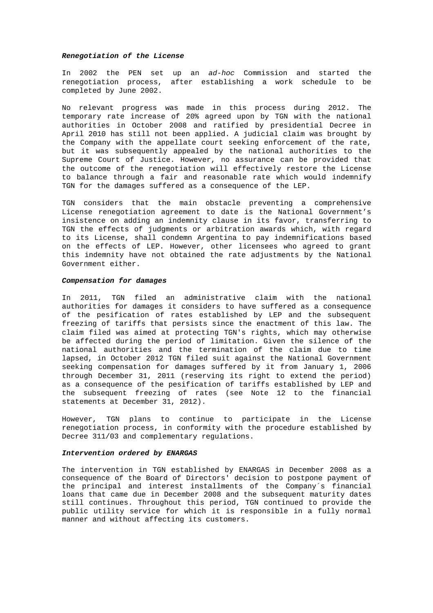### *Renegotiation of the License*

In 2002 the PEN set up an *ad-hoc* Commission and started the renegotiation process, after establishing a work schedule to be completed by June 2002.

No relevant progress was made in this process during 2012. The temporary rate increase of 20% agreed upon by TGN with the national authorities in October 2008 and ratified by presidential Decree in April 2010 has still not been applied. A judicial claim was brought by the Company with the appellate court seeking enforcement of the rate, but it was subsequently appealed by the national authorities to the Supreme Court of Justice. However, no assurance can be provided that the outcome of the renegotiation will effectively restore the License to balance through a fair and reasonable rate which would indemnify TGN for the damages suffered as a consequence of the LEP.

TGN considers that the main obstacle preventing a comprehensive License renegotiation agreement to date is the National Government's insistence on adding an indemnity clause in its favor, transferring to TGN the effects of judgments or arbitration awards which, with regard to its License, shall condemn Argentina to pay indemnifications based on the effects of LEP. However, other licensees who agreed to grant this indemnity have not obtained the rate adjustments by the National Government either.

#### *Compensation for damages*

In 2011, TGN filed an administrative claim with the national authorities for damages it considers to have suffered as a consequence of the pesification of rates established by LEP and the subsequent freezing of tariffs that persists since the enactment of this law. The claim filed was aimed at protecting TGN's rights, which may otherwise be affected during the period of limitation. Given the silence of the national authorities and the termination of the claim due to time lapsed, in October 2012 TGN filed suit against the National Government seeking compensation for damages suffered by it from January 1, 2006 through December 31, 2011 (reserving its right to extend the period) as a consequence of the pesification of tariffs established by LEP and the subsequent freezing of rates (see Note 12 to the financial statements at December 31, 2012).

However, TGN plans to continue to participate in the License renegotiation process, in conformity with the procedure established by Decree 311/03 and complementary regulations.

## *Intervention ordered by ENARGAS*

The intervention in TGN established by ENARGAS in December 2008 as a consequence of the Board of Directors' decision to postpone payment of the principal and interest installments of the Company´s financial loans that came due in December 2008 and the subsequent maturity dates still continues. Throughout this period, TGN continued to provide the public utility service for which it is responsible in a fully normal manner and without affecting its customers.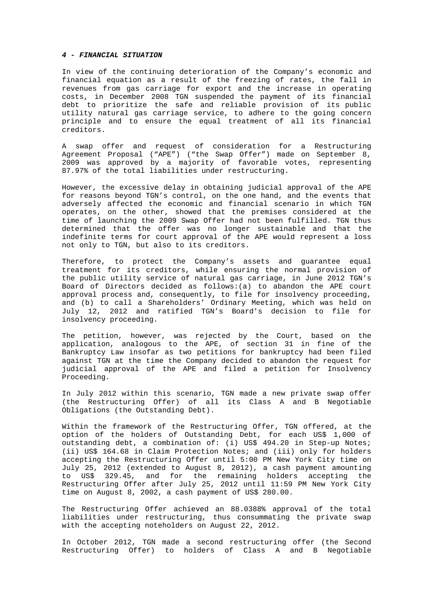### *4 - FINANCIAL SITUATION*

In view of the continuing deterioration of the Company's economic and financial equation as a result of the freezing of rates, the fall in revenues from gas carriage for export and the increase in operating costs, in December 2008 TGN suspended the payment of its financial debt to prioritize the safe and reliable provision of its public utility natural gas carriage service, to adhere to the going concern principle and to ensure the equal treatment of all its financial creditors.

A swap offer and request of consideration for a Restructuring Agreement Proposal ("APE") ("the Swap Offer") made on September 8, 2009 was approved by a majority of favorable votes, representing 87.97% of the total liabilities under restructuring.

However, the excessive delay in obtaining judicial approval of the APE for reasons beyond TGN's control, on the one hand, and the events that adversely affected the economic and financial scenario in which TGN operates, on the other, showed that the premises considered at the time of launching the 2009 Swap Offer had not been fulfilled. TGN thus determined that the offer was no longer sustainable and that the indefinite terms for court approval of the APE would represent a loss not only to TGN, but also to its creditors.

Therefore, to protect the Company's assets and guarantee equal treatment for its creditors, while ensuring the normal provision of the public utility service of natural gas carriage, in June 2012 TGN's Board of Directors decided as follows:(a) to abandon the APE court approval process and, consequently, to file for insolvency proceeding, and (b) to call a Shareholders' Ordinary Meeting, which was held on July 12, 2012 and ratified TGN's Board's decision to file for insolvency proceeding.

The petition, however, was rejected by the Court, based on the application, analogous to the APE, of section 31 in fine of the Bankruptcy Law insofar as two petitions for bankruptcy had been filed against TGN at the time the Company decided to abandon the request for judicial approval of the APE and filed a petition for Insolvency Proceeding.

In July 2012 within this scenario, TGN made a new private swap offer (the Restructuring Offer) of all its Class A and B Negotiable Obligations (the Outstanding Debt).

Within the framework of the Restructuring Offer, TGN offered, at the option of the holders of Outstanding Debt, for each US\$ 1,000 of outstanding debt, a combination of: (i) US\$ 494.20 in Step-up Notes; (ii) US\$ 164.68 in Claim Protection Notes; and (iii) only for holders accepting the Restructuring Offer until 5:00 PM New York City time on July 25, 2012 (extended to August 8, 2012), a cash payment amounting to US\$ 329.45, and for the remaining holders accepting the Restructuring Offer after July 25, 2012 until 11:59 PM New York City time on August 8, 2002, a cash payment of US\$ 280.00.

The Restructuring Offer achieved an 88.0388% approval of the total liabilities under restructuring, thus consummating the private swap with the accepting noteholders on August 22, 2012.

In October 2012, TGN made a second restructuring offer (the Second Restructuring Offer) to holders of Class A and B Negotiable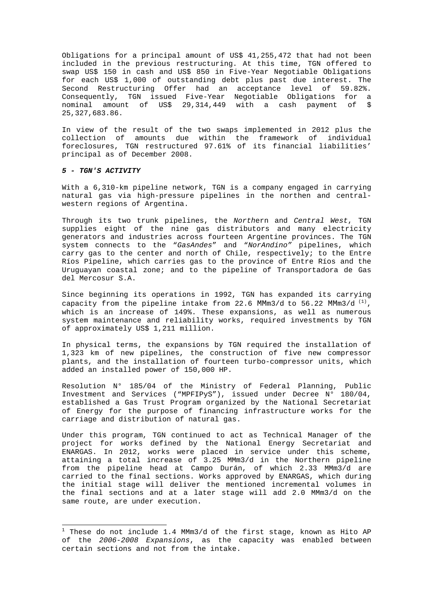Obligations for a principal amount of US\$ 41,255,472 that had not been included in the previous restructuring. At this time, TGN offered to swap US\$ 150 in cash and US\$ 850 in Five-Year Negotiable Obligations for each US\$ 1,000 of outstanding debt plus past due interest. The Second Restructuring Offer had an acceptance level of 59.82%. Consequently, TGN issued Five-Year Negotiable Obligations for a nominal amount of US\$ 29,314,449 with a cash payment of \$ 25,327,683.86.

In view of the result of the two swaps implemented in 2012 plus the collection of amounts due within the framework of individual foreclosures, TGN restructured 97.61% of its financial liabilities' principal as of December 2008.

## *5 - TGN'S ACTIVITY*

l

With a 6,310-km pipeline network, TGN is a company engaged in carrying natural gas via high-pressure pipelines in the northen and centralwestern regions of Argentina.

Through its two trunk pipelines, the *North*ern and *Central West*, TGN supplies eight of the nine gas distributors and many electricity generators and industries across fourteen Argentine provinces. The TGN system connects to the "*GasAndes*" and "*NorAndino"* pipelines, which carry gas to the center and north of Chile, respectively; to the Entre Ríos Pipeline, which carries gas to the province of Entre Ríos and the Uruguayan coastal zone; and to the pipeline of Transportadora de Gas del Mercosur S.A.

Since beginning its operations in 1992, TGN has expanded its carrying capacity from the pipeline intake from 22.6 MMm3/d to 56.22 MMm3/d  $^{(1)}$ , which is an increase of 149%. These expansions, as well as numerous system maintenance and reliability works, required investments by TGN of approximately US\$ 1,211 million.

In physical terms, the expansions by TGN required the installation of 1,323 km of new pipelines, the construction of five new compressor plants, and the installation of fourteen turbo-compressor units, which added an installed power of 150,000 HP.

Resolution N° 185/04 of the Ministry of Federal Planning, Public Investment and Services ("MPFIPyS"), issued under Decree N° 180/04, established a Gas Trust Program organized by the National Secretariat of Energy for the purpose of financing infrastructure works for the carriage and distribution of natural gas.

Under this program, TGN continued to act as Technical Manager of the project for works defined by the National Energy Secretariat and ENARGAS. In 2012, works were placed in service under this scheme, attaining a total increase of 3.25 MMm3/d in the Northern pipeline from the pipeline head at Campo Durán, of which 2.33 MMm3/d are carried to the final sections. Works approved by ENARGAS, which during the initial stage will deliver the mentioned incremental volumes in the final sections and at a later stage will add 2.0 MMm3/d on the same route, are under execution.

 $^1$  These do not include 1.4 MMm3/d of the first stage, known as Hito AP of the *2006-2008 Expansions*, as the capacity was enabled between certain sections and not from the intake.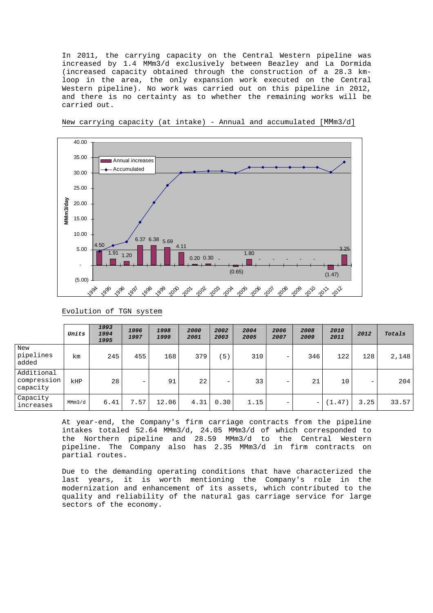In 2011, the carrying capacity on the Central Western pipeline was increased by 1.4 MMm3/d exclusively between Beazley and La Dormida (increased capacity obtained through the construction of a 28.3 kmloop in the area, the only expansion work executed on the Central Western pipeline). No work was carried out on this pipeline in 2012, and there is no certainty as to whether the remaining works will be carried out.



New carrying capacity (at intake) - Annual and accumulated [MMm3/d]

Evolution of TGN system

|                                       | Units  | 1993<br>1994<br>1995 | 1996<br>1997      | 1998<br>1999 | 2000<br>2001 | 2002<br>2003 | 2004<br>2005 | 2006<br>2007 | 2008<br>2009 | 2010<br>2011 | 2012 | Totals |
|---------------------------------------|--------|----------------------|-------------------|--------------|--------------|--------------|--------------|--------------|--------------|--------------|------|--------|
| New<br>pipelines<br>added             | km     | 245                  | 455               | 168          | 379          | 5)           | 310          | -            | 346          | 122          | 128  | 2,148  |
| Additional<br>compression<br>capacity | kHP    | 28                   | $\qquad \qquad -$ | 91           | 22           | -            | 33           | -            | 21           | 10           | -    | 204    |
| Capacity<br>increases                 | MMm3/d | 6.41                 | 7.57              | 12.06        | 4.31         | 0.30         | 1.15         | -            | $-$          | (1.47)       | 3.25 | 33.57  |

At year-end, the Company's firm carriage contracts from the pipeline intakes totaled 52.64 MMm3/d, 24.05 MMm3/d of which corresponded to the Northern pipeline and 28.59 MMm3/d to the Central Western pipeline. The Company also has 2.35 MMm3/d in firm contracts on partial routes.

Due to the demanding operating conditions that have characterized the last years, it is worth mentioning the Company's role in the modernization and enhancement of its assets, which contributed to the quality and reliability of the natural gas carriage service for large sectors of the economy.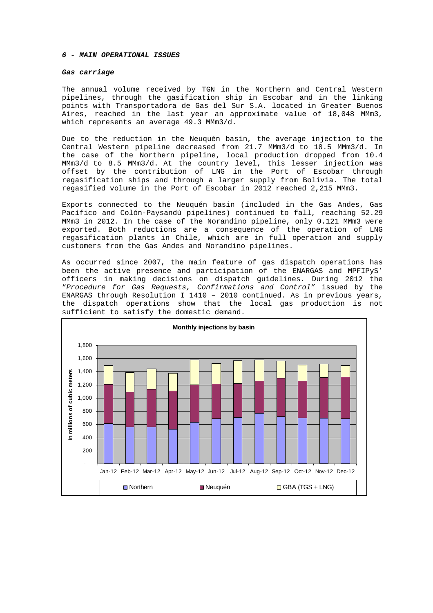### *6 - MAIN OPERATIONAL ISSUES*

### *Gas carriage*

The annual volume received by TGN in the Northern and Central Western pipelines, through the gasification ship in Escobar and in the linking points with Transportadora de Gas del Sur S.A. located in Greater Buenos Aires, reached in the last year an approximate value of 18,048 MMm3, which represents an average 49.3 MMm3/d.

Due to the reduction in the Neuquén basin, the average injection to the Central Western pipeline decreased from 21.7 MMm3/d to 18.5 MMm3/d. In the case of the Northern pipeline, local production dropped from 10.4 MMm3/d to 8.5 MMm3/d. At the country level, this lesser injection was offset by the contribution of LNG in the Port of Escobar through regasification ships and through a larger supply from Bolivia. The total regasified volume in the Port of Escobar in 2012 reached 2,215 MMm3.

Exports connected to the Neuquén basin (included in the Gas Andes, Gas Pacífico and Colón-Paysandú pipelines) continued to fall, reaching 52.29 MMm3 in 2012. In the case of the Norandino pipeline, only 0.121 MMm3 were exported. Both reductions are a consequence of the operation of LNG regasification plants in Chile, which are in full operation and supply customers from the Gas Andes and Norandino pipelines.

As occurred since 2007, the main feature of gas dispatch operations has been the active presence and participation of the ENARGAS and MPFIPyS' officers in making decisions on dispatch guidelines. During 2012 the "*Procedure for Gas Requests, Confirmations and Control"* issued by the ENARGAS through Resolution I 1410 – 2010 continued. As in previous years, the dispatch operations show that the local gas production is not sufficient to satisfy the domestic demand.

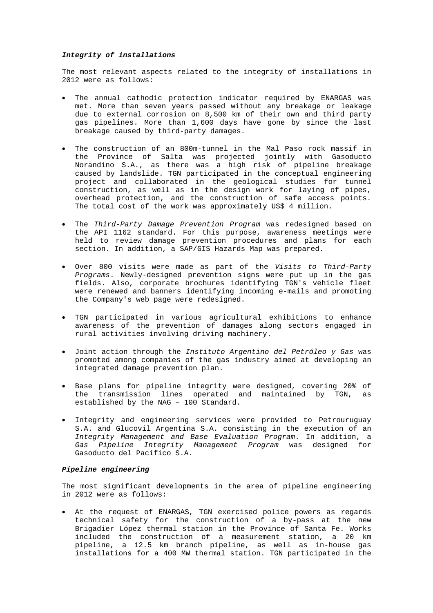## *Integrity of installations*

The most relevant aspects related to the integrity of installations in 2012 were as follows:

- The annual cathodic protection indicator required by ENARGAS was met. More than seven years passed without any breakage or leakage due to external corrosion on 8,500 km of their own and third party gas pipelines. More than 1,600 days have gone by since the last breakage caused by third-party damages.
- The construction of an 800m-tunnel in the Mal Paso rock massif in the Province of Salta was projected jointly with Gasoducto Norandino S.A., as there was a high risk of pipeline breakage caused by landslide. TGN participated in the conceptual engineering project and collaborated in the geological studies for tunnel construction, as well as in the design work for laying of pipes, overhead protection, and the construction of safe access points. The total cost of the work was approximately US\$ 4 million.
- The *Third-Party Damage Prevention Program* was redesigned based on the API 1162 standard. For this purpose, awareness meetings were held to review damage prevention procedures and plans for each section. In addition, a SAP/GIS Hazards Map was prepared.
- Over 800 visits were made as part of the *Visits to Third-Party Programs*. Newly-designed prevention signs were put up in the gas fields. Also, corporate brochures identifying TGN's vehicle fleet were renewed and banners identifying incoming e-mails and promoting the Company's web page were redesigned.
- TGN participated in various agricultural exhibitions to enhance awareness of the prevention of damages along sectors engaged in rural activities involving driving machinery.
- Joint action through the *Instituto Argentino del Petróleo y Gas* was promoted among companies of the gas industry aimed at developing an integrated damage prevention plan.
- Base plans for pipeline integrity were designed, covering 20% of the transmission lines operated and maintained by TGN, as established by the NAG – 100 Standard.
- Integrity and engineering services were provided to Petrouruguay S.A. and Glucovil Argentina S.A. consisting in the execution of an *Integrity Management and Base Evaluation Program*. In addition, a *Gas Pipeline Integrity Management Program* was designed for Gasoducto del Pacífico S.A.

#### *Pipeline engineering*

The most significant developments in the area of pipeline engineering in 2012 were as follows:

• At the request of ENARGAS, TGN exercised police powers as regards technical safety for the construction of a by-pass at the new Brigadier López thermal station in the Province of Santa Fe. Works included the construction of a measurement station, a 20 km pipeline, a 12.5 km branch pipeline, as well as in-house gas installations for a 400 MW thermal station. TGN participated in the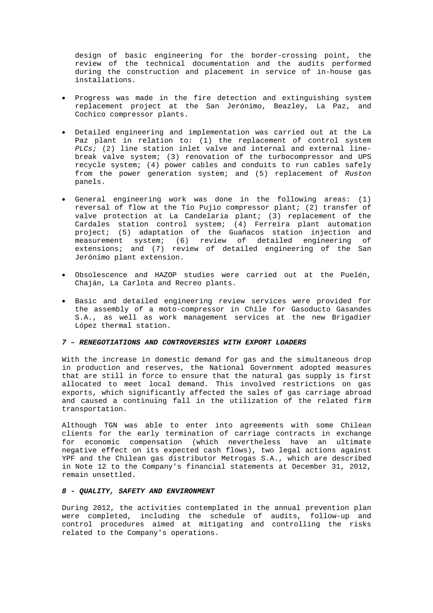design of basic engineering for the border-crossing point, the review of the technical documentation and the audits performed during the construction and placement in service of in-house gas installations.

- Progress was made in the fire detection and extinguishing system replacement project at the San Jerónimo, Beazley, La Paz, and Cochico compressor plants.
- Detailed engineering and implementation was carried out at the La Paz plant in relation to: (1) the replacement of control system *PLCs;* (2) line station inlet valve and internal and external linebreak valve system; (3) renovation of the turbocompressor and UPS recycle system; (4) power cables and conduits to run cables safely from the power generation system; and (5) replacement of *Ruston* panels.
- General engineering work was done in the following areas: (1) reversal of flow at the Tío Pujio compressor plant; (2) transfer of valve protection at La Candelaria plant; (3) replacement of the Cardales station control system; (4) Ferreira plant automation project; (5) adaptation of the Guañacos station injection and measurement system; (6) review of detailed engineering of extensions; and (7) review of detailed engineering of the San Jerónimo plant extension.
- Obsolescence and HAZOP studies were carried out at the Puelén, Chaján, La Carlota and Recreo plants.
- Basic and detailed engineering review services were provided for the assembly of a moto-compressor in Chile for Gasoducto Gasandes S.A., as well as work management services at the new Brigadier López thermal station.

#### *7 – RENEGOTIATIONS AND CONTROVERSIES WITH EXPORT LOADERS*

With the increase in domestic demand for gas and the simultaneous drop in production and reserves, the National Government adopted measures that are still in force to ensure that the natural gas supply is first allocated to meet local demand. This involved restrictions on gas exports, which significantly affected the sales of gas carriage abroad and caused a continuing fall in the utilization of the related firm transportation.

Although TGN was able to enter into agreements with some Chilean clients for the early termination of carriage contracts in exchange for economic compensation (which nevertheless have an ultimate negative effect on its expected cash flows), two legal actions against YPF and the Chilean gas distributor Metrogas S.A., which are described in Note 12 to the Company's financial statements at December 31, 2012, remain unsettled.

## *8 - QUALITY, SAFETY AND ENVIRONMENT*

During 2012, the activities contemplated in the annual prevention plan were completed, including the schedule of audits, follow-up and control procedures aimed at mitigating and controlling the risks related to the Company's operations.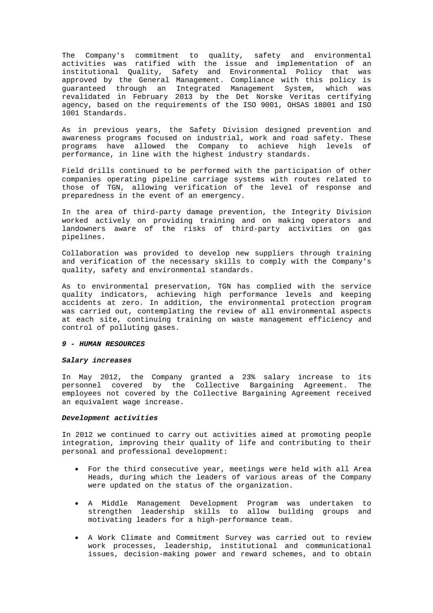The Company's commitment to quality, safety and environmental activities was ratified with the issue and implementation of an institutional Quality, Safety and Environmental Policy that was approved by the General Management. Compliance with this policy is guaranteed through an Integrated Management System, which was revalidated in February 2013 by the Det Norske Veritas certifying agency, based on the requirements of the ISO 9001, OHSAS 18001 and ISO 1001 Standards.

As in previous years, the Safety Division designed prevention and awareness programs focused on industrial, work and road safety. These programs have allowed the Company to achieve high levels of performance, in line with the highest industry standards.

Field drills continued to be performed with the participation of other companies operating pipeline carriage systems with routes related to those of TGN, allowing verification of the level of response and preparedness in the event of an emergency.

In the area of third-party damage prevention, the Integrity Division worked actively on providing training and on making operators and landowners aware of the risks of third-party activities on gas pipelines.

Collaboration was provided to develop new suppliers through training and verification of the necessary skills to comply with the Company's quality, safety and environmental standards.

As to environmental preservation, TGN has complied with the service quality indicators, achieving high performance levels and keeping accidents at zero. In addition, the environmental protection program was carried out, contemplating the review of all environmental aspects at each site, continuing training on waste management efficiency and control of polluting gases.

### *9 - HUMAN RESOURCES*

#### *Salary increases*

In May 2012, the Company granted a 23% salary increase to its personnel covered by the Collective Bargaining Agreement. The employees not covered by the Collective Bargaining Agreement received an equivalent wage increase.

### *Development activities*

In 2012 we continued to carry out activities aimed at promoting people integration, improving their quality of life and contributing to their personal and professional development:

- For the third consecutive year, meetings were held with all Area Heads, during which the leaders of various areas of the Company were updated on the status of the organization.
- A Middle Management Development Program was undertaken to strengthen leadership skills to allow building groups and motivating leaders for a high-performance team.
- A Work Climate and Commitment Survey was carried out to review work processes, leadership, institutional and communicational issues, decision-making power and reward schemes, and to obtain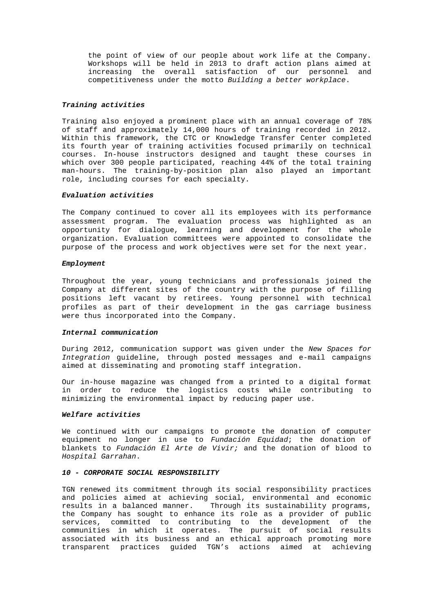the point of view of our people about work life at the Company. Workshops will be held in 2013 to draft action plans aimed at increasing the overall satisfaction of our personnel and competitiveness under the motto *Building a better workplace*.

### *Training activities*

Training also enjoyed a prominent place with an annual coverage of 78% of staff and approximately 14,000 hours of training recorded in 2012. Within this framework, the CTC or Knowledge Transfer Center completed its fourth year of training activities focused primarily on technical courses. In-house instructors designed and taught these courses in which over 300 people participated, reaching 44% of the total training man-hours. The training-by-position plan also played an important role, including courses for each specialty.

### *Evaluation activities*

The Company continued to cover all its employees with its performance assessment program. The evaluation process was highlighted as an opportunity for dialogue, learning and development for the whole organization. Evaluation committees were appointed to consolidate the purpose of the process and work objectives were set for the next year.

#### *Employment*

Throughout the year, young technicians and professionals joined the Company at different sites of the country with the purpose of filling positions left vacant by retirees. Young personnel with technical profiles as part of their development in the gas carriage business were thus incorporated into the Company.

#### *Internal communication*

During 2012, communication support was given under the *New Spaces for Integration* guideline, through posted messages and e-mail campaigns aimed at disseminating and promoting staff integration.

Our in-house magazine was changed from a printed to a digital format in order to reduce the logistics costs while contributing to minimizing the environmental impact by reducing paper use.

## *Welfare activities*

We continued with our campaigns to promote the donation of computer equipment no longer in use to *Fundación Equidad*; the donation of blankets to *Fundación El Arte de Vivir;* and the donation of blood to *Hospital Garrahan*.

### *10 - CORPORATE SOCIAL RESPONSIBILITY*

TGN renewed its commitment through its social responsibility practices and policies aimed at achieving social, environmental and economic results in a balanced manner. Through its sustainability programs, the Company has sought to enhance its role as a provider of public services, committed to contributing to the development of the communities in which it operates. The pursuit of social results associated with its business and an ethical approach promoting more transparent practices guided TGN's actions aimed at achieving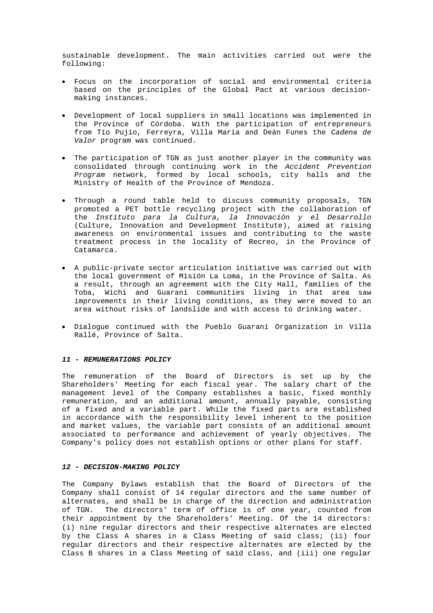sustainable development. The main activities carried out were the following:

- Focus on the incorporation of social and environmental criteria based on the principles of the Global Pact at various decisionmaking instances.
- Development of local suppliers in small locations was implemented in the Province of Córdoba. With the participation of entrepreneurs from Tío Pujio, Ferreyra, Villa María and Deán Funes the *Cadena de Valor* program was continued.
- The participation of TGN as just another player in the community was consolidated through continuing work in the *Accident Prevention Program* network, formed by local schools, city halls and the Ministry of Health of the Province of Mendoza.
- Through a round table held to discuss community proposals, TGN promoted a PET bottle recycling project with the collaboration of the *Instituto para la Cultura, la Innovación y el Desarrollo* (Culture, Innovation and Development Institute), aimed at raising awareness on environmental issues and contributing to the waste treatment process in the locality of Recreo, in the Province of Catamarca.
- A public-private sector articulation initiative was carried out with the local government of Misión La Loma, in the Province of Salta. As a result, through an agreement with the City Hall, families of the Toba, Wichi and Guaraní communities living in that area saw improvements in their living conditions, as they were moved to an area without risks of landslide and with access to drinking water.
- Dialogue continued with the Pueblo Guaraní Organization in Villa Rallé, Province of Salta.

#### *11 - REMUNERATIONS POLICY*

The remuneration of the Board of Directors is set up by the Shareholders' Meeting for each fiscal year. The salary chart of the management level of the Company establishes a basic, fixed monthly remuneration, and an additional amount, annually payable, consisting of a fixed and a variable part. While the fixed parts are established in accordance with the responsibility level inherent to the position and market values, the variable part consists of an additional amount associated to performance and achievement of yearly objectives. The Company's policy does not establish options or other plans for staff.

#### *12 - DECISION-MAKING POLICY*

The Company Bylaws establish that the Board of Directors of the Company shall consist of 14 regular directors and the same number of alternates, and shall be in charge of the direction and administration of TGN. The directors' term of office is of one year, counted from their appointment by the Shareholders' Meeting. Of the 14 directors: (i) nine regular directors and their respective alternates are elected by the Class A shares in a Class Meeting of said class; (ii) four regular directors and their respective alternates are elected by the Class B shares in a Class Meeting of said class, and (iii) one regular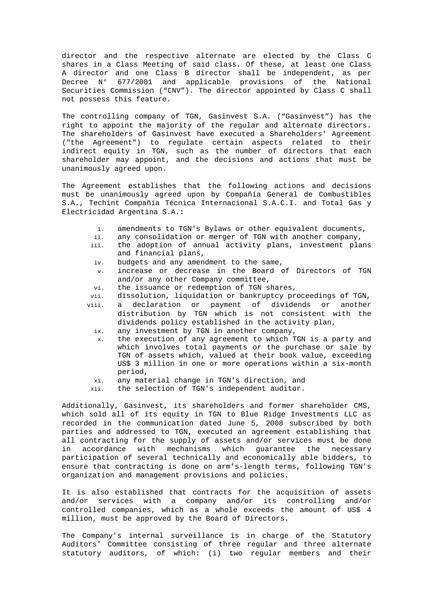director and the respective alternate are elected by the Class C shares in a Class Meeting of said class. Of these, at least one Class A director and one Class B director shall be independent, as per Decree N° 677/2001 and applicable provisions of the National Securities Commission ("CNV"). The director appointed by Class C shall not possess this feature.

The controlling company of TGN, Gasinvest S.A. ("Gasinvest") has the right to appoint the majority of the regular and alternate directors. The shareholders of Gasinvest have executed a Shareholders' Agreement ("the Agreement") to regulate certain aspects related to their indirect equity in TGN, such as the number of directors that each shareholder may appoint, and the decisions and actions that must be unanimously agreed upon.

The Agreement establishes that the following actions and decisions must be unanimously agreed upon by Compañía General de Combustibles S.A., Techint Compañía Técnica Internacional S.A.C.I. and Total Gas y Electricidad Argentina S.A.:

- i. amendments to TGN's Bylaws or other equivalent documents,
- ii. any consolidation or merger of TGN with another company,
- iii. the adoption of annual activity plans, investment plans and financial plans,
- iv. budgets and any amendment to the same,
- v. increase or decrease in the Board of Directors of TGN and/or any other Company committee,
- vi. the issuance or redemption of TGN shares,
- vii. dissolution, liquidation or bankruptcy proceedings of TGN,
- viii. a declaration or payment of dividends or another distribution by TGN which is not consistent with the dividends policy established in the activity plan,
	- ix. any investment by TGN in another company,
	- x. the execution of any agreement to which TGN is a party and which involves total payments or the purchase or sale by TGN of assets which, valued at their book value, exceeding US\$ 3 million in one or more operations within a six-month period,
	- xi. any material change in TGN's direction, and
- xii. the selection of TGN's independent auditor.

Additionally, Gasinvest, its shareholders and former shareholder CMS, which sold all of its equity in TGN to Blue Ridge Investments LLC as recorded in the communication dated June 5, 2008 subscribed by both parties and addressed to TGN, executed an agreement establishing that all contracting for the supply of assets and/or services must be done in accordance with mechanisms which guarantee the necessary participation of several technically and economically able bidders, to ensure that contracting is done on arm's-length terms, following TGN's organization and management provisions and policies.

It is also established that contracts for the acquisition of assets and/or services with a company and/or its controlling and/or controlled companies, which as a whole exceeds the amount of US\$ 4 million, must be approved by the Board of Directors.

The Company's internal surveillance is in charge of the Statutory Auditors' Committee consisting of three regular and three alternate statutory auditors, of which: (i) two regular members and their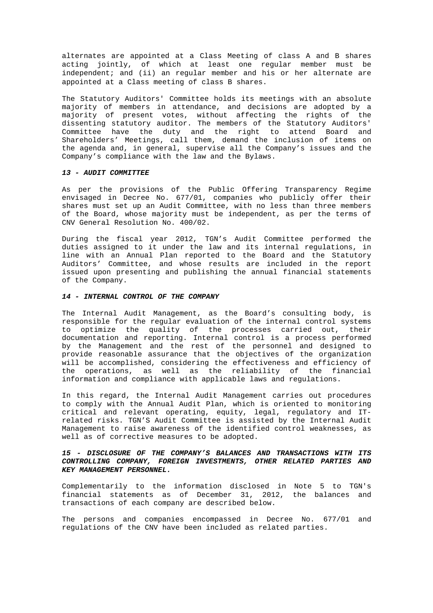alternates are appointed at a Class Meeting of class A and B shares acting jointly, of which at least one regular member must be independent; and (ii) an regular member and his or her alternate are appointed at a Class meeting of class B shares.

The Statutory Auditors' Committee holds its meetings with an absolute majority of members in attendance, and decisions are adopted by a majority of present votes, without affecting the rights of the dissenting statutory auditor. The members of the Statutory Auditors' Committee have the duty and the right to attend Board and Shareholders' Meetings, call them, demand the inclusion of items on the agenda and, in general, supervise all the Company's issues and the Company's compliance with the law and the Bylaws.

## *13 - AUDIT COMMITTEE*

As per the provisions of the Public Offering Transparency Regime envisaged in Decree No. 677/01, companies who publicly offer their shares must set up an Audit Committee, with no less than three members of the Board, whose majority must be independent, as per the terms of CNV General Resolution No. 400/02.

During the fiscal year 2012, TGN's Audit Committee performed the duties assigned to it under the law and its internal regulations, in line with an Annual Plan reported to the Board and the Statutory Auditors' Committee, and whose results are included in the report issued upon presenting and publishing the annual financial statements of the Company.

### *14 - INTERNAL CONTROL OF THE COMPANY*

The Internal Audit Management, as the Board's consulting body, is responsible for the regular evaluation of the internal control systems to optimize the quality of the processes carried out, their documentation and reporting. Internal control is a process performed by the Management and the rest of the personnel and designed to provide reasonable assurance that the objectives of the organization will be accomplished, considering the effectiveness and efficiency of the operations, as well as the reliability of the financial information and compliance with applicable laws and regulations.

In this regard, the Internal Audit Management carries out procedures to comply with the Annual Audit Plan, which is oriented to monitoring critical and relevant operating, equity, legal, regulatory and ITrelated risks. TGN'S Audit Committee is assisted by the Internal Audit Management to raise awareness of the identified control weaknesses, as well as of corrective measures to be adopted.

## *15 - DISCLOSURE OF THE COMPANY'S BALANCES AND TRANSACTIONS WITH ITS CONTROLLING COMPANY, FOREIGN INVESTMENTS, OTHER RELATED PARTIES AND KEY MANAGEMENT PERSONNEL.*

Complementarily to the information disclosed in Note 5 to TGN's financial statements as of December 31, 2012, the balances and transactions of each company are described below.

The persons and companies encompassed in Decree No. 677/01 and regulations of the CNV have been included as related parties.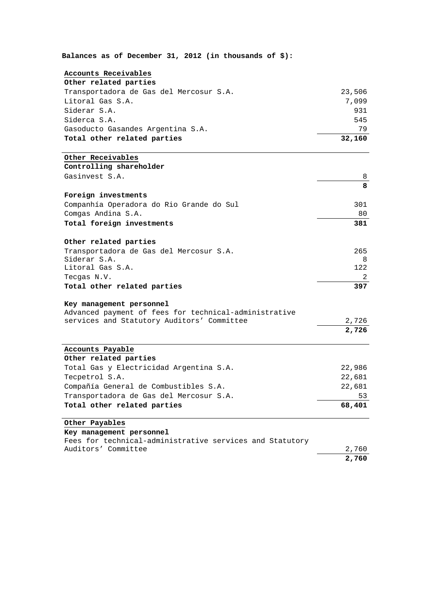**Balances as of December 31, 2012 (in thousands of \$):** 

## **Accounts Receivables**

| Other related parties |  |
|-----------------------|--|
|-----------------------|--|

| Transportadora de Gas del Mercosur S.A. | 23,506 |
|-----------------------------------------|--------|
| Litoral Gas S.A.                        | 7.099  |
| Siderar S.A.                            | 931    |
| Siderca S.A.                            | 545    |
| Gasoducto Gasandes Argentina S.A.       | 79     |
| Total other related parties             | 32,160 |

## **Other Receivables**

**Controlling shareholder**  Gasinvest S.A. 8

|                                          | 8   |
|------------------------------------------|-----|
| Foreign investments                      |     |
| Companhía Operadora do Rio Grande do Sul | 301 |
| Comgas Andina S.A.                       | 80  |
| Total foreign investments                | 381 |

## **Other related parties**

Transportadora de Gas del Mercosur S.A. 265 Siderar S.A. 8<br>Litoral Gas S.A. 8 Litoral Gas S.A. Tecgas N.V. 2 **Total other related parties 397**

## **Key management personnel**

|  |  |  | Advanced payment of fees for technical-administrative |       |
|--|--|--|-------------------------------------------------------|-------|
|  |  |  | services and Statutory Auditors' Committee            | 2,726 |

### **Accounts Payable**

| Other related parties                   |        |
|-----------------------------------------|--------|
| Total Gas y Electricidad Argentina S.A. | 22,986 |
| Tecpetrol S.A.                          | 22,681 |
| Compañía General de Combustibles S.A.   | 22,681 |
| Transportadora de Gas del Mercosur S.A. | 53     |
| Total other related parties             | 68,401 |

**2,726**

## **Other Payables**

## **Key management personnel**

Fees for technical-administrative services and Statutory Auditors' Committee 2,760 **2,760**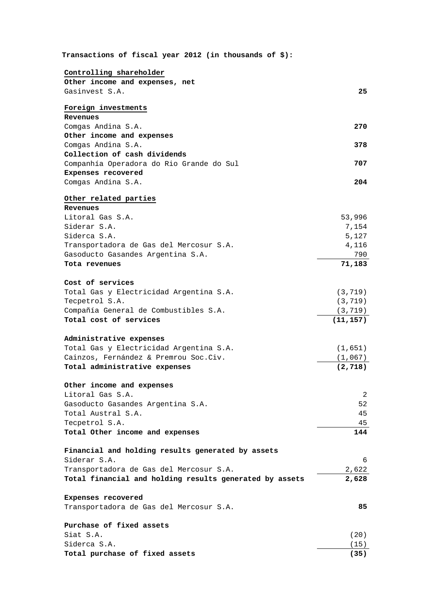| Transactions of fiscal year 2012 (in thousands of $$$ ): |           |
|----------------------------------------------------------|-----------|
| Controlling shareholder                                  |           |
| Other income and expenses, net                           |           |
| Gasinvest S.A.                                           | 25        |
|                                                          |           |
| Foreign investments                                      |           |
| Revenues                                                 |           |
| Comgas Andina S.A.                                       | 270       |
| Other income and expenses                                |           |
| Comgas Andina S.A.                                       | 378       |
| Collection of cash dividends                             |           |
| Companhía Operadora do Rio Grande do Sul                 | 707       |
| Expenses recovered                                       |           |
| Comgas Andina S.A.                                       | 204       |
| Other related parties                                    |           |
| Revenues                                                 |           |
| Litoral Gas S.A.                                         | 53,996    |
| Siderar S.A.                                             | 7,154     |
| Siderca S.A.                                             | 5,127     |
| Transportadora de Gas del Mercosur S.A.                  | 4,116     |
| Gasoducto Gasandes Argentina S.A.                        | 790       |
| Tota revenues                                            | 71,183    |
|                                                          |           |
| Cost of services                                         |           |
| Total Gas y Electricidad Argentina S.A.                  | (3, 719)  |
| Tecpetrol S.A.                                           | (3, 719)  |
| Compañía General de Combustibles S.A.                    | (3, 719)  |
| Total cost of services                                   | (11, 157) |
| Administrative expenses                                  |           |
| Total Gas y Electricidad Argentina S.A.                  | (1,651)   |
| Cainzos, Fernández & Premrou Soc.Civ.                    | (1,067)   |
| Total administrative expenses                            | (2, 718)  |
|                                                          |           |
| Other income and expenses<br>Litoral Gas S.A.            | 2         |
| Gasoducto Gasandes Argentina S.A.                        | 52        |
| Total Austral S.A.                                       | 45        |
| Tecpetrol S.A.                                           | 45        |
| Total Other income and expenses                          | 144       |
|                                                          |           |
| Financial and holding results generated by assets        |           |
| Siderar S.A.                                             | 6         |
| Transportadora de Gas del Mercosur S.A.                  | 2,622     |
| Total financial and holding results generated by assets  | 2,628     |
| Expenses recovered                                       |           |
| Transportadora de Gas del Mercosur S.A.                  | 85        |
| Purchase of fixed assets                                 |           |
|                                                          |           |
| Siat S.A.                                                | (20)      |
| Siderca S.A.                                             | (15)      |
| Total purchase of fixed assets                           | (35)      |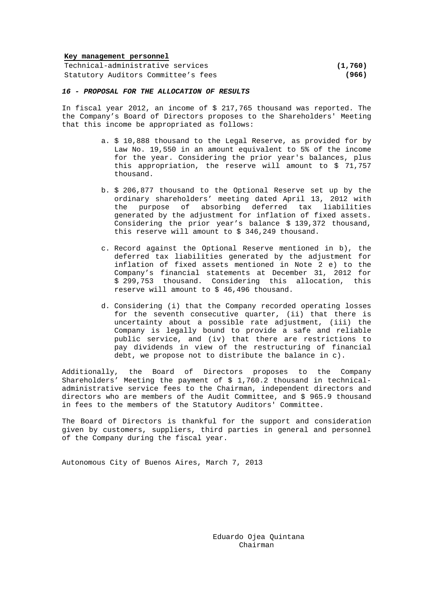### **Key management personnel**

Technical-administrative services **(1,760)** Statutory Auditors Committee's fees **(966)**

### *16 - PROPOSAL FOR THE ALLOCATION OF RESULTS*

In fiscal year 2012, an income of \$ 217,765 thousand was reported. The the Company's Board of Directors proposes to the Shareholders' Meeting that this income be appropriated as follows:

- a. \$ 10,888 thousand to the Legal Reserve, as provided for by Law No. 19,550 in an amount equivalent to 5% of the income for the year. Considering the prior year's balances, plus this appropriation, the reserve will amount to \$ 71,757 thousand.
- b. \$ 206,877 thousand to the Optional Reserve set up by the ordinary shareholders' meeting dated April 13, 2012 with the purpose of absorbing deferred tax liabilities generated by the adjustment for inflation of fixed assets. Considering the prior year's balance \$ 139,372 thousand, this reserve will amount to \$ 346,249 thousand.
- c. Record against the Optional Reserve mentioned in b), the deferred tax liabilities generated by the adjustment for inflation of fixed assets mentioned in Note 2 e) to the Company's financial statements at December 31, 2012 for \$ 299,753 thousand. Considering this allocation, this reserve will amount to \$ 46,496 thousand.
- d. Considering (i) that the Company recorded operating losses for the seventh consecutive quarter, (ii) that there is uncertainty about a possible rate adjustment, (iii) the Company is legally bound to provide a safe and reliable public service, and (iv) that there are restrictions to pay dividends in view of the restructuring of financial debt, we propose not to distribute the balance in c).

Additionally, the Board of Directors proposes to the Company Shareholders' Meeting the payment of  $$1,760.2$  thousand in technicaladministrative service fees to the Chairman, independent directors and directors who are members of the Audit Committee, and \$ 965.9 thousand in fees to the members of the Statutory Auditors' Committee.

The Board of Directors is thankful for the support and consideration given by customers, suppliers, third parties in general and personnel of the Company during the fiscal year.

Autonomous City of Buenos Aires, March 7, 2013

Eduardo Ojea Quintana Chairman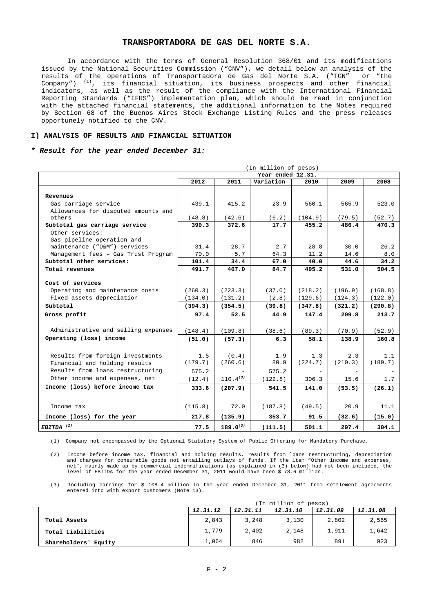In accordance with the terms of General Resolution 368/01 and its modifications issued by the National Securities Commission ("CNV"), we detail below an analysis of the results of the operations of Transportadora de Gas del Norte S.A. ("TGN" or "the  $Company'')$  <sup>(1)</sup>, its financial situation, its business prospects and other financial indicators, as well as the result of the compliance with the International Financial Reporting Standards ("IFRS") implementation plan, which should be read in conjunction with the attached financial statements, the additional information to the Notes required by Section 68 of the Buenos Aires Stock Exchange Listing Rules and the press releases opportunely notified to the CNV.

### **I) ANALYSIS OF RESULTS AND FINANCIAL SITUATION**

#### *\* Result for the year ended December 31:*

|                                     |         |               | (In million of pesos) |         |         |         |
|-------------------------------------|---------|---------------|-----------------------|---------|---------|---------|
|                                     |         |               | Year ended 12.31.     |         |         |         |
|                                     | 2012    | 2011          | Variation             | 2010    | 2009    | 2008    |
|                                     |         |               |                       |         |         |         |
| Revenues                            |         |               |                       |         |         |         |
| Gas carriage service                | 439.1   | 415.2         | 23.9                  | 560.1   | 565.9   | 523.0   |
| Allowances for disputed amounts and |         |               |                       |         |         |         |
| others                              | (48.8)  | (42.6)        | (6.2)                 | (104.9) | (79.5)  | (52.7)  |
| Subtotal gas carriage service       | 390.3   | 372.6         | 17.7                  | 455.2   | 486.4   | 470.3   |
| Other services:                     |         |               |                       |         |         |         |
| Gas pipeline operation and          |         |               |                       |         |         |         |
| maintenance ("O&M") services        | 31.4    | 28.7          | 2.7                   | 28.8    | 30.0    | 26.2    |
| Management fees - Gas Trust Program | 70.0    | 5.7           | 64.3                  | 11.2    | 14.6    | 8.0     |
| Subtotal other services:            | 101.4   | 34.4          | 67.0                  | 40.0    | 44.6    | 34.2    |
| Total revenues                      | 491.7   | 407.0         | 84.7                  | 495.2   | 531.0   | 504.5   |
|                                     |         |               |                       |         |         |         |
| Cost of services                    |         |               |                       |         |         |         |
| Operating and maintenance costs     | (260.3) | (223.3)       | (37.0)                | (218.2) | (196.9) | (168.8) |
| Fixed assets depreciation           | (134.0) | (131.2)       | (2.8)                 | (129.6) | (124.3) | (122.0) |
| Subtotal                            | (394.3) | (354.5)       | (39.8)                | (347.8) | (321.2) | (290.8) |
| Gross profit                        | 97.4    | 52.5          | 44.9                  | 147.4   | 209.8   | 213.7   |
|                                     |         |               |                       |         |         |         |
| Administrative and selling expenses | (148.4) | (109.8)       | (38.6)                | (89.3)  | (70.9)  | (52.9)  |
| Operating (loss) income             | (51.0)  | (57.3)        | 6.3                   | 58.1    | 138.9   | 160.8   |
|                                     |         |               |                       |         |         |         |
|                                     |         |               |                       |         |         |         |
| Results from foreign investments    | 1.5     | (0.4)         | 1.9                   | 1.3     | 2.3     | 1.1     |
| Financial and holding results       | (179.7) | (260.6)       | 80.9                  | (224.7) | (210.3) | (189.7) |
| Results from loans restructuring    | 575.2   |               | 575.2                 |         |         |         |
| Other income and expenses, net      | (12.4)  | $110.4^{(3)}$ | (122.8)               | 306.3   | 15.6    | 1.7     |
| Income (loss) before income tax     | 333.6   | (207.9)       | 541.5                 | 141.0   | (53.5)  | (26.1)  |
|                                     |         |               |                       |         |         |         |
|                                     |         |               |                       |         |         |         |
| Income tax                          | (115.8) | 72.0          | (187.8)               | (49.5)  | 20.9    | 11.1    |
| Income (loss) for the year          | 217.8   | (135.9)       | 353.7                 | 91.5    | (32.6)  | (15.0)  |
| EBITDA <sup>(2)</sup>               | 77.5    | $189.0^{(3)}$ | (111.5)               | 501.1   | 297.4   | 304.1   |

(1) Company not encompassed by the Optional Statutory System of Public Offering for Mandatory Purchase.

(2) Income before income tax, financial and holding results, results from loans restructuring, depreciation and charges for consumable goods not entailing outlays of funds. If the item "Other income and expenses, net", mainly made up by commercial indemnifications (as explained in (3) below) had not been included, the level of EBITDA for the year ended December 31, 2011 would have been \$ 78.6 million.

(3) Including earnings for \$ 108.4 million in the year ended December 31, 2011 from settlement agreements entered into with export customers (Note 13).

|                         | (In million of pesos)                                    |       |       |       |       |  |  |  |  |
|-------------------------|----------------------------------------------------------|-------|-------|-------|-------|--|--|--|--|
|                         | 12.31.08<br>12.31.12<br>12.31.10<br>12.31.09<br>12.31.11 |       |       |       |       |  |  |  |  |
| Total Assets            | 2,843                                                    | 3,248 | 3,130 | 2,802 | 2,565 |  |  |  |  |
| Total Liabilities       | 1,779                                                    | 2,402 | 2,148 | 1,911 | 1,642 |  |  |  |  |
| Shareholders'<br>Equity | 1,064                                                    | 846   | 982   | 891   | 923   |  |  |  |  |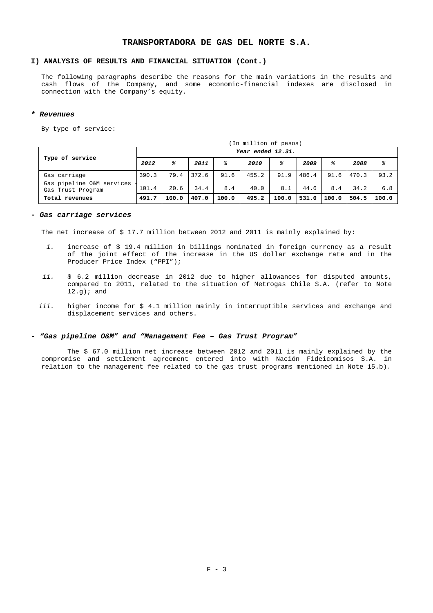## **I) ANALYSIS OF RESULTS AND FINANCIAL SITUATION (Cont.)**

The following paragraphs describe the reasons for the main variations in the results and cash flows of the Company, and some economic-financial indexes are disclosed in connection with the Company's equity.

#### *\* Revenues*

By type of service:

|                                                                |                   | (In million of pesos) |               |             |               |             |               |             |               |             |
|----------------------------------------------------------------|-------------------|-----------------------|---------------|-------------|---------------|-------------|---------------|-------------|---------------|-------------|
|                                                                | Year ended 12.31. |                       |               |             |               |             |               |             |               |             |
| Type of service                                                | 2012              | ℁                     | 2011          | ℁           | 2010          | g           | 2009          | g           | 2008          | ℁           |
| Gas carriage<br>Gas pipeline O&M services<br>Gas Trust Program | 390.3<br>101.4    | 79.4<br>20.6          | 372.6<br>34.4 | 91.6<br>8.4 | 455.2<br>40.0 | 91.9<br>8.1 | 486.4<br>44.6 | 91.6<br>8.4 | 470.3<br>34.2 | 93.2<br>6.8 |
| Total revenues                                                 | 491.7             | 100.0                 | 407.0         | 100.0       | 495.2         | 100.0       | 531.0         | 100.0       | 504.5         | 100.0       |

#### *- Gas carriage services*

The net increase of \$ 17.7 million between 2012 and 2011 is mainly explained by:

- *i.* increase of \$ 19.4 million in billings nominated in foreign currency as a result of the joint effect of the increase in the US dollar exchange rate and in the Producer Price Index ("PPI");
- *ii.* \$ 6.2 million decrease in 2012 due to higher allowances for disputed amounts, compared to 2011, related to the situation of Metrogas Chile S.A. (refer to Note  $12.q$ ; and
- *iii.* higher income for \$ 4.1 million mainly in interruptible services and exchange and displacement services and others.

#### *- "Gas pipeline O&M" and "Management Fee – Gas Trust Program"*

The \$ 67.0 million net increase between 2012 and 2011 is mainly explained by the compromise and settlement agreement entered into with Nación Fideicomisos S.A. in relation to the management fee related to the gas trust programs mentioned in Note 15.b).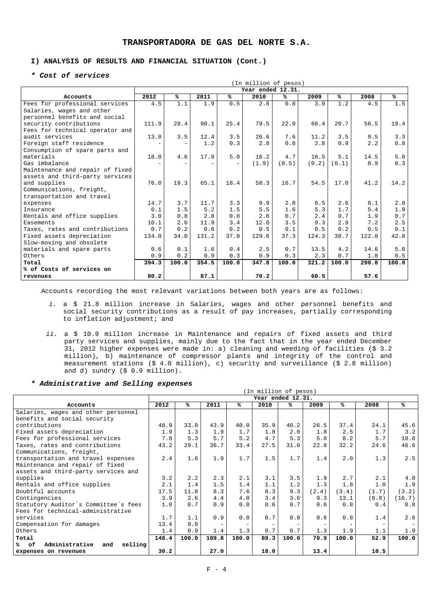## **I) ANALYSIS OF RESULTS AND FINANCIAL SITUATION (Cont.)**

## *\* Cost of services*

|                                 | (In million of pesos) |       |       |       |                   |       |       |       |       |       |
|---------------------------------|-----------------------|-------|-------|-------|-------------------|-------|-------|-------|-------|-------|
|                                 |                       |       |       |       | Year ended 12.31. |       |       |       |       |       |
| Accounts                        | 2012                  | ℁     | 2011  | ℁     | 2010              | %ะ    | 2009  | ℁     | 2008  | ℁     |
| Fees for professional services  | 4.5                   | 1.1   | 1.9   | 0.5   | 2.8               | 0.8   | 3.9   | 1.2   | 4.5   | 1.5   |
| Salaries, wages and other       |                       |       |       |       |                   |       |       |       |       |       |
| personnel benefits and social   |                       |       |       |       |                   |       |       |       |       |       |
| security contributions          | 111.9                 | 28.4  | 90.1  | 25.4  | 79.5              | 22.9  | 66.4  | 20.7  | 56.5  | 19.4  |
| Fees for technical operator and |                       |       |       |       |                   |       |       |       |       |       |
| audit services                  | 13.8                  | 3.5   | 12.4  | 3.5   | 26.6              | 7.6   | 11.2  | 3.5   | 9.5   | 3.3   |
| Foreign staff residence         |                       |       | 1.2   | 0.3   | 2.8               | 0.8   | 2.8   | 0.9   | 2.2   | 0.8   |
| Consumption of spare parts and  |                       |       |       |       |                   |       |       |       |       |       |
| materials                       | 18.0                  | 4.6   | 17.9  | 5.0   | 16.2              | 4.7   | 16.5  | 5.1   | 14.5  | 5.0   |
| Gas imbalance                   |                       |       |       |       | (1.9)             | (0.5) | (0.2) | (0.1) | 0.9   | 0.3   |
| Maintenance and repair of fixed |                       |       |       |       |                   |       |       |       |       |       |
| assets and third-party services |                       |       |       |       |                   |       |       |       |       |       |
| and supplies                    | 76.0                  | 19.3  | 65.1  | 18.4  | 58.3              | 16.7  | 54.5  | 17.0  | 41.2  | 14.2  |
| Communications, freight,        |                       |       |       |       |                   |       |       |       |       |       |
| transportation and travel       |                       |       |       |       |                   |       |       |       |       |       |
| expenses                        | 14.7                  | 3.7   | 11.7  | 3.3   | 9.9               | 2.8   | 8.5   | 2.6   | 8.1   | 2.8   |
| Insurance                       | 6.1                   | 1.5   | 5.2   | 1.5   | 5.5               | 1.6   | 5.3   | 1.7   | 5.4   | 1.9   |
| Rentals and office supplies     | 3.0                   | 0.8   | 2.8   | 0.8   | 2.6               | 0.7   | 2.4   | 0.7   | 1.9   | 0.7   |
| Easements                       | 10.1                  | 2.6   | 11.9  | 3.4   | 12.0              | 3.5   | 9.3   | 2.9   | 7.2   | 2.5   |
| Taxes, rates and contributions  | 0.7                   | 0.2   | 0.6   | 0.2   | 0.5               | 0.1   | 0.5   | 0.2   | 0.5   | 0.1   |
| Fixed assets depreciation       | 134.0                 | 34.0  | 131.2 | 37.0  | 129.6             | 37.3  | 124.3 | 38.7  | 122.0 | 42.0  |
| Slow-moving and obsolete        |                       |       |       |       |                   |       |       |       |       |       |
| materials and spare parts       | 0.6                   | 0.1   | 1.6   | 0.4   | 2.5               | 0.7   | 13.5  | 4.2   | 14.6  | 5.0   |
| Others                          | 0.9                   | 0.2   | 0.9   | 0.3   | 0.9               | 0.3   | 2.3   | 0.7   | 1.8   | 0.5   |
| Total                           | 394.3                 | 100.0 | 354.5 | 100.0 | 347.8             | 100.0 | 321.2 | 100.0 | 290.8 | 100.0 |
| % of Costs of services on       |                       |       |       |       |                   |       |       |       |       |       |
| revenues                        | 80.2                  |       | 87.1  |       | 70.2              |       | 60.5  |       | 57.6  |       |

Accounts recording the most relevant variations between both years are as follows:

- *i.* a \$ 21.8 million increase in Salaries, wages and other personnel benefits and social security contributions as a result of pay increases, partially corresponding to inflation adjustment; and
- *ii.* a \$ 10.9 million increase in Maintenance and repairs of fixed assets and third party services and supplies, mainly due to the fact that in the year ended December 31, 2012 higher expenses were made in: a) cleaning and weeding of facilities (\$ 3.2 million), b) maintenance of compressor plants and integrity of the control and measurement stations (\$ 4.0 million), c) security and surveillance (\$ 2.8 million) and d) sundry (\$ 0.9 million).

#### *\* Administrative and Selling expenses*

|                                              |       | (In million of pesos) |       |       |                   |       |       |       |       |        |
|----------------------------------------------|-------|-----------------------|-------|-------|-------------------|-------|-------|-------|-------|--------|
|                                              |       |                       |       |       | Year ended 12.31. |       |       |       |       |        |
| Accounts                                     | 2012  | ℁                     | 2011  | ℁     | 2010              | ℁     | 2009  | ℁     | 2008  | ℁      |
| Salaries, wages and other personnel          |       |                       |       |       |                   |       |       |       |       |        |
| benefits and social security                 |       |                       |       |       |                   |       |       |       |       |        |
| contributions                                | 48.9  | 33.0                  | 43.9  | 40.0  | 35.9              | 40.2  | 26.5  | 37.4  | 24.1  | 45.6   |
| Fixed assets depreciation                    | 1.9   | 1.3                   | 1.9   | 1.7   | 1.8               | 2.0   | 1.8   | 2.5   | 1.7   | 3.2    |
| Fees for professional services               | 7.8   | 5.3                   | 5.7   | 5.2   | 4.7               | 5.3   | 5.8   | 8.2   | 5.7   | 10.8   |
| Taxes, rates and contributions               | 43.2  | 29.1                  | 36.7  | 33.4  | 27.5              | 31.0  | 22.8  | 32.2  | 24.6  | 46.6   |
| Communications, freight,                     |       |                       |       |       |                   |       |       |       |       |        |
| transportation and travel expenses           | 2.4   | 1.6                   | 1.9   | 1.7   | 1.5               | 1.7   | 1.4   | 2.0   | 1.3   | 2.5    |
| Maintenance and repair of fixed              |       |                       |       |       |                   |       |       |       |       |        |
| assets and third-party services and          |       |                       |       |       |                   |       |       |       |       |        |
| supplies                                     | 3.2   | 2.2                   | 2.3   | 2.1   | 3.1               | 3.5   | 1.9   | 2.7   | 2.1   | 4.0    |
| Rentals and office supplies                  | 2.1   | 1.4                   | 1.5   | 1.4   | 1.1               | 1.2   | 1.3   | 1.8   | 1.0   | 1.9    |
| Doubtful accounts                            | 17.5  | 11.8                  | 8.3   | 7.6   | 8.3               | 9.3   | (2.4) | (3.4) | (1.7) | (3.2)  |
| Contingencies                                | 3.9   | 2.6                   | 4.4   | 4.0   | 3.4               | 3.6   | 9.3   | 13.1  | (8.8) | (16.7) |
| Statutory Auditor's Committee's fees         | 1.0   | 0.7                   | 0.9   | 0.8   | 0.6               | 0.7   | 0.6   | 0.8   | 0.4   | 0.8    |
| Fees for technical-administrative            |       |                       |       |       |                   |       |       |       |       |        |
| services                                     | 1.7   | 1.1                   | 0.9   | 0.8   | 0.7               | 0.8   | 0.6   | 0.8   | 1.4   | 2.6    |
| Compensation for damages                     | 13.4  | 9.0                   |       |       |                   |       |       |       |       | Ξ.     |
| Others                                       | 1.4   | 0.9                   | 1.4   | 1.3   | 0.7               | 0.7   | 1.3   | 1.9   | 1.1   | 1.9    |
| Total                                        | 148.4 | 100.0                 | 109.8 | 100.0 | 89.3              | 100.0 | 70.9  | 100.0 | 52.9  | 100.0  |
| Administrative<br>selling<br>%⊳<br>оf<br>and |       |                       |       |       |                   |       |       |       |       |        |
| expenses on revenues                         | 30.2  |                       | 27.0  |       | 18.0              |       | 13.4  |       | 10.5  |        |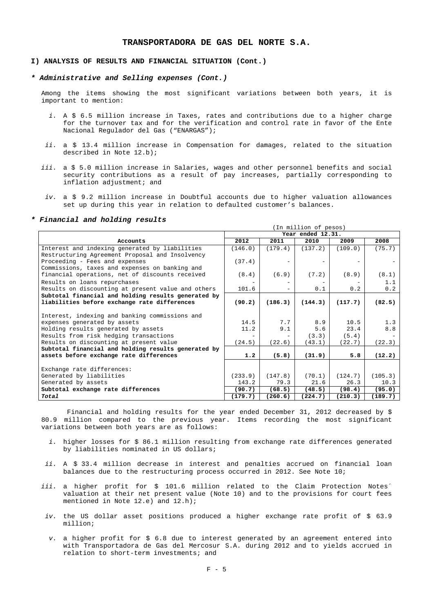#### **I) ANALYSIS OF RESULTS AND FINANCIAL SITUATION (Cont.)**

#### *\* Administrative and Selling expenses (Cont.)*

Among the items showing the most significant variations between both years, it is important to mention:

- *i.* A \$ 6.5 million increase in Taxes, rates and contributions due to a higher charge for the turnover tax and for the verification and control rate in favor of the Ente Nacional Regulador del Gas ("ENARGAS");
- *ii.* a \$ 13.4 million increase in Compensation for damages, related to the situation described in Note 12.b);
- *iii.* a \$ 5.0 million increase in Salaries, wages and other personnel benefits and social security contributions as a result of pay increases, partially corresponding to inflation adjustment; and
- *iv.* a \$ 9.2 million increase in Doubtful accounts due to higher valuation allowances set up during this year in relation to defaulted customer's balances.

### *\* Financial and holding results*

|                                                     | (In million of pesos) |         |                   |         |         |  |  |  |  |
|-----------------------------------------------------|-----------------------|---------|-------------------|---------|---------|--|--|--|--|
|                                                     |                       |         | Year ended 12.31. |         |         |  |  |  |  |
| Accounts                                            | 2012                  | 2011    | 2010              | 2009    | 2008    |  |  |  |  |
| Interest and indexing generated by liabilities      | (146.0)               | (179.4) | (137.2)           | (109.0) | (75.7)  |  |  |  |  |
| Restructuring Agreement Proposal and Insolvency     |                       |         |                   |         |         |  |  |  |  |
| Proceeding - Fees and expenses                      | (37.4)                |         |                   |         |         |  |  |  |  |
| Commissions, taxes and expenses on banking and      |                       |         |                   |         |         |  |  |  |  |
| financial operations, net of discounts received     | (8.4)                 | (6.9)   | (7.2)             | (8.9)   | (8.1)   |  |  |  |  |
| Results on loans repurchases                        |                       |         |                   |         | 1.1     |  |  |  |  |
| Results on discounting at present value and others  | 101.6                 |         | 0.1               | 0.2     | 0.2     |  |  |  |  |
| Subtotal financial and holding results generated by |                       |         |                   |         |         |  |  |  |  |
| liabilities before exchange rate differences        | (90.2)                | (186.3) | (144.3)           | (117.7) | (82.5)  |  |  |  |  |
|                                                     |                       |         |                   |         |         |  |  |  |  |
| Interest, indexing and banking commissions and      |                       |         |                   |         |         |  |  |  |  |
| expenses generated by assets                        | 14.5                  | 7.7     | 8.9               | 10.5    | 1.3     |  |  |  |  |
| Holding results generated by assets                 | 11.2                  | 9.1     | 5.6               | 23.4    | 8.8     |  |  |  |  |
| Results from risk hedging transactions              |                       |         | (3.3)             | (5.4)   |         |  |  |  |  |
| Results on discounting at present value             | (24.5)                | (22.6)  | (43.1)            | (22.7)  | (22.3)  |  |  |  |  |
| Subtotal financial and holding results generated by |                       |         |                   |         |         |  |  |  |  |
| assets before exchange rate differences             | 1.2                   | (5.8)   | (31.9)            | 5.8     | (12.2)  |  |  |  |  |
|                                                     |                       |         |                   |         |         |  |  |  |  |
| Exchange rate differences:                          |                       |         |                   |         |         |  |  |  |  |
| Generated by liabilities                            | (233.9)               | (147.8) | (70.1)            | (124.7) | (105.3) |  |  |  |  |
| Generated by assets                                 | 143.2                 | 79.3    | 21.6              | 26.3    | 10.3    |  |  |  |  |
| Subtotal exchange rate differences                  | (90.7)                | (68.5)  | (48.5)            | (98.4)  | (95.0)  |  |  |  |  |
| Total                                               | (179.7)               | (260.6) | (224.7)           | (210.3) | (189.7) |  |  |  |  |

Financial and holding results for the year ended December 31, 2012 decreased by \$ 80.9 million compared to the previous year. Items recording the most significant variations between both years are as follows:

- *i.* higher losses for \$ 86.1 million resulting from exchange rate differences generated by liabilities nominated in US dollars;
- *ii.* A \$ 33.4 million decrease in interest and penalties accrued on financial loan balances due to the restructuring process occurred in 2012. See Note 10;
- iii. a higher profit for \$ 101.6 million related to the Claim Protection Notes<sup>®</sup> valuation at their net present value (Note 10) and to the provisions for court fees mentioned in Note 12.e) and 12.h);
- *iv.* the US dollar asset positions produced a higher exchange rate profit of \$ 63.9 million;
- *v.* a higher profit for \$ 6.8 due to interest generated by an agreement entered into with Transportadora de Gas del Mercosur S.A. during 2012 and to yields accrued in relation to short-term investments; and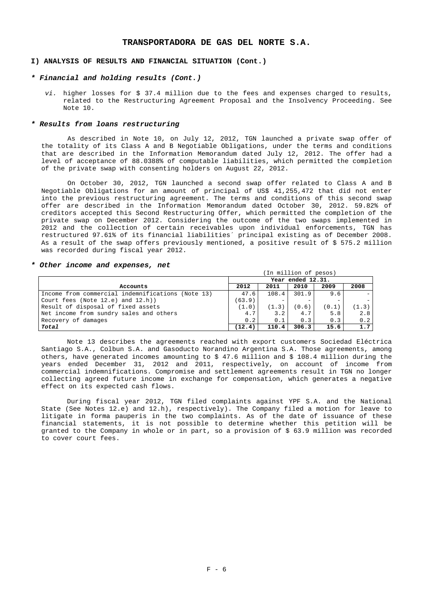## **I) ANALYSIS OF RESULTS AND FINANCIAL SITUATION (Cont.)**

### *\* Financial and holding results (Cont.)*

*vi.* higher losses for \$ 37.4 million due to the fees and expenses charged to results, related to the Restructuring Agreement Proposal and the Insolvency Proceeding. See Note 10.

#### *\* Results from loans restructuring*

As described in Note 10, on July 12, 2012, TGN launched a private swap offer of the totality of its Class A and B Negotiable Obligations, under the terms and conditions that are described in the Information Memorandum dated July 12, 2012. The offer had a level of acceptance of 88.0388% of computable liabilities, which permitted the completion of the private swap with consenting holders on August 22, 2012.

On October 30, 2012, TGN launched a second swap offer related to Class A and B Negotiable Obligations for an amount of principal of US\$ 41,255,472 that did not enter into the previous restructuring agreement. The terms and conditions of this second swap offer are described in the Information Memorandum dated October 30, 2012. 59.82% of creditors accepted this Second Restructuring Offer, which permitted the completion of the private swap on December 2012. Considering the outcome of the two swaps implemented in 2012 and the collection of certain receivables upon individual enforcements, TGN has restructured 97.61% of its financial liabilities´ principal existing as of December 2008. As a result of the swap offers previously mentioned, a positive result of \$ 575.2 million was recorded during fiscal year 2012.

(In million of pesos)

#### *\* Other income and expenses, net*

|                                                   | Year ended 12.31. |       |       |       |       |  |  |  |  |
|---------------------------------------------------|-------------------|-------|-------|-------|-------|--|--|--|--|
| Accounts                                          | 2012              | 2011  | 2010  | 2009  | 2008  |  |  |  |  |
| Income from commercial indemnifications (Note 13) | 47.6              | 108.4 | 301.9 | 9.6   |       |  |  |  |  |
| Court fees (Note $12.e$ ) and $12.h$ )            | (63.9)            |       |       |       |       |  |  |  |  |
| Result of disposal of fixed assets                | (1.0)             | (1.3) | (0.6) | (0.1) | (1.3) |  |  |  |  |
| Net income from sundry sales and others           | 4.7               | 3.2   | 4.7   | 5.8   | 2.8   |  |  |  |  |
| Recovery of damages                               | 0.2               | 0.1   | 0.3   | 0.3   | 0.2   |  |  |  |  |
| Total                                             | (12.4)            | 110.4 | 306.3 | 15.6  | 1.7   |  |  |  |  |

Note 13 describes the agreements reached with export customers Sociedad Eléctrica Santiago S.A., Colbun S.A. and Gasoducto Norandino Argentina S.A. Those agreements, among others, have generated incomes amounting to \$ 47.6 million and \$ 108.4 million during the years ended December 31, 2012 and 2011, respectively, on account of income from commercial indemnifications. Compromise and settlement agreements result in TGN no longer collecting agreed future income in exchange for compensation, which generates a negative effect on its expected cash flows.

During fiscal year 2012, TGN filed complaints against YPF S.A. and the National State (See Notes 12.e) and 12.h), respectively). The Company filed a motion for leave to litigate in forma pauperis in the two complaints. As of the date of issuance of these financial statements, it is not possible to determine whether this petition will be granted to the Company in whole or in part, so a provision of \$ 63.9 million was recorded to cover court fees.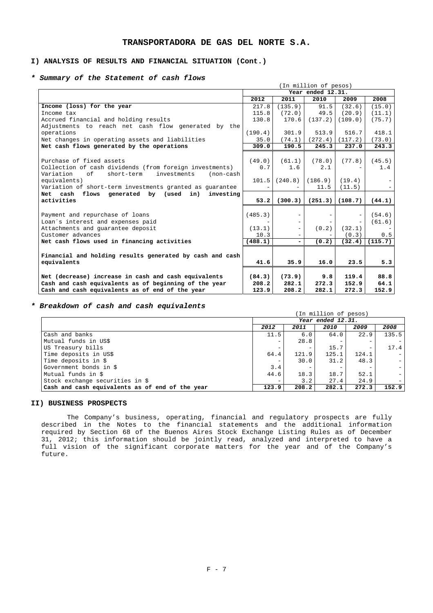## **I) ANALYSIS OF RESULTS AND FINANCIAL SITUATION (Cont.)**

## *\* Summary of the Statement of cash flows*

|                                                            | (In million of pesos) |                          |                   |         |         |  |  |  |  |  |
|------------------------------------------------------------|-----------------------|--------------------------|-------------------|---------|---------|--|--|--|--|--|
|                                                            |                       |                          | Year ended 12.31. |         |         |  |  |  |  |  |
|                                                            | 2012                  | 2011                     | 2010              | 2009    | 2008    |  |  |  |  |  |
| Income (loss) for the year                                 | 217.8                 | (135.9)                  | 91.5              | (32.6)  | (15.0)  |  |  |  |  |  |
| Income tax                                                 | 115.8                 | (72.0)                   | 49.5              | (20.9)  | (11.1)  |  |  |  |  |  |
| Accrued financial and holding results                      | 130.8                 | 170.6                    | (137.2)           | (109.0) | (75.7)  |  |  |  |  |  |
| Adjustments to reach net cash flow generated by the        |                       |                          |                   |         |         |  |  |  |  |  |
| operations                                                 | (190.4)               | 301.9                    | 513.9             | 516.7   | 418.1   |  |  |  |  |  |
| Net changes in operating assets and liabilities            | 35.0                  | (74.1)                   | (272.4)           | (117.2) | (73.0)  |  |  |  |  |  |
| Net cash flows generated by the operations                 | 309.0                 | 190.5                    | 245.3             | 237.0   | 243.3   |  |  |  |  |  |
|                                                            |                       |                          |                   |         |         |  |  |  |  |  |
| Purchase of fixed assets                                   | (49.0)                | (61.1)                   | (78.0)            | (77.8)  | (45.5)  |  |  |  |  |  |
| Collection of cash dividends (from foreign investments)    | 0.7                   | 1.6                      | 2.1               |         | 1.4     |  |  |  |  |  |
| short-term<br>Variation<br>of<br>investments<br>$non-cash$ |                       |                          |                   |         |         |  |  |  |  |  |
| equivalents)                                               | 101.5                 | (240.8)                  | (186.9)           | (19.4)  |         |  |  |  |  |  |
| Variation of short-term investments granted as guarantee   |                       |                          | 11.5              | (11.5)  |         |  |  |  |  |  |
| Net cash flows generated by (used in)<br>investing         |                       |                          |                   |         |         |  |  |  |  |  |
| activities                                                 | 53.2                  | (300.3)                  | (251.3)           | (108.7) | (44.1)  |  |  |  |  |  |
|                                                            |                       |                          |                   |         |         |  |  |  |  |  |
| Payment and repurchase of loans                            | (485.3)               |                          |                   |         | (54.6)  |  |  |  |  |  |
| Loan's interest and expenses paid                          |                       | $\qquad \qquad -$        |                   |         | (61.6)  |  |  |  |  |  |
| Attachments and guarantee deposit                          | (13.1)                | $\overline{\phantom{a}}$ | (0.2)             | (32.1)  |         |  |  |  |  |  |
| Customer advances                                          | 10.3                  | $\overline{\phantom{a}}$ |                   | (0.3)   | 0.5     |  |  |  |  |  |
| Net cash flows used in financing activities                | (488.1)               | -                        | (0, 2)            | (32.4)  | (115.7) |  |  |  |  |  |
|                                                            |                       |                          |                   |         |         |  |  |  |  |  |
| Financial and holding results generated by cash and cash   |                       |                          |                   |         |         |  |  |  |  |  |
| equivalents                                                | 41.6                  | 35.9                     | 16.0              | 23.5    | 5.3     |  |  |  |  |  |
|                                                            |                       |                          |                   |         |         |  |  |  |  |  |
| Net (decrease) increase in cash and cash equivalents       | (84.3)                | (73.9)                   | 9.8               | 119.4   | 88.8    |  |  |  |  |  |
| Cash and cash equivalents as of beginning of the year      | 208.2                 | 282.1                    | 272.3             | 152.9   | 64.1    |  |  |  |  |  |
| Cash and cash equivalents as of end of the year            | 123.9                 | 208.2                    | 282.1             | 272.3   | 152.9   |  |  |  |  |  |

## *\* Breakdown of cash and cash equivalents*

|                                                 | (In million of pesos)    |       |       |       |                |  |  |  |  |
|-------------------------------------------------|--------------------------|-------|-------|-------|----------------|--|--|--|--|
|                                                 | Year ended 12.31.        |       |       |       |                |  |  |  |  |
|                                                 | 2012                     | 2011  | 2010  | 2009  | 2008           |  |  |  |  |
| Cash and banks                                  | 11.5                     | 6.0   | 64.0  | 22.9  | 135.5          |  |  |  |  |
| Mutual funds in US\$                            | $\overline{\phantom{0}}$ | 28.8  |       |       |                |  |  |  |  |
| US Treasury bills                               |                          |       | 15.7  |       | 17.4           |  |  |  |  |
| Time deposits in US\$                           | 64.4                     | 121.9 | 125.1 | 124.1 |                |  |  |  |  |
| Time deposits in \$                             |                          | 30.0  | 31.2  | 48.3  | $\overline{a}$ |  |  |  |  |
| Government bonds in \$                          | 3.4                      |       |       |       | $\omega$       |  |  |  |  |
| Mutual funds in \$                              | 44.6                     | 18.3  | 18.7  | 52.1  |                |  |  |  |  |
| Stock exchange securities in \$                 | $\overline{\phantom{0}}$ | 3.2   | 27.4  | 24.9  |                |  |  |  |  |
| Cash and cash equivalents as of end of the year | 123.9                    | 208.2 | 282.1 | 272.3 | 152.9          |  |  |  |  |

### **II) BUSINESS PROSPECTS**

The Company's business, operating, financial and regulatory prospects are fully described in the Notes to the financial statements and the additional information required by Section 68 of the Buenos Aires Stock Exchange Listing Rules as of December 31, 2012; this information should be jointly read, analyzed and interpreted to have a full vision of the significant corporate matters for the year and of the Company's future.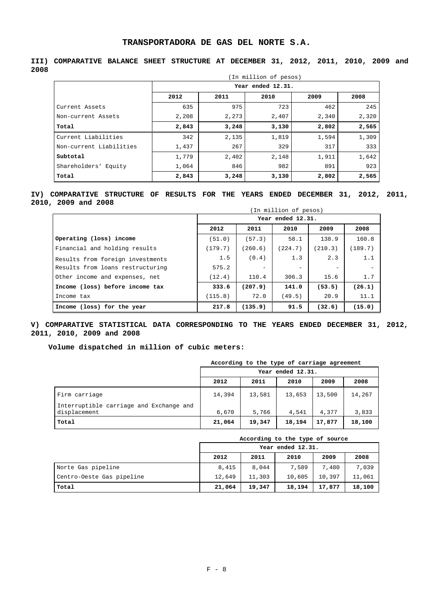|                         |       |       | (In million of pesos) |       |       |
|-------------------------|-------|-------|-----------------------|-------|-------|
|                         |       |       | Year ended 12.31.     |       |       |
|                         | 2012  | 2011  | 2010                  | 2009  | 2008  |
| Current Assets          | 635   | 975   | 723                   | 462   | 245   |
| Non-current Assets      | 2,208 | 2,273 | 2,407                 | 2,340 | 2,320 |
| Total                   | 2,843 | 3,248 | 3,130                 | 2,802 | 2,565 |
| Current Liabilities     | 342   | 2,135 | 1,819                 | 1,594 | 1,309 |
| Non-current Liabilities | 1,437 | 267   | 329                   | 317   | 333   |
| Subtotal                | 1,779 | 2,402 | 2,148                 | 1,911 | 1,642 |
| Shareholders' Equity    | 1,064 | 846   | 982                   | 891   | 923   |
| Total                   | 2,843 | 3,248 | 3,130                 | 2,802 | 2,565 |

## **III) COMPARATIVE BALANCE SHEET STRUCTURE AT DECEMBER 31, 2012, 2011, 2010, 2009 and 2008**

## **IV) COMPARATIVE STRUCTURE OF RESULTS FOR THE YEARS ENDED DECEMBER 31, 2012, 2011, 2010, 2009 and 2008**

|                                  | (In million of pesos) |                   |                          |         |         |  |  |  |  |  |  |
|----------------------------------|-----------------------|-------------------|--------------------------|---------|---------|--|--|--|--|--|--|
|                                  |                       |                   | Year ended 12.31.        |         |         |  |  |  |  |  |  |
|                                  | 2012                  | 2011              | 2010                     | 2009    | 2008    |  |  |  |  |  |  |
| Operating (loss) income          | (51.0)                | (57.3)            | 58.1                     | 138.9   | 160.8   |  |  |  |  |  |  |
| Financial and holding results    | (179.7)               | (260.6)           | (224.7)                  | (210.3) | (189.7) |  |  |  |  |  |  |
| Results from foreign investments | 1.5                   | (0.4)             | 1.3                      | 2.3     | 1.1     |  |  |  |  |  |  |
| Results from loans restructuring | 575.2                 | $\qquad \qquad -$ | $\overline{\phantom{m}}$ |         |         |  |  |  |  |  |  |
| Other income and expenses, net   | (12.4)                | 110.4             | 306.3                    | 15.6    | 1.7     |  |  |  |  |  |  |
| Income (loss) before income tax  | 333.6                 | (207.9)           | 141.0                    | (53.5)  | (26.1)  |  |  |  |  |  |  |
| Income tax                       | (115.8)               | 72.0              | (49.5)                   | 20.9    | 11.1    |  |  |  |  |  |  |
| Income (loss) for the year       | 217.8                 | (135.9)           | 91.5                     | (32.6)  | (15.0)  |  |  |  |  |  |  |

## **V) COMPARATIVE STATISTICAL DATA CORRESPONDING TO THE YEARS ENDED DECEMBER 31, 2012, 2011, 2010, 2009 and 2008**

## **Volume dispatched in million of cubic meters:**

|                                                         | According to the type of carriage agreement |        |        |        |        |  |  |  |  |  |
|---------------------------------------------------------|---------------------------------------------|--------|--------|--------|--------|--|--|--|--|--|
|                                                         | Year ended 12.31.                           |        |        |        |        |  |  |  |  |  |
|                                                         | 2012                                        | 2011   | 2010   | 2009   | 2008   |  |  |  |  |  |
| Firm carriage                                           | 14,394                                      | 13,581 | 13,653 | 13,500 | 14,267 |  |  |  |  |  |
| Interruptible carriage and Exchange and<br>displacement | 6,670                                       | 5,766  | 4,541  | 4,377  | 3,833  |  |  |  |  |  |
| Total                                                   | 21,064                                      | 19,347 | 18,194 | 17,877 | 18,100 |  |  |  |  |  |

|                           | According to the type of source |        |                   |        |        |  |  |  |  |
|---------------------------|---------------------------------|--------|-------------------|--------|--------|--|--|--|--|
|                           |                                 |        | Year ended 12.31. |        |        |  |  |  |  |
|                           | 2012                            | 2011   | 2010              | 2009   | 2008   |  |  |  |  |
| Norte Gas pipeline        | 8,415                           | 8,044  | 7,589             | 7,480  | 7,039  |  |  |  |  |
| Centro-Oeste Gas pipeline | 12,649                          | 11,303 | 10,605            | 10,397 | 11,061 |  |  |  |  |
| Total                     | 21,064                          | 19,347 | 18,194            | 17,877 | 18,100 |  |  |  |  |

## $F - 8$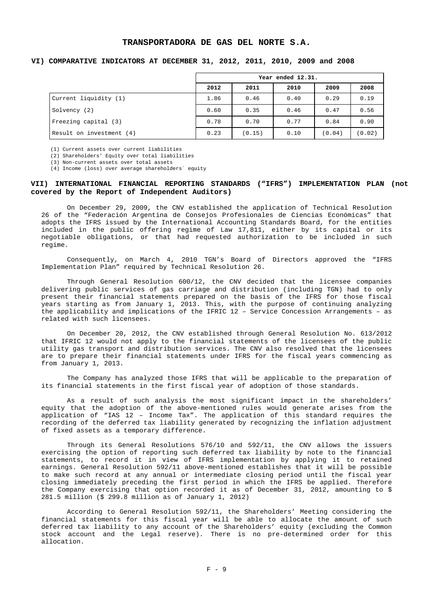## **VI) COMPARATIVE INDICATORS AT DECEMBER 31, 2012, 2011, 2010, 2009 and 2008**

|                          | Year ended 12.31. |        |      |        |        |  |  |  |
|--------------------------|-------------------|--------|------|--------|--------|--|--|--|
|                          | 2012              | 2011   | 2010 | 2009   | 2008   |  |  |  |
| Current liquidity (1)    | 1.86              | 0.46   | 0.40 | 0.29   | 0.19   |  |  |  |
| Solvency (2)             | 0.60              | 0.35   | 0.46 | 0.47   | 0.56   |  |  |  |
| Freezing capital (3)     | 0.78              | 0.70   | 0.77 | 0.84   | 0.90   |  |  |  |
| Result on investment (4) | 0.23              | (0.15) | 0.10 | (0.04) | (0.02) |  |  |  |

(1) Current assets over current liabilities

(2) Shareholders' Equity over total liabilities

(3) Non-current assets over total assets

(4) Income (loss) over average shareholders´ equity

## **VII) INTERNATIONAL FINANCIAL REPORTING STANDARDS ("IFRS") IMPLEMENTATION PLAN (not covered by the Report of Independent Auditors)**

On December 29, 2009, the CNV established the application of Technical Resolution 26 of the "Federación Argentina de Consejos Profesionales de Ciencias Económicas" that adopts the IFRS issued by the International Accounting Standards Board, for the entities included in the public offering regime of Law 17,811, either by its capital or its negotiable obligations, or that had requested authorization to be included in such regime.

Consequently, on March 4, 2010 TGN's Board of Directors approved the "IFRS Implementation Plan" required by Technical Resolution 26.

Through General Resolution 600/12, the CNV decided that the licensee companies delivering public services of gas carriage and distribution (including TGN) had to only present their financial statements prepared on the basis of the IFRS for those fiscal years starting as from January 1, 2013. This, with the purpose of continuing analyzing the applicability and implications of the IFRIC 12 – Service Concession Arrangements – as related with such licensees.

On December 20, 2012, the CNV established through General Resolution No. 613/2012 that IFRIC 12 would not apply to the financial statements of the licensees of the public utility gas transport and distribution services. The CNV also resolved that the licensees are to prepare their financial statements under IFRS for the fiscal years commencing as from January 1, 2013.

The Company has analyzed those IFRS that will be applicable to the preparation of its financial statements in the first fiscal year of adoption of those standards.

As a result of such analysis the most significant impact in the shareholders' equity that the adoption of the above-mentioned rules would generate arises from the application of "IAS 12 – Income Tax". The application of this standard requires the recording of the deferred tax liability generated by recognizing the inflation adjustment of fixed assets as a temporary difference.

Through its General Resolutions 576/10 and 592/11, the CNV allows the issuers exercising the option of reporting such deferred tax liability by note to the financial statements, to record it in view of IFRS implementation by applying it to retained earnings. General Resolution 592/11 above-mentioned establishes that it will be possible to make such record at any annual or intermediate closing period until the fiscal year closing immediately preceding the first period in which the IFRS be applied. Therefore the Company exercising that option recorded it as of December 31, 2012, amounting to \$ 281.5 million (\$ 299.8 million as of January 1, 2012)

According to General Resolution 592/11, the Shareholders' Meeting considering the financial statements for this fiscal year will be able to allocate the amount of such deferred tax liability to any account of the Shareholders' equity (excluding the Common stock account and the Legal reserve). There is no pre-determined order for this allocation.

 $F - 9$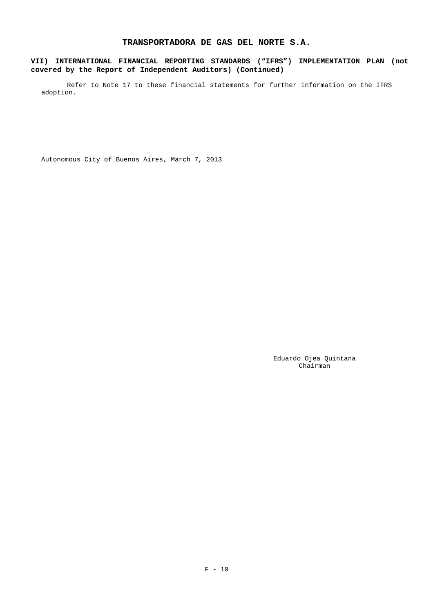## **VII) INTERNATIONAL FINANCIAL REPORTING STANDARDS ("IFRS") IMPLEMENTATION PLAN (not covered by the Report of Independent Auditors) (Continued)**

Refer to Note 17 to these financial statements for further information on the IFRS adoption.

Autonomous City of Buenos Aires, March 7, 2013

 Eduardo Ojea Quintana Chairman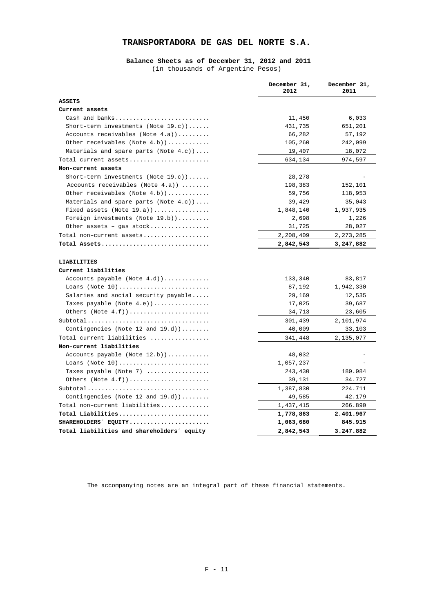### **Balance Sheets as of December 31, 2012 and 2011**  (in thousands of Argentine Pesos)

|                                            | December 31,<br>2012 | December 31,<br>2011 |
|--------------------------------------------|----------------------|----------------------|
| ASSETS                                     |                      |                      |
| Current assets                             |                      |                      |
| Cash and banks                             | 11,450               | 6,033                |
| Short-term investments (Note $19.c$ ))     | 431,735              | 651,201              |
| Accounts receivables (Note $4.a)$ )        | 66,282               | 57,192               |
| Other receivables (Note $4.b$ ))           | 105,260              | 242,099              |
| Materials and spare parts (Note $4.c$ ))   | 19,407               | 18,072               |
| Total current assets                       | 634,134              | 974,597              |
| Non-current assets                         |                      |                      |
| Short-term investments (Note $19.c$ ))     | 28,278               |                      |
| Accounts receivables (Note $4.a)$ )        | 198,383              | 152,101              |
| Other receivables (Note 4.b))              | 59,756               | 118,953              |
| Materials and spare parts (Note $4.c$ ))   | 39,429               | 35,043               |
| Fixed assets (Note $19.a)$ )               | 1,848,140            | 1,937,935            |
| Foreign investments (Note 19.b))           | 2,698                | 1,226                |
| Other assets - gas stock                   | 31,725               | 28,027               |
| Total non-current assets                   | 2,208,409            | 2, 273, 285          |
| Total Assets                               | 2,842,543            | 3,247,882            |
|                                            |                      |                      |
| LIABILITIES                                |                      |                      |
| Current liabilities                        |                      |                      |
| Accounts payable (Note 4.d))               | 133,340              | 83,817               |
| Loans (Note $10)$                          | 87,192               | 1,942,330            |
| Salaries and social security payable       | 29,169               | 12,535               |
| Taxes payable (Note 4.e))                  | 17,025               | 39,687               |
| Others $(Note 4.f))$                       | 34,713               | 23,605               |
|                                            | 301,439              | 2,101,974            |
| Contingencies (Note 12 and 19.d))          | 40,009               | 33,103               |
| Total current liabilities                  | 341,448              | 2,135,077            |
| Non-current liabilities                    |                      |                      |
| Accounts payable (Note 12.b))              | 48,032               |                      |
| Loans (Note $10)$                          | 1,057,237            |                      |
| Taxes payable (Note 7)                     | 243,430              | 189.984              |
|                                            | 39,131               | 34.727               |
|                                            | 1,387,830            | 224.711              |
| Contingencies (Note 12 and $19.d$ ))       | 49,585               | 42.179               |
| Total non-current liabilities              | 1,437,415            | 266.890              |
| Total Liabilities                          | 1,778,863            | 2.401.967            |
| SHAREHOLDERS EQUITY                        | 1,063,680            | 845.915              |
| Total liabilities and shareholders' equity | 2,842,543            | 3.247.882            |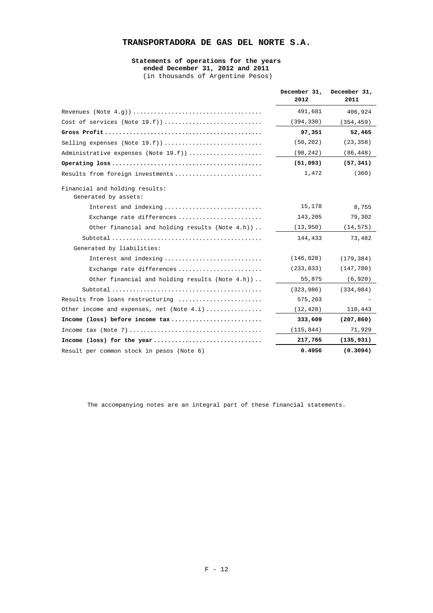#### **Statements of operations for the years ended December 31, 2012 and 2011**  (in thousands of Argentine Pesos)

|                                                        | December 31,<br>2012 | December 31,<br>2011 |
|--------------------------------------------------------|----------------------|----------------------|
|                                                        | 491,681              | 406,924              |
|                                                        | (394, 330)           | (354, 459)           |
|                                                        | 97,351               | 52,465               |
|                                                        | (50, 202)            | (23, 358)            |
| Administrative expenses (Note 19.f))                   | (98, 242)            | (86, 448)            |
|                                                        | (51,093)             | (57, 341)            |
| Results from foreign investments                       | 1,472                | (360)                |
| Financial and holding results:<br>Generated by assets: |                      |                      |
| Interest and indexing                                  | 15,178               | 8,755                |
| Exchange rate differences                              | 143,205              | 79,302               |
| Other financial and holding results (Note $4.h$ ))     | (13, 950)            | (14, 575)            |
|                                                        | 144,433              | 73,482               |
| Generated by liabilities:                              |                      |                      |
| Interest and indexing                                  | (146, 028)           | (179, 384)           |
| Exchange rate differences                              | (233, 833)           | (147, 780)           |
| Other financial and holding results (Note 4.h))        | 55,875               | (6, 920)             |
|                                                        | (323, 986)           | (334, 084)           |
| Results from loans restructuring                       | 575,203              |                      |
| Other income and expenses, net (Note $4.i$ )           | (12, 420)            | 110,443              |
| Income (loss) before income tax                        | 333,609              | (207, 860)           |
|                                                        | (115, 844)           | 71,929               |
| Income (loss) for the year                             | 217,765              | (135, 931)           |
| Result per common stock in pesos (Note 6)              | 0.4956               | (0.3094)             |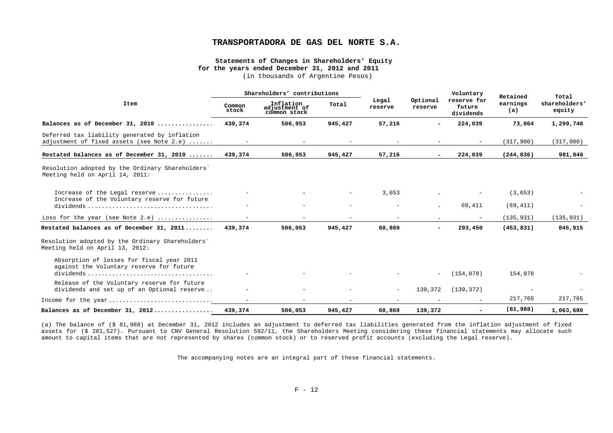#### **Statements of Changes in Shareholders' Equity for the years ended December 31, 2012 and 2011**

(in thousands of Argentine Pesos)

|                                                                                            | Shareholders' contributions |                                            |                          |                          |                          | Voluntary                          | Retained        | Total                   |
|--------------------------------------------------------------------------------------------|-----------------------------|--------------------------------------------|--------------------------|--------------------------|--------------------------|------------------------------------|-----------------|-------------------------|
| Item                                                                                       | Common<br>stock             | Inflation<br>adjustment of<br>common stock | Total                    | Legal<br>reserve         | Optional<br>reserve      | reserve for<br>future<br>dividends | earnings<br>(a) | shareholders'<br>equity |
| Balances as of December 31, 2010                                                           | 439,374                     | 506,053                                    | 945,427                  | 57,216                   | $\sim$                   | 224,039                            | 73,064          | 1,299,746               |
| Deferred tax liability generated by inflation<br>adjustment of fixed assets (see Note 2.e) | $\sim$                      | $\sim$                                     | $\sim$                   | $\sim$                   | $\overline{\phantom{m}}$ | $\sim$                             | (317, 900)      | (317,900)               |
| Restated balances as of December 31, 2010                                                  | 439,374                     | 506,053                                    | 945,427                  | 57,216                   |                          | 224,039                            | (244, 836)      | 981,846                 |
| Resolution adopted by the Ordinary Shareholders'<br>Meeting held on April 14, 2011:        |                             |                                            |                          |                          |                          |                                    |                 |                         |
| Increase of the Legal reserve<br>Increase of the Voluntary reserve for future              | $\sim$                      |                                            |                          | 3,653                    |                          |                                    | (3, 653)        |                         |
|                                                                                            | $\overline{\phantom{0}}$    |                                            | $\overline{\phantom{a}}$ | $\overline{\phantom{a}}$ | $\equiv$                 | 69,411                             | (69, 411)       |                         |
| Loss for the year (see Note 2.e) $\ldots$                                                  |                             |                                            |                          |                          |                          |                                    | (135, 931)      | (135, 931)              |
| Restated balances as of December 31, 2011                                                  | 439,374                     | 506,053                                    | 945,427                  | 60,869                   | $\overline{\phantom{a}}$ | 293,450                            | (453, 831)      | 845,915                 |
| Resolution adopted by the Ordinary Shareholders'<br>Meeting held on April 13, 2012:        |                             |                                            |                          |                          |                          |                                    |                 |                         |
| Absorption of losses for fiscal year 2011<br>against the Voluntary reserve for future      |                             |                                            |                          |                          |                          |                                    |                 |                         |
|                                                                                            |                             |                                            |                          |                          | $\sim$                   | (154, 078)                         | 154,078         |                         |
| Release of the Voluntary reserve for future<br>dividends and set up of an Optional reserve |                             |                                            | $\overline{\phantom{a}}$ | $\sim$                   | 139,372                  | (139, 372)                         |                 |                         |
| Income for the year                                                                        | $\sim$                      |                                            |                          |                          |                          |                                    | 217,765         | 217,765                 |
| Balances as of December 31, 2012                                                           | 439,374                     | 506,053                                    | 945,427                  | 60,869                   | 139,372                  | $\overline{\phantom{a}}$           | (81,988)        | 1,063,680               |

(a) The balance of (\$ 81,988) at December 31, 2012 includes an adjustment to deferred tax liabilities generated from the inflation adjustment of fixed assets for (\$ 281,527). Pursuant to CNV General Resolution 592/11, the Shareholders Meeting considering these financial statements may allocate such amount to capital items that are not represented by shares (common stock) or to reserved profit accounts (excluding the Legal reserve).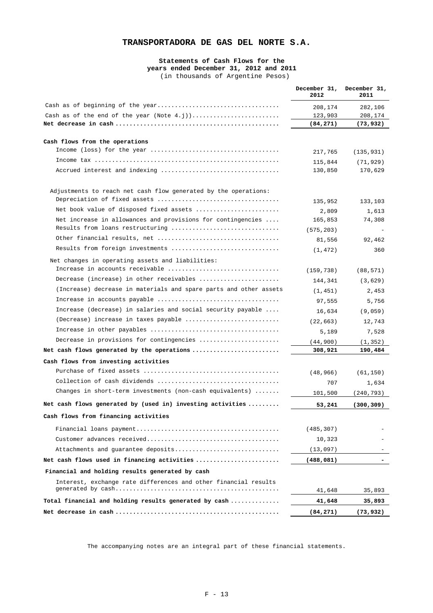### **Statements of Cash Flows for the years ended December 31, 2012 and 2011**  (in thousands of Argentine Pesos)

|                                                                                                 | December 31,<br>2012 | December 31,<br>2011 |
|-------------------------------------------------------------------------------------------------|----------------------|----------------------|
|                                                                                                 | 208,174              | 282,106              |
|                                                                                                 | 123,903              | 208,174              |
|                                                                                                 | (84, 271)            | (73,932)             |
|                                                                                                 |                      |                      |
| Cash flows from the operations                                                                  |                      |                      |
|                                                                                                 | 217,765              | (135, 931)           |
| Accrued interest and indexing                                                                   | 115,844<br>130,850   | (71, 929)<br>170,629 |
|                                                                                                 |                      |                      |
| Adjustments to reach net cash flow generated by the operations:                                 |                      |                      |
|                                                                                                 | 135,952              | 133,103              |
| Net book value of disposed fixed assets                                                         | 2,809                | 1,613                |
| Net increase in allowances and provisions for contingencies<br>Results from loans restructuring | 165,853              | 74,308               |
|                                                                                                 | (575, 203)           |                      |
| Results from foreign investments                                                                | 81,556               | 92,462               |
|                                                                                                 | (1, 472)             | 360                  |
| Net changes in operating assets and liabilities:<br>Increase in accounts receivable             |                      |                      |
| Decrease (increase) in other receivables                                                        | (159, 738)           | (88, 571)            |
| (Increase) decrease in materials and spare parts and other assets                               | 144,341              | (3,629)              |
|                                                                                                 | (1, 451)             | 2,453                |
| Increase (decrease) in salaries and social security payable                                     | 97,555               | 5,756                |
|                                                                                                 | 16,634               | (9,059)              |
| (Decrease) increase in taxes payable                                                            | (22, 663)            | 12,743               |
|                                                                                                 | 5,189                | 7,528                |
| Decrease in provisions for contingencies                                                        | (44,900)             | (1, 352)             |
| Net cash flows generated by the operations                                                      | 308,921              | 190,484              |
| Cash flows from investing activities                                                            |                      |                      |
|                                                                                                 | (48, 966)            | (61, 150)            |
|                                                                                                 | 707                  | 1,634                |
| Changes in short-term investments (non-cash equivalents) $\dots\dots$                           | 101,500              | (240, 793)           |
| Net cash flows generated by (used in) investing activities                                      | 53,241               | (300, 309)           |
| Cash flows from financing activities                                                            |                      |                      |
|                                                                                                 | (485, 307)           |                      |
|                                                                                                 | 10,323               |                      |
| Attachments and guarantee deposits                                                              | (13,097)             |                      |
| Net cash flows used in financing activities                                                     | (488, 081)           |                      |
| Financial and holding results generated by cash                                                 |                      |                      |
| Interest, exchange rate differences and other financial results                                 |                      |                      |
|                                                                                                 | 41,648               | 35,893               |
| Total financial and holding results generated by cash                                           | 41,648               | 35,893               |
|                                                                                                 | (84, 271)            | (73, 932)            |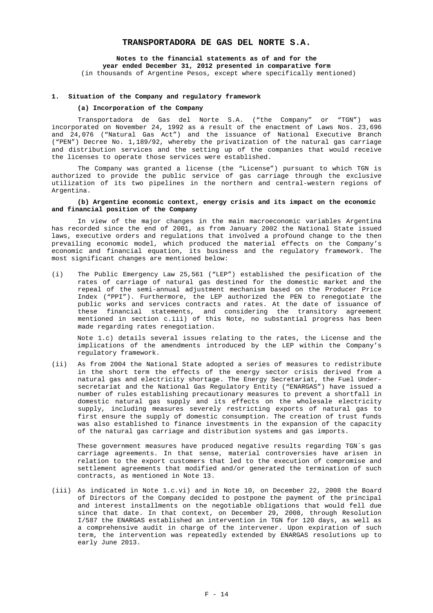**Notes to the financial statements as of and for the year ended December 31, 2012 presented in comparative form**  (in thousands of Argentine Pesos, except where specifically mentioned)

#### **1. Situation of the Company and regulatory framework**

### **(a) Incorporation of the Company**

Transportadora de Gas del Norte S.A. ("the Company" or "TGN") was incorporated on November 24, 1992 as a result of the enactment of Laws Nos. 23,696 and 24,076 ("Natural Gas Act") and the issuance of National Executive Branch ("PEN") Decree No. 1,189/92, whereby the privatization of the natural gas carriage and distribution services and the setting up of the companies that would receive the licenses to operate those services were established.

The Company was granted a license (the "License") pursuant to which TGN is authorized to provide the public service of gas carriage through the exclusive utilization of its two pipelines in the northern and central-western regions of Argentina.

# **(b) Argentine economic context, energy crisis and its impact on the economic and financial position of the Company**

In view of the major changes in the main macroeconomic variables Argentina has recorded since the end of 2001, as from January 2002 the National State issued laws, executive orders and regulations that involved a profound change to the then prevailing economic model, which produced the material effects on the Company's economic and financial equation, its business and the regulatory framework. The most significant changes are mentioned below:

(i) The Public Emergency Law 25,561 ("LEP") established the pesification of the rates of carriage of natural gas destined for the domestic market and the repeal of the semi-annual adjustment mechanism based on the Producer Price Index ("PPI"). Furthermore, the LEP authorized the PEN to renegotiate the public works and services contracts and rates. At the date of issuance of these financial statements, and considering the transitory agreement mentioned in section c.iii) of this Note, no substantial progress has been made regarding rates renegotiation.

Note 1.c) details several issues relating to the rates, the License and the implications of the amendments introduced by the LEP within the Company's regulatory framework.

(ii) As from 2004 the National State adopted a series of measures to redistribute in the short term the effects of the energy sector crisis derived from a natural gas and electricity shortage. The Energy Secretariat, the Fuel Undersecretariat and the National Gas Regulatory Entity ("ENARGAS") have issued a number of rules establishing precautionary measures to prevent a shortfall in domestic natural gas supply and its effects on the wholesale electricity supply, including measures severely restricting exports of natural gas to first ensure the supply of domestic consumption. The creation of trust funds was also established to finance investments in the expansion of the capacity of the natural gas carriage and distribution systems and gas imports.

These government measures have produced negative results regarding TGN´s gas carriage agreements. In that sense, material controversies have arisen in relation to the export customers that led to the execution of compromise and settlement agreements that modified and/or generated the termination of such contracts, as mentioned in Note 13.

(iii) As indicated in Note 1.c.vi) and in Note 10, on December 22, 2008 the Board of Directors of the Company decided to postpone the payment of the principal and interest installments on the negotiable obligations that would fell due since that date. In that context, on December 29, 2008, through Resolution I/587 the ENARGAS established an intervention in TGN for 120 days, as well as a comprehensive audit in charge of the intervener. Upon expiration of such term, the intervention was repeatedly extended by ENARGAS resolutions up to early June 2013.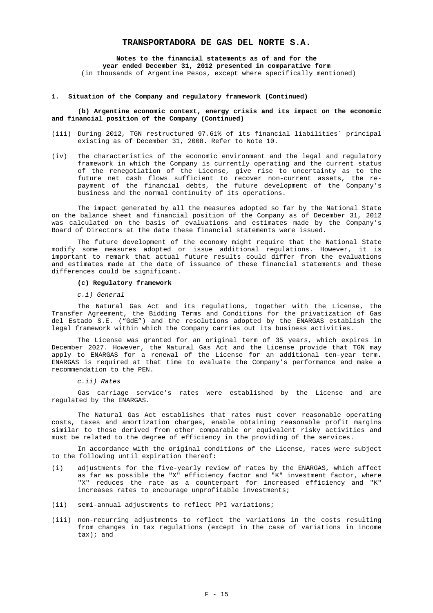**Notes to the financial statements as of and for the year ended December 31, 2012 presented in comparative form**  (in thousands of Argentine Pesos, except where specifically mentioned)

#### **1. Situation of the Company and regulatory framework (Continued)**

#### **(b) Argentine economic context, energy crisis and its impact on the economic and financial position of the Company (Continued)**

- (iii) During 2012, TGN restructured 97.61% of its financial liabilities´ principal existing as of December 31, 2008. Refer to Note 10.
- (iv) The characteristics of the economic environment and the legal and regulatory framework in which the Company is currently operating and the current status of the renegotiation of the License, give rise to uncertainty as to the future net cash flows sufficient to recover non-current assets, the repayment of the financial debts, the future development of the Company's business and the normal continuity of its operations.

The impact generated by all the measures adopted so far by the National State on the balance sheet and financial position of the Company as of December 31, 2012 was calculated on the basis of evaluations and estimates made by the Company's Board of Directors at the date these financial statements were issued.

The future development of the economy might require that the National State modify some measures adopted or issue additional regulations. However, it is important to remark that actual future results could differ from the evaluations and estimates made at the date of issuance of these financial statements and these differences could be significant.

# **(c) Regulatory framework**

#### *c.i) General*

The Natural Gas Act and its regulations, together with the License, the Transfer Agreement, the Bidding Terms and Conditions for the privatization of Gas del Estado S.E. ("GdE") and the resolutions adopted by the ENARGAS establish the legal framework within which the Company carries out its business activities.

The License was granted for an original term of 35 years, which expires in December 2027. However, the Natural Gas Act and the License provide that TGN may apply to ENARGAS for a renewal of the License for an additional ten-year term. ENARGAS is required at that time to evaluate the Company's performance and make a recommendation to the PEN.

*c.ii) Rates* 

Gas carriage service's rates were established by the License and are regulated by the ENARGAS.

The Natural Gas Act establishes that rates must cover reasonable operating costs, taxes and amortization charges, enable obtaining reasonable profit margins similar to those derived from other comparable or equivalent risky activities and must be related to the degree of efficiency in the providing of the services.

In accordance with the original conditions of the License, rates were subject to the following until expiration thereof:

- (i) adjustments for the five-yearly review of rates by the ENARGAS, which affect as far as possible the "X" efficiency factor and "K" investment factor, where "X" reduces the rate as a counterpart for increased efficiency and "K" increases rates to encourage unprofitable investments;
- (ii) semi-annual adjustments to reflect PPI variations;
- (iii) non-recurring adjustments to reflect the variations in the costs resulting from changes in tax regulations (except in the case of variations in income tax); and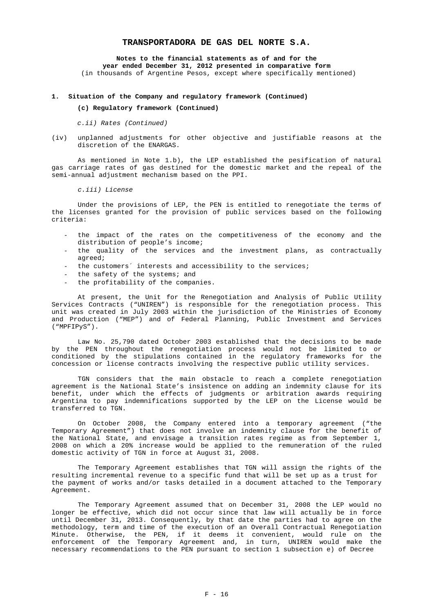**Notes to the financial statements as of and for the year ended December 31, 2012 presented in comparative form**  (in thousands of Argentine Pesos, except where specifically mentioned)

#### **1. Situation of the Company and regulatory framework (Continued)**

### **(c) Regulatory framework (Continued)**

*c.ii) Rates (Continued)* 

(iv) unplanned adjustments for other objective and justifiable reasons at the discretion of the ENARGAS.

As mentioned in Note 1.b), the LEP established the pesification of natural gas carriage rates of gas destined for the domestic market and the repeal of the semi-annual adjustment mechanism based on the PPI.

*c.iii) License* 

Under the provisions of LEP, the PEN is entitled to renegotiate the terms of the licenses granted for the provision of public services based on the following criteria:

- the impact of the rates on the competitiveness of the economy and the distribution of people's income;
- the quality of the services and the investment plans, as contractually agreed;
- the customers' interests and accessibility to the services;
- the safety of the systems; and
- the profitability of the companies.

At present, the Unit for the Renegotiation and Analysis of Public Utility Services Contracts ("UNIREN") is responsible for the renegotiation process. This unit was created in July 2003 within the jurisdiction of the Ministries of Economy and Production ("MEP") and of Federal Planning, Public Investment and Services ("MPFIPyS").

Law No. 25,790 dated October 2003 established that the decisions to be made by the PEN throughout the renegotiation process would not be limited to or conditioned by the stipulations contained in the regulatory frameworks for the concession or license contracts involving the respective public utility services.

TGN considers that the main obstacle to reach a complete renegotiation agreement is the National State's insistence on adding an indemnity clause for its benefit, under which the effects of judgments or arbitration awards requiring Argentina to pay indemnifications supported by the LEP on the License would be transferred to TGN.

On October 2008, the Company entered into a temporary agreement ("the Temporary Agreement") that does not involve an indemnity clause for the benefit of the National State, and envisage a transition rates regime as from September 1, 2008 on which a 20% increase would be applied to the remuneration of the ruled domestic activity of TGN in force at August 31, 2008.

The Temporary Agreement establishes that TGN will assign the rights of the resulting incremental revenue to a specific fund that will be set up as a trust for the payment of works and/or tasks detailed in a document attached to the Temporary Agreement.

The Temporary Agreement assumed that on December 31, 2008 the LEP would no longer be effective, which did not occur since that law will actually be in force until December 31, 2013. Consequently, by that date the parties had to agree on the methodology, term and time of the execution of an Overall Contractual Renegotiation Minute. Otherwise, the PEN, if it deems it convenient, would rule on the enforcement of the Temporary Agreement and, in turn, UNIREN would make the necessary recommendations to the PEN pursuant to section 1 subsection e) of Decree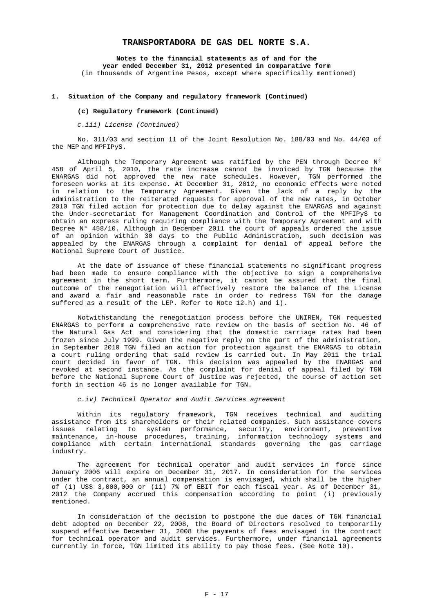**Notes to the financial statements as of and for the year ended December 31, 2012 presented in comparative form**  (in thousands of Argentine Pesos, except where specifically mentioned)

#### **1. Situation of the Company and regulatory framework (Continued)**

#### **(c) Regulatory framework (Continued)**

*c.iii) License (Continued)* 

No. 311/03 and section 11 of the Joint Resolution No. 188/03 and No. 44/03 of the MEP and MPFIPyS.

Although the Temporary Agreement was ratified by the PEN through Decree N° 458 of April 5, 2010, the rate increase cannot be invoiced by TGN because the ENARGAS did not approved the new rate schedules. However, TGN performed the foreseen works at its expense. At December 31, 2012, no economic effects were noted in relation to the Temporary Agreement. Given the lack of a reply by the administration to the reiterated requests for approval of the new rates, in October 2010 TGN filed action for protection due to delay against the ENARGAS and against the Under-secretariat for Management Coordination and Control of the MPFIPyS to obtain an express ruling requiring compliance with the Temporary Agreement and with Decree N° 458/10. Although in December 2011 the court of appeals ordered the issue of an opinion within 30 days to the Public Administration, such decision was appealed by the ENARGAS through a complaint for denial of appeal before the National Supreme Court of Justice.

At the date of issuance of these financial statements no significant progress had been made to ensure compliance with the objective to sign a comprehensive agreement in the short term. Furthermore, it cannot be assured that the final outcome of the renegotiation will effectively restore the balance of the License and award a fair and reasonable rate in order to redress TGN for the damage suffered as a result of the LEP. Refer to Note 12.h) and i).

Notwithstanding the renegotiation process before the UNIREN, TGN requested ENARGAS to perform a comprehensive rate review on the basis of section No. 46 of the Natural Gas Act and considering that the domestic carriage rates had been frozen since July 1999. Given the negative reply on the part of the administration, in September 2010 TGN filed an action for protection against the ENARGAS to obtain a court ruling ordering that said review is carried out. In May 2011 the trial court decided in favor of TGN. This decision was appealed by the ENARGAS and revoked at second instance. As the complaint for denial of appeal filed by TGN before the National Supreme Court of Justice was rejected, the course of action set forth in section 46 is no longer available for TGN.

*c.iv) Technical Operator and Audit Services agreement* 

Within its regulatory framework, TGN receives technical and auditing assistance from its shareholders or their related companies. Such assistance covers issues relating to system performance, security, environment, preventive maintenance, in-house procedures, training, information technology systems and compliance with certain international standards governing the gas carriage industry.

The agreement for technical operator and audit services in force since January 2006 will expire on December 31, 2017. In consideration for the services under the contract, an annual compensation is envisaged, which shall be the higher of (i) US\$ 3,000,000 or (ii) 7% of EBIT for each fiscal year. As of December 31, 2012 the Company accrued this compensation according to point (i) previously mentioned.

In consideration of the decision to postpone the due dates of TGN financial debt adopted on December 22, 2008, the Board of Directors resolved to temporarily suspend effective December 31, 2008 the payments of fees envisaged in the contract for technical operator and audit services. Furthermore, under financial agreements currently in force, TGN limited its ability to pay those fees. (See Note 10).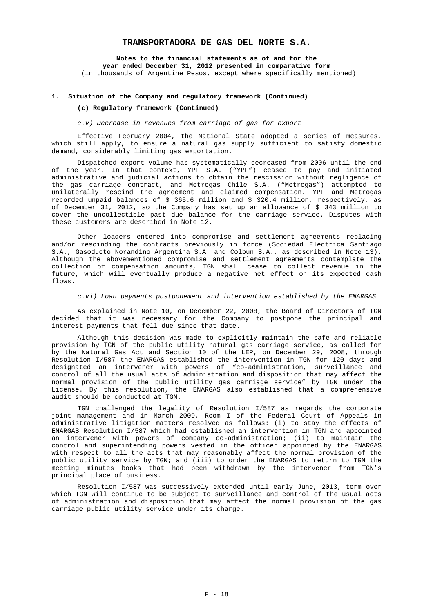**Notes to the financial statements as of and for the year ended December 31, 2012 presented in comparative form**  (in thousands of Argentine Pesos, except where specifically mentioned)

#### **1. Situation of the Company and regulatory framework (Continued)**

#### **(c) Regulatory framework (Continued)**

*c.v) Decrease in revenues from carriage of gas for export* 

Effective February 2004, the National State adopted a series of measures, which still apply, to ensure a natural gas supply sufficient to satisfy domestic demand, considerably limiting gas exportation.

Dispatched export volume has systematically decreased from 2006 until the end of the year. In that context, YPF S.A. ("YPF") ceased to pay and initiated administrative and judicial actions to obtain the rescission without negligence of the gas carriage contract, and Metrogas Chile S.A. ("Metrogas") attempted to unilaterally rescind the agreement and claimed compensation. YPF and Metrogas recorded unpaid balances of \$ 365.6 million and \$ 320.4 million, respectively, as of December 31, 2012, so the Company has set up an allowance of \$ 343 million to cover the uncollectible past due balance for the carriage service. Disputes with these customers are described in Note 12.

Other loaders entered into compromise and settlement agreements replacing and/or rescinding the contracts previously in force (Sociedad Eléctrica Santiago S.A., Gasoducto Norandino Argentina S.A. and Colbun S.A., as described in Note 13). Although the abovementioned compromise and settlement agreements contemplate the collection of compensation amounts, TGN shall cease to collect revenue in the future, which will eventually produce a negative net effect on its expected cash flows.

*c.vi) Loan payments postponement and intervention established by the ENARGAS* 

As explained in Note 10, on December 22, 2008, the Board of Directors of TGN decided that it was necessary for the Company to postpone the principal and interest payments that fell due since that date.

Although this decision was made to explicitly maintain the safe and reliable provision by TGN of the public utility natural gas carriage service, as called for by the Natural Gas Act and Section 10 of the LEP, on December 29, 2008, through Resolution I/587 the ENARGAS established the intervention in TGN for 120 days and designated an intervener with powers of "co-administration, surveillance and control of all the usual acts of administration and disposition that may affect the normal provision of the public utility gas carriage service" by TGN under the License. By this resolution, the ENARGAS also established that a comprehensive audit should be conducted at TGN.

TGN challenged the legality of Resolution I/587 as regards the corporate joint management and in March 2009, Room I of the Federal Court of Appeals in administrative litigation matters resolved as follows: (i) to stay the effects of ENARGAS Resolution I/587 which had established an intervention in TGN and appointed an intervener with powers of company co-administration; (ii) to maintain the control and superintending powers vested in the officer appointed by the ENARGAS with respect to all the acts that may reasonably affect the normal provision of the public utility service by TGN; and (iii) to order the ENARGAS to return to TGN the meeting minutes books that had been withdrawn by the intervener from TGN's principal place of business.

Resolution I/587 was successively extended until early June, 2013, term over which TGN will continue to be subject to surveillance and control of the usual acts of administration and disposition that may affect the normal provision of the gas carriage public utility service under its charge.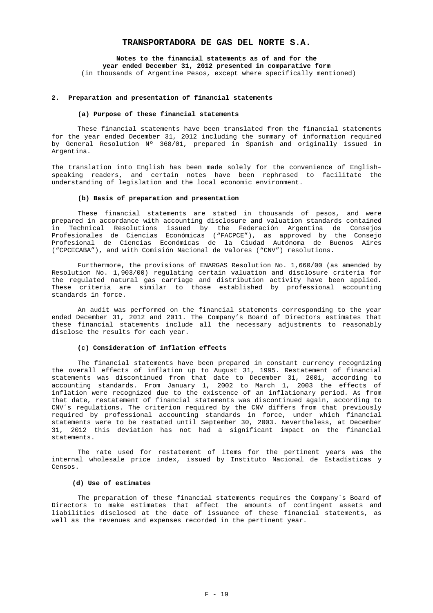**Notes to the financial statements as of and for the year ended December 31, 2012 presented in comparative form**  (in thousands of Argentine Pesos, except where specifically mentioned)

#### **2. Preparation and presentation of financial statements**

#### **(a) Purpose of these financial statements**

These financial statements have been translated from the financial statements for the year ended December 31, 2012 including the summary of information required by General Resolution Nº 368/01, prepared in Spanish and originally issued in Argentina.

The translation into English has been made solely for the convenience of English– speaking readers, and certain notes have been rephrased to facilitate the understanding of legislation and the local economic environment.

#### **(b) Basis of preparation and presentation**

These financial statements are stated in thousands of pesos, and were prepared in accordance with accounting disclosure and valuation standards contained in Technical Resolutions issued by the Federación Argentina de Consejos Profesionales de Ciencias Económicas ("FACPCE"), as approved by the Consejo Profesional de Ciencias Económicas de la Ciudad Autónoma de Buenos Aires ("CPCECABA"), and with Comisión Nacional de Valores ("CNV") resolutions.

Furthermore, the provisions of ENARGAS Resolution No. 1,660/00 (as amended by Resolution No. 1,903/00) regulating certain valuation and disclosure criteria for the regulated natural gas carriage and distribution activity have been applied. These criteria are similar to those established by professional accounting standards in force.

An audit was performed on the financial statements corresponding to the year ended December 31, 2012 and 2011. The Company's Board of Directors estimates that these financial statements include all the necessary adjustments to reasonably disclose the results for each year.

#### **(c) Consideration of inflation effects**

The financial statements have been prepared in constant currency recognizing the overall effects of inflation up to August 31, 1995. Restatement of financial statements was discontinued from that date to December 31, 2001, according to accounting standards. From January 1, 2002 to March 1, 2003 the effects of inflation were recognized due to the existence of an inflationary period. As from that date, restatement of financial statements was discontinued again, according to CNV´s regulations. The criterion required by the CNV differs from that previously required by professional accounting standards in force, under which financial statements were to be restated until September 30, 2003. Nevertheless, at December 31, 2012 this deviation has not had a significant impact on the financial statements.

The rate used for restatement of items for the pertinent years was the internal wholesale price index, issued by Instituto Nacional de Estadísticas y Censos.

### **(d) Use of estimates**

The preparation of these financial statements requires the Company´s Board of Directors to make estimates that affect the amounts of contingent assets and liabilities disclosed at the date of issuance of these financial statements, as well as the revenues and expenses recorded in the pertinent year.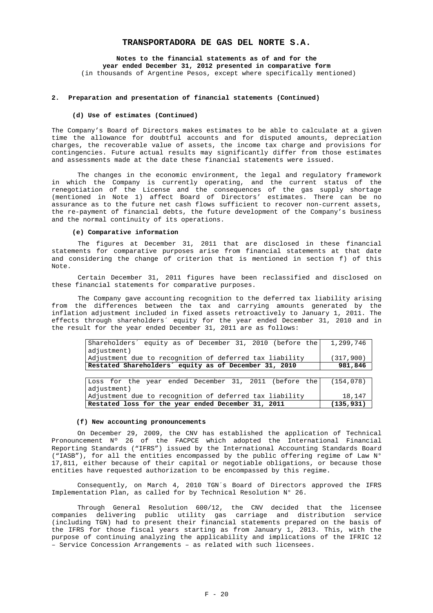**Notes to the financial statements as of and for the year ended December 31, 2012 presented in comparative form**  (in thousands of Argentine Pesos, except where specifically mentioned)

#### **2. Preparation and presentation of financial statements (Continued)**

#### **(d) Use of estimates (Continued)**

The Company's Board of Directors makes estimates to be able to calculate at a given time the allowance for doubtful accounts and for disputed amounts, depreciation charges, the recoverable value of assets, the income tax charge and provisions for contingencies. Future actual results may significantly differ from those estimates and assessments made at the date these financial statements were issued.

The changes in the economic environment, the legal and regulatory framework in which the Company is currently operating, and the current status of the renegotiation of the License and the consequences of the gas supply shortage (mentioned in Note 1) affect Board of Directors' estimates. There can be no assurance as to the future net cash flows sufficient to recover non-current assets, the re-payment of financial debts, the future development of the Company's business and the normal continuity of its operations.

#### **(e) Comparative information**

The figures at December 31, 2011 that are disclosed in these financial statements for comparative purposes arise from financial statements at that date and considering the change of criterion that is mentioned in section f) of this Note.

Certain December 31, 2011 figures have been reclassified and disclosed on these financial statements for comparative purposes.

The Company gave accounting recognition to the deferred tax liability arising from the differences between the tax and carrying amounts generated by the inflation adjustment included in fixed assets retroactively to January 1, 2011. The effects through shareholders´ equity for the year ended December 31, 2010 and in the result for the year ended December 31, 2011 are as follows:

| Shareholders' equity as of December 31, 2010 (before the | 1,299,746  |
|----------------------------------------------------------|------------|
| adjustment)                                              |            |
| Adjustment due to recognition of deferred tax liability  | (317, 900) |
| Restated Shareholders' equity as of December 31, 2010    | 981,846    |
|                                                          |            |
| Loss for the year ended December 31, 2011 (before the    | (154, 078) |
| adjustment)                                              |            |
| Adjustment due to recognition of deferred tax liability  | 18,147     |
| Restated loss for the year ended December 31, 2011       | (135, 931) |

#### **(f) New accounting pronouncements**

On December 29, 2009, the CNV has established the application of Technical Pronouncement Nº 26 of the FACPCE which adopted the International Financial Reporting Standards ("IFRS") issued by the International Accounting Standards Board ("IASB"), for all the entities encompassed by the public offering regime of Law N° 17,811, either because of their capital or negotiable obligations, or because those entities have requested authorization to be encompassed by this regime.

Consequently, on March 4, 2010 TGN´s Board of Directors approved the IFRS Implementation Plan, as called for by Technical Resolution N° 26.

Through General Resolution 600/12, the CNV decided that the licensee companies delivering public utility gas carriage and distribution service (including TGN) had to present their financial statements prepared on the basis of the IFRS for those fiscal years starting as from January 1, 2013. This, with the purpose of continuing analyzing the applicability and implications of the IFRIC 12 – Service Concession Arrangements – as related with such licensees.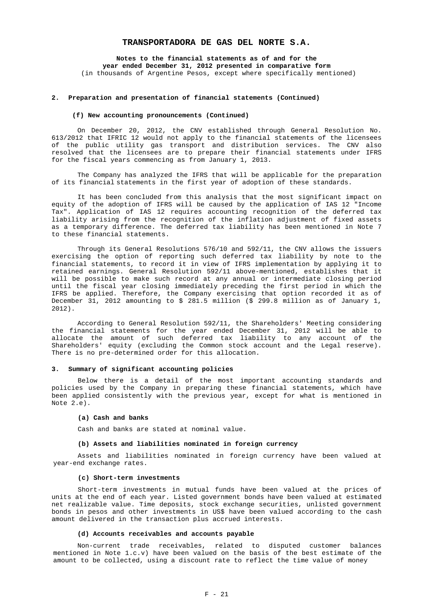**Notes to the financial statements as of and for the year ended December 31, 2012 presented in comparative form**  (in thousands of Argentine Pesos, except where specifically mentioned)

#### **2. Preparation and presentation of financial statements (Continued)**

#### **(f) New accounting pronouncements (Continued)**

On December 20, 2012, the CNV established through General Resolution No. 613/2012 that IFRIC 12 would not apply to the financial statements of the licensees of the public utility gas transport and distribution services. The CNV also resolved that the licensees are to prepare their financial statements under IFRS for the fiscal years commencing as from January 1, 2013.

The Company has analyzed the IFRS that will be applicable for the preparation of its financial statements in the first year of adoption of these standards.

It has been concluded from this analysis that the most significant impact on equity of the adoption of IFRS will be caused by the application of IAS 12 "Income Tax". Application of IAS 12 requires accounting recognition of the deferred tax liability arising from the recognition of the inflation adjustment of fixed assets as a temporary difference. The deferred tax liability has been mentioned in Note 7 to these financial statements.

Through its General Resolutions 576/10 and 592/11, the CNV allows the issuers exercising the option of reporting such deferred tax liability by note to the financial statements, to record it in view of IFRS implementation by applying it to retained earnings. General Resolution 592/11 above-mentioned, establishes that it will be possible to make such record at any annual or intermediate closing period until the fiscal year closing immediately preceding the first period in which the IFRS be applied. Therefore, the Company exercising that option recorded it as of December 31, 2012 amounting to \$ 281.5 million (\$ 299.8 million as of January 1, 2012).

According to General Resolution 592/11, the Shareholders' Meeting considering the financial statements for the year ended December 31, 2012 will be able to allocate the amount of such deferred tax liability to any account of the Shareholders' equity (excluding the Common stock account and the Legal reserve). There is no pre-determined order for this allocation.

#### **3. Summary of significant accounting policies**

Below there is a detail of the most important accounting standards and policies used by the Company in preparing these financial statements, which have been applied consistently with the previous year, except for what is mentioned in Note 2.e).

### **(a) Cash and banks**

Cash and banks are stated at nominal value.

#### **(b) Assets and liabilities nominated in foreign currency**

Assets and liabilities nominated in foreign currency have been valued at year-end exchange rates.

#### **(c) Short-term investments**

Short-term investments in mutual funds have been valued at the prices of units at the end of each year. Listed government bonds have been valued at estimated net realizable value. Time deposits, stock exchange securities, unlisted government bonds in pesos and other investments in US\$ have been valued according to the cash amount delivered in the transaction plus accrued interests.

#### **(d) Accounts receivables and accounts payable**

Non-current trade receivables, related to disputed customer balances mentioned in Note 1.c.v) have been valued on the basis of the best estimate of the amount to be collected, using a discount rate to reflect the time value of money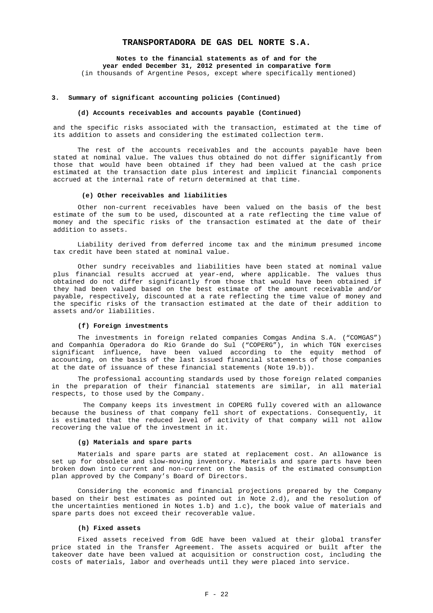**Notes to the financial statements as of and for the year ended December 31, 2012 presented in comparative form**  (in thousands of Argentine Pesos, except where specifically mentioned)

### **3. Summary of significant accounting policies (Continued)**

#### **(d) Accounts receivables and accounts payable (Continued)**

and the specific risks associated with the transaction, estimated at the time of its addition to assets and considering the estimated collection term.

The rest of the accounts receivables and the accounts payable have been stated at nominal value. The values thus obtained do not differ significantly from those that would have been obtained if they had been valued at the cash price estimated at the transaction date plus interest and implicit financial components accrued at the internal rate of return determined at that time.

# **(e) Other receivables and liabilities**

Other non-current receivables have been valued on the basis of the best estimate of the sum to be used, discounted at a rate reflecting the time value of money and the specific risks of the transaction estimated at the date of their addition to assets.

Liability derived from deferred income tax and the minimum presumed income tax credit have been stated at nominal value.

Other sundry receivables and liabilities have been stated at nominal value plus financial results accrued at year-end, where applicable. The values thus obtained do not differ significantly from those that would have been obtained if they had been valued based on the best estimate of the amount receivable and/or payable, respectively, discounted at a rate reflecting the time value of money and the specific risks of the transaction estimated at the date of their addition to assets and/or liabilities.

#### **(f) Foreign investments**

The investments in foreign related companies Comgas Andina S.A. ("COMGAS") and Companhía Operadora do Rio Grande do Sul ("COPERG"), in which TGN exercises significant influence, have been valued according to the equity method of accounting, on the basis of the last issued financial statements of those companies at the date of issuance of these financial statements (Note 19.b)).

The professional accounting standards used by those foreign related companies in the preparation of their financial statements are similar, in all material respects, to those used by the Company.

The Company keeps its investment in COPERG fully covered with an allowance because the business of that company fell short of expectations. Consequently, it is estimated that the reduced level of activity of that company will not allow recovering the value of the investment in it.

#### **(g) Materials and spare parts**

Materials and spare parts are stated at replacement cost. An allowance is set up for obsolete and slow-moving inventory. Materials and spare parts have been broken down into current and non-current on the basis of the estimated consumption plan approved by the Company's Board of Directors.

Considering the economic and financial projections prepared by the Company based on their best estimates as pointed out in Note 2.d), and the resolution of the uncertainties mentioned in Notes 1.b) and 1.c), the book value of materials and spare parts does not exceed their recoverable value.

#### **(h) Fixed assets**

Fixed assets received from GdE have been valued at their global transfer price stated in the Transfer Agreement. The assets acquired or built after the takeover date have been valued at acquisition or construction cost, including the costs of materials, labor and overheads until they were placed into service.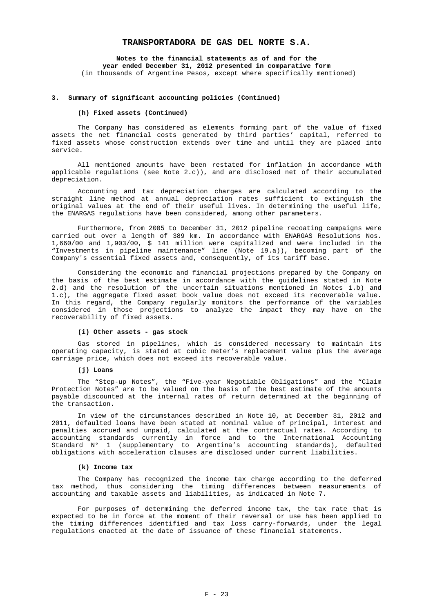**Notes to the financial statements as of and for the year ended December 31, 2012 presented in comparative form**  (in thousands of Argentine Pesos, except where specifically mentioned)

#### **3. Summary of significant accounting policies (Continued)**

#### **(h) Fixed assets (Continued)**

The Company has considered as elements forming part of the value of fixed assets the net financial costs generated by third parties' capital, referred to fixed assets whose construction extends over time and until they are placed into service.

All mentioned amounts have been restated for inflation in accordance with applicable regulations (see Note 2.c)), and are disclosed net of their accumulated depreciation.

Accounting and tax depreciation charges are calculated according to the straight line method at annual depreciation rates sufficient to extinguish the original values at the end of their useful lives. In determining the useful life, the ENARGAS regulations have been considered, among other parameters.

Furthermore, from 2005 to December 31, 2012 pipeline recoating campaigns were carried out over a length of 389 km. In accordance with ENARGAS Resolutions Nos. 1,660/00 and 1,903/00, \$ 141 million were capitalized and were included in the "Investments in pipeline maintenance" line (Note 19.a)), becoming part of the Company's essential fixed assets and, consequently, of its tariff base.

Considering the economic and financial projections prepared by the Company on the basis of the best estimate in accordance with the guidelines stated in Note 2.d) and the resolution of the uncertain situations mentioned in Notes 1.b) and 1.c), the aggregate fixed asset book value does not exceed its recoverable value. In this regard, the Company regularly monitors the performance of the variables considered in those projections to analyze the impact they may have on the recoverability of fixed assets.

### **(i) Other assets - gas stock**

Gas stored in pipelines, which is considered necessary to maintain its operating capacity, is stated at cubic meter's replacement value plus the average carriage price, which does not exceed its recoverable value.

#### **(j) Loans**

The "Step-up Notes", the "Five-year Negotiable Obligations" and the "Claim Protection Notes" are to be valued on the basis of the best estimate of the amounts payable discounted at the internal rates of return determined at the beginning of the transaction.

In view of the circumstances described in Note 10, at December 31, 2012 and 2011, defaulted loans have been stated at nominal value of principal, interest and penalties accrued and unpaid, calculated at the contractual rates. According to accounting standards currently in force and to the International Accounting Standard N° 1 (supplementary to Argentina's accounting standards), defaulted obligations with acceleration clauses are disclosed under current liabilities.

#### **(k) Income tax**

The Company has recognized the income tax charge according to the deferred tax method, thus considering the timing differences between measurements of accounting and taxable assets and liabilities, as indicated in Note 7.

For purposes of determining the deferred income tax, the tax rate that is expected to be in force at the moment of their reversal or use has been applied to the timing differences identified and tax loss carry-forwards, under the legal regulations enacted at the date of issuance of these financial statements.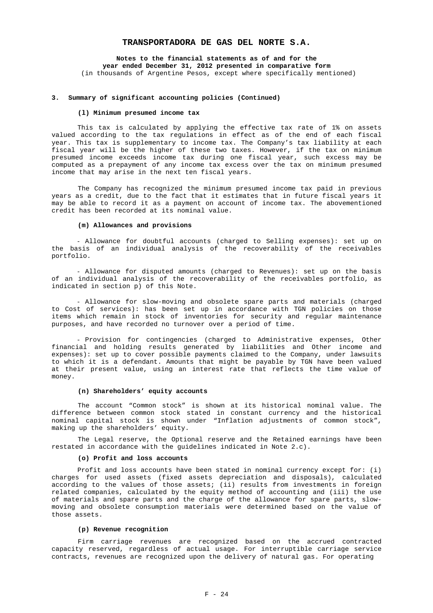**Notes to the financial statements as of and for the year ended December 31, 2012 presented in comparative form**  (in thousands of Argentine Pesos, except where specifically mentioned)

#### **3. Summary of significant accounting policies (Continued)**

#### **(l) Minimum presumed income tax**

This tax is calculated by applying the effective tax rate of 1% on assets valued according to the tax regulations in effect as of the end of each fiscal year. This tax is supplementary to income tax. The Company's tax liability at each fiscal year will be the higher of these two taxes. However, if the tax on minimum presumed income exceeds income tax during one fiscal year, such excess may be computed as a prepayment of any income tax excess over the tax on minimum presumed income that may arise in the next ten fiscal years.

The Company has recognized the minimum presumed income tax paid in previous years as a credit, due to the fact that it estimates that in future fiscal years it may be able to record it as a payment on account of income tax. The abovementioned credit has been recorded at its nominal value.

#### **(m) Allowances and provisions**

- Allowance for doubtful accounts (charged to Selling expenses): set up on the basis of an individual analysis of the recoverability of the receivables portfolio.

- Allowance for disputed amounts (charged to Revenues): set up on the basis of an individual analysis of the recoverability of the receivables portfolio, as indicated in section p) of this Note.

- Allowance for slow-moving and obsolete spare parts and materials (charged to Cost of services): has been set up in accordance with TGN policies on those items which remain in stock of inventories for security and regular maintenance purposes, and have recorded no turnover over a period of time.

- Provision for contingencies (charged to Administrative expenses, Other financial and holding results generated by liabilities and Other income and expenses): set up to cover possible payments claimed to the Company, under lawsuits to which it is a defendant. Amounts that might be payable by TGN have been valued at their present value, using an interest rate that reflects the time value of money.

#### **(n) Shareholders' equity accounts**

The account "Common stock" is shown at its historical nominal value. The difference between common stock stated in constant currency and the historical nominal capital stock is shown under "Inflation adjustments of common stock", making up the shareholders' equity.

The Legal reserve, the Optional reserve and the Retained earnings have been restated in accordance with the guidelines indicated in Note 2.c).

### **(o) Profit and loss accounts**

Profit and loss accounts have been stated in nominal currency except for: (i) charges for used assets (fixed assets depreciation and disposals), calculated according to the values of those assets; (ii) results from investments in foreign related companies, calculated by the equity method of accounting and (iii) the use of materials and spare parts and the charge of the allowance for spare parts, slowmoving and obsolete consumption materials were determined based on the value of those assets.

### **(p) Revenue recognition**

 Firm carriage revenues are recognized based on the accrued contracted capacity reserved, regardless of actual usage. For interruptible carriage service contracts, revenues are recognized upon the delivery of natural gas. For operating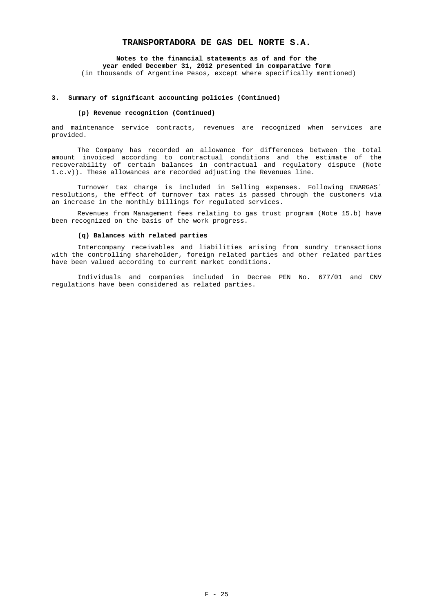**Notes to the financial statements as of and for the year ended December 31, 2012 presented in comparative form**  (in thousands of Argentine Pesos, except where specifically mentioned)

#### **3. Summary of significant accounting policies (Continued)**

#### **(p) Revenue recognition (Continued)**

and maintenance service contracts, revenues are recognized when services are provided.

The Company has recorded an allowance for differences between the total amount invoiced according to contractual conditions and the estimate of the recoverability of certain balances in contractual and regulatory dispute (Note 1.c.v)). These allowances are recorded adjusting the Revenues line.

Turnover tax charge is included in Selling expenses. Following ENARGAS´ resolutions, the effect of turnover tax rates is passed through the customers via an increase in the monthly billings for regulated services.

Revenues from Management fees relating to gas trust program (Note 15.b) have been recognized on the basis of the work progress.

### **(q) Balances with related parties**

Intercompany receivables and liabilities arising from sundry transactions with the controlling shareholder, foreign related parties and other related parties have been valued according to current market conditions.

Individuals and companies included in Decree PEN No. 677/01 and CNV regulations have been considered as related parties.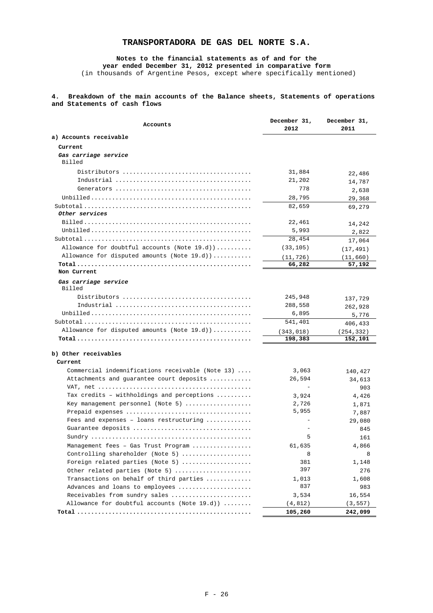# **Notes to the financial statements as of and for the year ended December 31, 2012 presented in comparative form**

(in thousands of Argentine Pesos, except where specifically mentioned)

# **4. Breakdown of the main accounts of the Balance sheets, Statements of operations and Statements of cash flows**

|                                                    | December 31, | December 31, |  |
|----------------------------------------------------|--------------|--------------|--|
| Accounts                                           | 2012         | 2011         |  |
| a) Accounts receivable                             |              |              |  |
| Current                                            |              |              |  |
| Gas carriage service                               |              |              |  |
| Billed                                             |              |              |  |
|                                                    | 31,884       | 22,486       |  |
|                                                    | 21,202       | 14,787       |  |
|                                                    | 778          | 2,638        |  |
|                                                    | 28,795       | 29,368       |  |
|                                                    | 82,659       | 69,279       |  |
| Other services                                     |              |              |  |
|                                                    | 22,461       | 14,242       |  |
|                                                    | 5,993        | 2,822        |  |
|                                                    | 28,454       | 17,064       |  |
| Allowance for doubtful accounts (Note $19.d$ ))    | (33, 105)    | (17, 491)    |  |
| Allowance for disputed amounts (Note $19.d)$ )     | (11, 726)    | (11, 660)    |  |
|                                                    | 66,282       | 57,192       |  |
| Non Current                                        |              |              |  |
| Gas carriage service<br>Billed                     |              |              |  |
|                                                    | 245,948      | 137,729      |  |
|                                                    | 288,558      | 262,928      |  |
|                                                    | 6,895        | 5,776        |  |
|                                                    | 541,401      | 406,433      |  |
| Allowance for disputed amounts (Note $19.d)$ )     | (343, 018)   | (254,332)    |  |
|                                                    | 198,383      | 152,101      |  |
|                                                    |              |              |  |
| b) Other receivables                               |              |              |  |
| Current                                            |              |              |  |
| Commercial indemnifications receivable (Note $13)$ | 3,063        | 140,427      |  |
| Attachments and guarantee court deposits           | 26,594       | 34,613       |  |
|                                                    | $\sim$       | 903          |  |
| Tax credits - withholdings and perceptions         | 3,924        | 4,426        |  |
| Key management personnel (Note 5)                  | 2,726        | 1,871        |  |
|                                                    | 5,955        | 7,887        |  |
| Fees and expenses - loans restructuring            |              | 29,080       |  |
|                                                    |              | 845          |  |
|                                                    | 5            | 161          |  |
| Management fees - Gas Trust Program                | 61,635       | 4,866        |  |
| Controlling shareholder (Note 5)                   | 8            | 8            |  |
| Foreign related parties (Note 5)                   | 381          | 1,148        |  |
| Other related parties (Note 5)                     | 397          | 276          |  |
| Transactions on behalf of third parties            | 1,013        | 1,608        |  |
| Advances and loans to employees                    | 837          | 983          |  |
| Receivables from sundry sales                      | 3,534        | 16,554       |  |
| Allowance for doubtful accounts (Note $19.d)$ )    | (4, 812)     | (3, 557)     |  |
|                                                    | 105,260      | 242,099      |  |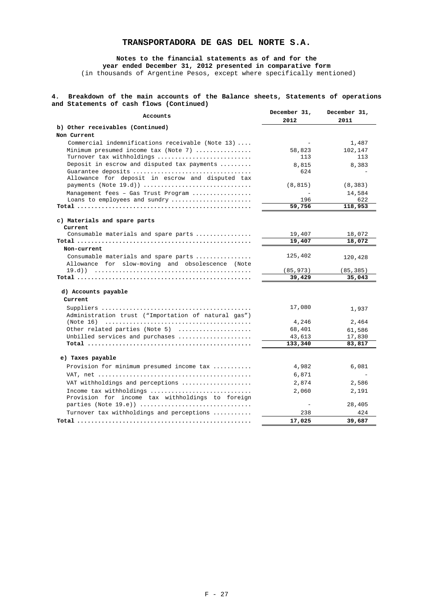# **Notes to the financial statements as of and for the year ended December 31, 2012 presented in comparative form**

(in thousands of Argentine Pesos, except where specifically mentioned)

# **4. Breakdown of the main accounts of the Balance sheets, Statements of operations and Statements of cash flows (Continued)**

| Accounts                                                                                 | December 31, | December 31, |
|------------------------------------------------------------------------------------------|--------------|--------------|
|                                                                                          | 2012         | 2011         |
| b) Other receivables (Continued)<br>Non Current                                          |              |              |
| Commercial indemnifications receivable (Note $13)$                                       |              | 1,487        |
| Minimum presumed income $\text{tax}$ (Note 7)                                            | 58,823       | 102,147      |
| Turnover tax withholdings                                                                | 113          | 113          |
| Deposit in escrow and disputed tax payments                                              | 8,815        | 8,383        |
| Guarantee deposits<br>Allowance for deposit in escrow and disputed tax                   | 624          |              |
| payments (Note 19.d))                                                                    | (8, 815)     | (8, 383)     |
| Management fees - Gas Trust Program                                                      | $\sim$       | 14,584       |
| Loans to employees and sundry                                                            | 196          | 622          |
|                                                                                          | 59,756       | 118,953      |
| c) Materials and spare parts<br>Current                                                  |              |              |
| Consumable materials and spare parts                                                     | 19,407       | 18,072       |
|                                                                                          | 19,407       | 18,072       |
| Non-current                                                                              |              |              |
| Consumable materials and spare parts<br>Allowance for slow-moving and obsolescence (Note | 125,402      | 120,428      |
|                                                                                          | (85, 973)    | (85, 385)    |
|                                                                                          | 39,429       | 35,043       |
| d) Accounts payable                                                                      |              |              |
| Current                                                                                  |              |              |
| Administration trust ("Importation of natural gas")                                      | 17,080       | 1,937        |
|                                                                                          | 4,246        | 2,464        |
| Other related parties (Note 5)                                                           | 68,401       | 61,586       |
| Unbilled services and purchases                                                          | 43,613       | 17,830       |
|                                                                                          | 133,340      | 83,817       |
| e) Taxes payable                                                                         |              |              |
| Provision for minimum presumed income tax                                                | 4,982        | 6,081        |
|                                                                                          | 6,871        |              |
| VAT withholdings and perceptions                                                         | 2,874        | 2,586        |
| Income tax withholdings                                                                  | 2,060        | 2,191        |
| Provision for income tax withholdings to foreign<br>parties (Note 19.e))                 |              | 28,405       |
|                                                                                          |              |              |
| Turnover tax withholdings and perceptions                                                | 238          | 424          |
|                                                                                          | 17,025       | 39,687       |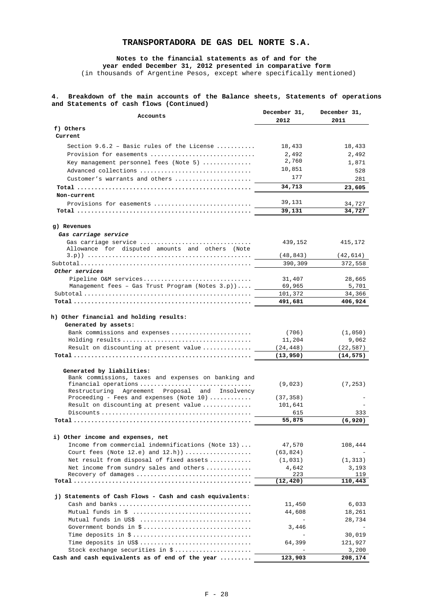**Notes to the financial statements as of and for the year ended December 31, 2012 presented in comparative form** 

(in thousands of Argentine Pesos, except where specifically mentioned)

# **4. Breakdown of the main accounts of the Balance sheets, Statements of operations and Statements of cash flows (Continued)**

| Accounts                                                 | December 31,<br>2012 | December 31,<br>2011 |
|----------------------------------------------------------|----------------------|----------------------|
| f) Others                                                |                      |                      |
| Current                                                  |                      |                      |
| Section $9.6.2$ - Basic rules of the License             | 18,433               | 18,433               |
| Provision for easements                                  | 2,492                | 2,492                |
| Key management personnel fees (Note 5)                   | 2,760                | 1,871                |
| Advanced collections                                     | 10,851               | 528                  |
| Customer's warrants and others                           | 177                  | 281                  |
|                                                          | 34,713               | 23,605               |
| Non-current                                              |                      |                      |
| Provisions for easements                                 | 39,131               | 34,727               |
|                                                          | 39,131               | 34,727               |
| g) Revenues                                              |                      |                      |
| Gas carriage service                                     |                      |                      |
| Gas carriage service                                     | 439,152              | 415,172              |
| Allowance for disputed amounts and others (Note          |                      |                      |
|                                                          | (48, 843)            | (42,614)             |
|                                                          | 390,309              | 372,558              |
| Other services                                           |                      |                      |
| Pipeline O&M services                                    | 31,407               | 28,665               |
| Management fees - Gas Trust Program (Notes 3.p))         | 69,965               | 5,701                |
|                                                          | 101,372<br>491,681   | 34,366<br>406,924    |
|                                                          |                      |                      |
| h) Other financial and holding results:                  |                      |                      |
| Generated by assets:                                     |                      |                      |
| Bank commissions and expenses                            | (706)                | (1,050)              |
|                                                          | 11,204               | 9,062                |
| Result on discounting at present value                   | (24, 448)            | (22,587)             |
|                                                          | (13, 950)            | (14,575)             |
| Generated by liabilities:                                |                      |                      |
| Bank commissions, taxes and expenses on banking and      |                      |                      |
| financial operations                                     | (9,023)              | (7, 253)             |
| Restructuring Agreement Proposal and Insolvency          |                      |                      |
| Proceeding - Fees and expenses (Note $10)$               | (37, 358)            |                      |
| Result on discounting at present value                   | 101,641              |                      |
|                                                          | 615<br>55,875        | 333                  |
|                                                          |                      | (6,920)              |
| i) Other income and expenses, net                        |                      |                      |
| Income from commercial indemnifications (Note 13)        | 47,570               | 108,444              |
| Court fees (Note 12.e) and $12.h$ )                      | (63, 824)            |                      |
| Net result from disposal of fixed assets                 | (1, 031)             | (1, 313)             |
| Net income from sundry sales and others                  | 4,642                | 3,193                |
| Recovery of damages                                      | 223                  | 119                  |
|                                                          | (12, 420)            | 110,443              |
| j) Statements of Cash Flows - Cash and cash equivalents: |                      |                      |
|                                                          | 11,450               | 6,033                |
|                                                          | 44,608               | 18,261               |
| Mutual funds in US\$                                     |                      | 28,734               |
|                                                          | 3,446                |                      |
|                                                          |                      | 30,019               |
| Time deposits in US\$                                    | 64,399               | 121,927              |
| Stock exchange securities in \$                          |                      | 3,200                |
| Cash and cash equivalents as of end of the year          | 123,903              | 208,174              |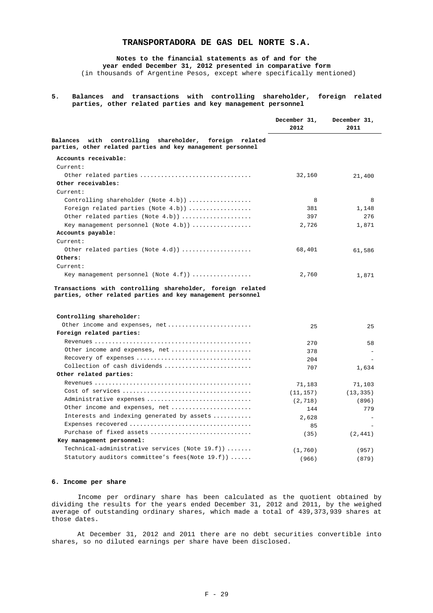**Notes to the financial statements as of and for the year ended December 31, 2012 presented in comparative form** 

(in thousands of Argentine Pesos, except where specifically mentioned)

**5. Balances and transactions with controlling shareholder, foreign related parties, other related parties and key management personnel** 

|                                                                                                                                   | December 31,<br>2012 | December 31,<br>2011 |
|-----------------------------------------------------------------------------------------------------------------------------------|----------------------|----------------------|
| with controlling<br>shareholder,<br>foreign<br>Balances<br>related<br>parties, other related parties and key management personnel |                      |                      |
| Accounts receivable:                                                                                                              |                      |                      |
| Current:                                                                                                                          |                      |                      |
| Other related parties                                                                                                             | 32,160               | 21,400               |
| Other receivables:                                                                                                                |                      |                      |
| Current:                                                                                                                          |                      |                      |
| Controlling shareholder (Note 4.b))                                                                                               | 8                    | 8                    |
| Foreign related parties (Note $4.b)$ )                                                                                            | 381                  | 1,148                |
| Other related parties (Note 4.b))                                                                                                 | 397                  | 276                  |
| Key management personnel (Note $4.b$ ))                                                                                           | 2,726                | 1,871                |
| Accounts payable:                                                                                                                 |                      |                      |
| Current:                                                                                                                          |                      |                      |
| Other related parties (Note $4.d)$ )                                                                                              | 68,401               | 61,586               |
| Others:                                                                                                                           |                      |                      |
| Current:                                                                                                                          |                      |                      |
| Key management personnel (Note $4.f$ ))                                                                                           | 2,760                | 1,871                |
| Controlling shareholder:                                                                                                          |                      |                      |
| Other income and expenses, net                                                                                                    |                      |                      |
| Foreign related parties:                                                                                                          | 25                   | 25                   |
|                                                                                                                                   |                      |                      |
|                                                                                                                                   | 270                  | 58                   |
| Other income and expenses, net                                                                                                    | 378                  |                      |
|                                                                                                                                   | 204                  |                      |
| Collection of cash dividends                                                                                                      | 707                  | 1,634                |
| Other related parties:                                                                                                            |                      |                      |
|                                                                                                                                   | 71,183               | 71,103               |
|                                                                                                                                   | (11, 157)            | (13, 335)            |
| Administrative expenses                                                                                                           | (2, 718)             | (896)                |
| Other income and expenses, net                                                                                                    | 144                  | 779                  |
| Interests and indexing generated by assets                                                                                        | 2,628                |                      |
| Expenses recovered                                                                                                                | 85                   |                      |
| Purchase of fixed assets                                                                                                          | (35)                 | (2, 441)             |
| Key management personnel:                                                                                                         |                      |                      |
| Technical-administrative services (Note $19.f$ ))                                                                                 | (1, 760)             | (957)                |
| Statutory auditors committee's fees(Note 19.f))                                                                                   | (966)                | (879)                |

### **6. Income per share**

Income per ordinary share has been calculated as the quotient obtained by dividing the results for the years ended December 31, 2012 and 2011, by the weighed average of outstanding ordinary shares, which made a total of 439,373,939 shares at those dates.

At December 31, 2012 and 2011 there are no debt securities convertible into shares, so no diluted earnings per share have been disclosed.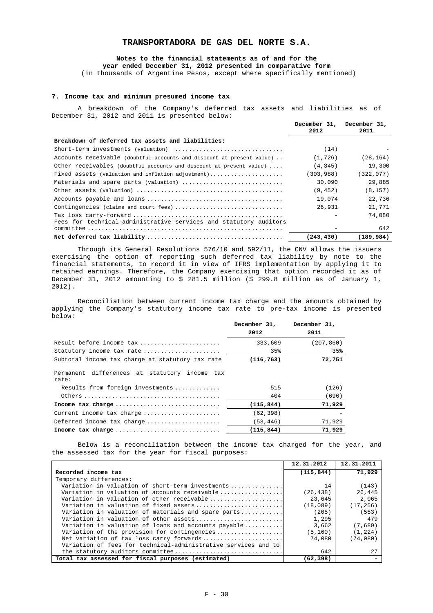### **Notes to the financial statements as of and for the year ended December 31, 2012 presented in comparative form**

(in thousands of Argentine Pesos, except where specifically mentioned)

# **7. Income tax and minimum presumed income tax**

A breakdown of the Company's deferred tax assets and liabilities as of December 31, 2012 and 2011 is presented below:

|                                                                       | December 31, December 31,<br>2012 | 2011       |
|-----------------------------------------------------------------------|-----------------------------------|------------|
| Breakdown of deferred tax assets and liabilities:                     |                                   |            |
| Short-term investments (valuation)                                    | (14)                              |            |
| Accounts receivable (doubtful accounts and discount at present value) | (1, 726)                          | (28, 164)  |
| Other receivables (doubtful accounts and discount at present value)   | (4, 345)                          | 19,300     |
| Fixed assets (valuation and inflation adjustment)                     | (303,988)                         | (322,077)  |
| Materials and spare parts (valuation)                                 | 30,090                            | 29,885     |
|                                                                       | (9, 452)                          | (8, 157)   |
|                                                                       | 19,074                            | 22,736     |
| Contingencies (claims and court fees)                                 | 26,931                            | 21,771     |
|                                                                       |                                   | 74,080     |
| Fees for technical-administrative services and statutory auditors     |                                   | 642        |
|                                                                       | (243, 430)                        | (189, 984) |

Through its General Resolutions 576/10 and 592/11, the CNV allows the issuers exercising the option of reporting such deferred tax liability by note to the financial statements, to record it in view of IFRS implementation by applying it to retained earnings. Therefore, the Company exercising that option recorded it as of December 31, 2012 amounting to \$ 281.5 million (\$ 299.8 million as of January 1, 2012).

Reconciliation between current income tax charge and the amounts obtained by applying the Company's statutory income tax rate to pre-tax income is presented below:

|                                                                                       | December 31, | December 31, |
|---------------------------------------------------------------------------------------|--------------|--------------|
|                                                                                       | 2012         | 2011         |
| Result before income tax                                                              | 333,609      | (207, 860)   |
| Statutory income tax rate                                                             | 35%          | 35%          |
| Subtotal income tax charge at statutory tax rate                                      | (116, 763)   | 72,751       |
| Permanent differences at statutory income tax<br>rate:                                |              |              |
| Results from foreign investments                                                      | 515          | (126)        |
| Others $\ldots \ldots \ldots \ldots \ldots \ldots \ldots \ldots \ldots \ldots \ldots$ | 404          | (696)        |
| Income tax charge                                                                     | (115, 844)   | 71,929       |
| Current income tax charge                                                             | (62, 398)    |              |
| Deferred income tax charge                                                            | (53, 446)    | 71,929       |
| Income tax charge                                                                     | (115, 844)   | 71,929       |

Below is a reconciliation between the income tax charged for the year, and the assessed tax for the year for fiscal purposes:

|                                                                | 12.31.2012 | 12.31.2011 |
|----------------------------------------------------------------|------------|------------|
| Recorded income tax                                            | (115, 844) | 71,929     |
| Temporary differences:                                         |            |            |
| Variation in valuation of short-term investments               | 14         | (143)      |
| Variation in valuation of accounts receivable                  | (26, 438)  | 26,445     |
| Variation in valuation of other receivable                     | 23,645     | 2,065      |
| Variation in valuation of fixed assets                         | (18,089)   | (17, 256)  |
| Variation in valuation of materials and spare parts            | (205)      | (553)      |
| Variation in valuation of other assets                         | 1,295      | 479        |
| Variation in valuation of loans and accounts payable           | 3,662      | (7,689)    |
| Variation of the provision for contingencies                   | (5, 160)   | (1, 224)   |
| Net variation of tax loss carry forwards                       | 74,080     | (74,080)   |
| Variation of fees for technical-administrative services and to |            |            |
|                                                                | 642        | 27         |
| Total tax assessed for fiscal purposes (estimated)             | (62, 398)  |            |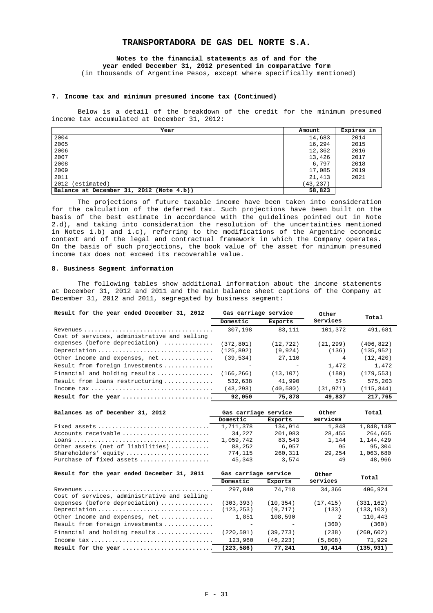# **Notes to the financial statements as of and for the year ended December 31, 2012 presented in comparative form**

(in thousands of Argentine Pesos, except where specifically mentioned)

#### **7. Income tax and minimum presumed income tax (Continued)**

Below is a detail of the breakdown of the credit for the minimum presumed income tax accumulated at December 31, 2012:

| Year                                     | Amount    | Expires in |
|------------------------------------------|-----------|------------|
| 2004                                     | 14,683    | 2014       |
| 2005                                     | 16,294    | 2015       |
| 2006                                     | 12,362    | 2016       |
| 2007                                     | 13,426    | 2017       |
| 2008                                     | 6,797     | 2018       |
| 2009                                     | 17,085    | 2019       |
| 2011                                     | 21,413    | 2021       |
| 2012<br>(estimated)                      | (43, 237) |            |
| Balance at December 31, 2012 (Note 4.b)) | 58,823    |            |

The projections of future taxable income have been taken into consideration for the calculation of the deferred tax. Such projections have been built on the basis of the best estimate in accordance with the guidelines pointed out in Note 2.d), and taking into consideration the resolution of the uncertainties mentioned in Notes 1.b) and 1.c), referring to the modifications of the Argentine economic context and of the legal and contractual framework in which the Company operates. On the basis of such projections, the book value of the asset for minimum presumed income tax does not exceed its recoverable value.

#### **8. Business Segment information**

The following tables show additional information about the income statements at December 31, 2012 and 2011 and the main balance sheet captions of the Company at December 31, 2012 and 2011, segregated by business segment:

| Result for the year ended December 31, 2012                                                 | Gas carriage service |           | Other     |            |  |
|---------------------------------------------------------------------------------------------|----------------------|-----------|-----------|------------|--|
|                                                                                             | Domestic             | Exports   | Services  | Total      |  |
|                                                                                             | 307,198              | 83,111    | 101,372   | 491,681    |  |
| Cost of services, administrative and selling                                                |                      |           |           |            |  |
| expenses (before depreciation)                                                              | (372,801)            | (12, 722) | (21, 299) | (406, 822) |  |
| Depreciation                                                                                | (125, 892)           | (9, 924)  | (136)     | (135, 952) |  |
| Other income and expenses, net                                                              | (39, 534)            | 27,110    | 4         | (12, 420)  |  |
| Result from foreign investments                                                             |                      |           | 1,472     | 1,472      |  |
| Financial and holding results                                                               | (166, 266)           | (13, 107) | (180)     | (179.553)  |  |
| Result from loans restructuring                                                             | 532,638              | 41,990    | 575       | 575,203    |  |
| Income $\text{tax}\ldots\ldots\ldots\ldots\ldots\ldots\ldots\ldots\ldots\ldots\ldots\ldots$ | (43, 293)            | (40, 580) | (31, 971) | (115.844)  |  |
| Result for the year                                                                         | 92,050               | 75,878    | 49.837    | 217.765    |  |

| Balances as of December 31, 2012                                                     | Gas carriage service |         | Other    | Total     |
|--------------------------------------------------------------------------------------|----------------------|---------|----------|-----------|
|                                                                                      | Domestic             | Exports | services |           |
|                                                                                      | 1,711,378            | 134,914 | 1,848    | 1,848,140 |
| Accounts receivable                                                                  | 34.227               | 201,983 | 28,455   | 264,665   |
| Loans $\ldots \ldots \ldots \ldots \ldots \ldots \ldots \ldots \ldots \ldots \ldots$ | 1,059,742            | 83,543  | 1,144    | 1,144,429 |
| Other assets (net of liabilities)                                                    | 88,252               | 6.957   | 95       | 95.304    |
| Shareholders' equity                                                                 | 774,115              | 260,311 | 29.254   | 1,063,680 |
| Purchase of fixed assets                                                             | 45.343               | 3,574   | 49       | 48.966    |

| Result for the year ended December 31, 2011                                           | Gas carriage service |           |           | Total      |
|---------------------------------------------------------------------------------------|----------------------|-----------|-----------|------------|
|                                                                                       | Domestic             | Exports   | services  |            |
|                                                                                       | 297,840              | 74,718    | 34,366    | 406,924    |
| Cost of services, administrative and selling                                          |                      |           |           |            |
| expenses (before depreciation)                                                        | (303, 393)           | (10, 354) | (17, 415) | (331, 162) |
| Depreciation                                                                          | (123, 253)           | (9, 717)  | (133)     | (133, 103) |
| Other income and expenses, net                                                        | 1,851                | 108,590   |           | 110,443    |
| Result from foreign investments                                                       |                      |           | (360)     | (360)      |
| Financial and holding results                                                         | (220, 591)           | (39, 773) | (238)     | (260, 602) |
| Income $\text{tax}\ldots\ldots\ldots\ldots\ldots\ldots\ldots\ldots\ldots\ldots\ldots$ | 123,960              | (46, 223) | (5,808)   | 71,929     |
| Result for the year                                                                   | (223, 586)           | 77,241    | 10,414    | (135, 931) |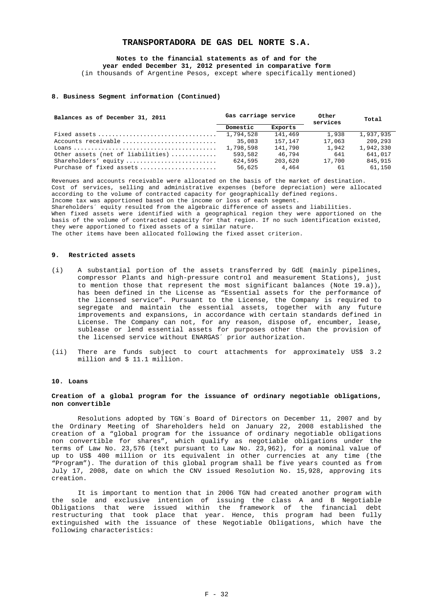**Notes to the financial statements as of and for the year ended December 31, 2012 presented in comparative form** 

(in thousands of Argentine Pesos, except where specifically mentioned)

#### **8. Business Segment information (Continued)**

| Balances as of December 31, 2011  | Gas carriage service |         | Other<br>services | Total     |
|-----------------------------------|----------------------|---------|-------------------|-----------|
|                                   | Domestic             | Exports |                   |           |
|                                   | 1,794,528            | 141.469 | 1.938             | 1,937,935 |
| Accounts receivable               | 35,083               | 157,147 | 17,063            | 209,293   |
|                                   | 1,798,598            | 141,790 | 1,942             | 1,942,330 |
| Other assets (net of liabilities) | 593,582              | 46.794  | 641               | 641,017   |
| Shareholders' equity              | 624,595              | 203,620 | 17,700            | 845,915   |
| Purchase of fixed assets          | 56,625               | 4,464   | 61                | 61,150    |

Revenues and accounts receivable were allocated on the basis of the market of destination. Cost of services, selling and administrative expenses (before depreciation) were allocated according to the volume of contracted capacity for geographically defined regions. Income tax was apportioned based on the income or loss of each segment. Shareholders´ equity resulted from the algebraic difference of assets and liabilities. When fixed assets were identified with a geographical region they were apportioned on the basis of the volume of contracted capacity for that region. If no such identification existed, they were apportioned to fixed assets of a similar nature. The other items have been allocated following the fixed asset criterion.

#### **9. Restricted assets**

- (i) A substantial portion of the assets transferred by GdE (mainly pipelines, compressor Plants and high-pressure control and measurement Stations), just to mention those that represent the most significant balances (Note 19.a)), has been defined in the License as "Essential assets for the performance of the licensed service". Pursuant to the License, the Company is required to segregate and maintain the essential assets, together with any future improvements and expansions, in accordance with certain standards defined in License. The Company can not, for any reason, dispose of, encumber, lease, sublease or lend essential assets for purposes other than the provision of the licensed service without ENARGAS´ prior authorization.
- (ii) There are funds subject to court attachments for approximately US\$ 3.2 million and \$ 11.1 million.

#### **10. Loans**

#### **Creation of a global program for the issuance of ordinary negotiable obligations, non convertible**

Resolutions adopted by TGN´s Board of Directors on December 11, 2007 and by the Ordinary Meeting of Shareholders held on January 22, 2008 established the creation of a "global program for the issuance of ordinary negotiable obligations non convertible for shares", which qualify as negotiable obligations under the terms of Law No. 23,576 (text pursuant to Law No. 23,962), for a nominal value of up to US\$ 400 million or its equivalent in other currencies at any time (the "Program"). The duration of this global program shall be five years counted as from July 17, 2008, date on which the CNV issued Resolution No. 15,928, approving its creation.

It is important to mention that in 2006 TGN had created another program with the sole and exclusive intention of issuing the class A and B Negotiable Obligations that were issued within the framework of the financial debt restructuring that took place that year. Hence, this program had been fully extinguished with the issuance of these Negotiable Obligations, which have the following characteristics: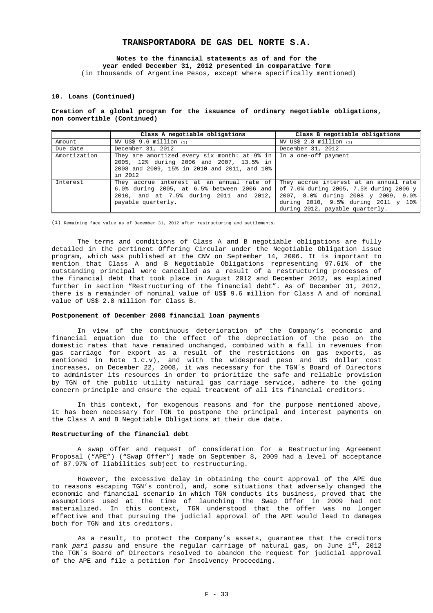# **Notes to the financial statements as of and for the year ended December 31, 2012 presented in comparative form**

(in thousands of Argentine Pesos, except where specifically mentioned)

#### **10. Loans (Continued)**

### **Creation of a global program for the issuance of ordinary negotiable obligations, non convertible (Continued)**

|              | Class A negotiable obligations                                                                                                                                 | Class B negotiable obligations                                                                                                                                                                     |
|--------------|----------------------------------------------------------------------------------------------------------------------------------------------------------------|----------------------------------------------------------------------------------------------------------------------------------------------------------------------------------------------------|
| Amount       | NV US\$ 9.6 million (1)                                                                                                                                        | NV US\$ 2.8 million (1)                                                                                                                                                                            |
| Due date     | December 31, 2012                                                                                                                                              | December 31, 2012                                                                                                                                                                                  |
| Amortization | They are amortized every six month: at 9% in<br>2005, 12% during 2006 and 2007, 13.5% in<br>2008 and 2009, 15% in 2010 and 2011, and 10%<br>in 2012            | In a one-off payment                                                                                                                                                                               |
| Interest     | They accrue interest at an annual rate of<br>$6.0$ % during 2005, at $6.5$ % between 2006 and<br>2010, and at 7.5% during 2011 and 2012,<br>payable quarterly. | They accrue interest at an annual rate<br>of 7.0% during 2005, 7.5% during 2006 y<br>2007, 8.0% during 2008 y 2009, 9.0%<br>during 2010, 9.5% during 2011 y 10%<br>during 2012, payable quarterly. |

(1) Remaining face value as of December 31, 2012 after restructuring and settlements.

The terms and conditions of Class A and B negotiable obligations are fully detailed in the pertinent Offering Circular under the Negotiable Obligation issue program, which was published at the CNV on September 14, 2006. It is important to mention that Class A and B Negotiable Obligations representing 97.61% of the outstanding principal were cancelled as a result of a restructuring processes of the financial debt that took place in August 2012 and December 2012, as explained further in section "Restructuring of the financial debt". As of December 31, 2012, there is a remainder of nominal value of US\$ 9.6 million for Class A and of nominal value of US\$ 2.8 million for Class B.

# **Postponement of December 2008 financial loan payments**

In view of the continuous deterioration of the Company's economic and financial equation due to the effect of the depreciation of the peso on the domestic rates that have remained unchanged, combined with a fall in revenues from gas carriage for export as a result of the restrictions on gas exports, as mentioned in Note 1.c.v), and with the widespread peso and US dollar cost increases, on December 22, 2008, it was necessary for the TGN´s Board of Directors to administer its resources in order to prioritize the safe and reliable provision by TGN of the public utility natural gas carriage service, adhere to the going concern principle and ensure the equal treatment of all its financial creditors.

In this context, for exogenous reasons and for the purpose mentioned above, it has been necessary for TGN to postpone the principal and interest payments on the Class A and B Negotiable Obligations at their due date.

#### **Restructuring of the financial debt**

A swap offer and request of consideration for a Restructuring Agreement Proposal ("APE") ("Swap Offer") made on September 8, 2009 had a level of acceptance of 87.97% of liabilities subject to restructuring.

However, the excessive delay in obtaining the court approval of the APE due to reasons escaping TGN's control, and, some situations that adversely changed the economic and financial scenario in which TGN conducts its business, proved that the assumptions used at the time of launching the Swap Offer in 2009 had not materialized. In this context, TGN understood that the offer was no longer effective and that pursuing the judicial approval of the APE would lead to damages both for TGN and its creditors.

As a result, to protect the Company's assets, guarantee that the creditors rank *pari passu* and ensure the regular carriage of natural gas, on June 1<sup>st</sup>, 2012 the TGN´s Board of Directors resolved to abandon the request for judicial approval of the APE and file a petition for Insolvency Proceeding.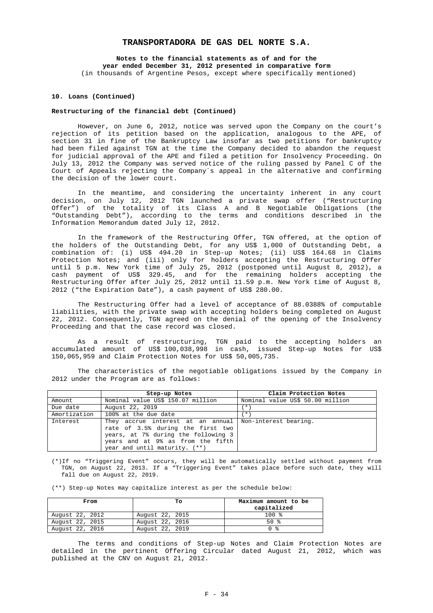**Notes to the financial statements as of and for the year ended December 31, 2012 presented in comparative form**  (in thousands of Argentine Pesos, except where specifically mentioned)

#### **10. Loans (Continued)**

#### **Restructuring of the financial debt (Continued)**

However, on June 6, 2012, notice was served upon the Company on the court's rejection of its petition based on the application, analogous to the APE, of section 31 in fine of the Bankruptcy Law insofar as two petitions for bankruptcy had been filed against TGN at the time the Company decided to abandon the request for judicial approval of the APE and filed a petition for Insolvency Proceeding. On July 13, 2012 the Company was served notice of the ruling passed by Panel C of the Court of Appeals rejecting the Company´s appeal in the alternative and confirming the decision of the lower court.

In the meantime, and considering the uncertainty inherent in any court decision, on July 12, 2012 TGN launched a private swap offer ("Restructuring Offer") of the totality of its Class A and B Negotiable Obligations (the "Outstanding Debt"), according to the terms and conditions described in the Information Memorandum dated July 12, 2012.

In the framework of the Restructuring Offer, TGN offered, at the option of the holders of the Outstanding Debt, for any US\$ 1,000 of Outstanding Debt, a combination of: (i) US\$ 494.20 in Step-up Notes; (ii) US\$ 164.68 in Claims Protection Notes; and (iii) only for holders accepting the Restructuring Offer until 5 p.m. New York time of July 25, 2012 (postponed until August 8, 2012), a cash payment of US\$ 329.45, and for the remaining holders accepting the Restructuring Offer after July 25, 2012 until 11.59 p.m. New York time of August 8, 2012 ("the Expiration Date"), a cash payment of US\$ 280.00.

The Restructuring Offer had a level of acceptance of 88.0388% of computable liabilities, with the private swap with accepting holders being completed on August 22, 2012. Consequently, TGN agreed on the denial of the opening of the Insolvency Proceeding and that the case record was closed.

As a result of restructuring, TGN paid to the accepting holders an accumulated amount of US\$ 100,038,998 in cash, issued Step-up Notes for US\$ 150,065,959 and Claim Protection Notes for US\$ 50,005,735.

The characteristics of the negotiable obligations issued by the Company in 2012 under the Program are as follows:

|              | Step-up Notes                                                                                                                                                                                               | Claim Protection Notes           |
|--------------|-------------------------------------------------------------------------------------------------------------------------------------------------------------------------------------------------------------|----------------------------------|
| Amount       | Nominal value US\$ 150.07 million                                                                                                                                                                           | Nominal value US\$ 50.00 million |
| Due date     | August 22, 2019                                                                                                                                                                                             | $\star$                          |
| Amortization | 100% at the due date                                                                                                                                                                                        | $\star$                          |
| Interest     | They accrue interest at an annual   Non-interest bearing.<br>rate of 3.5% during the first two<br>years, at 7% during the following 3<br>years and at 9% as from the fifth<br>year and until maturity. (**) |                                  |

(\*)If no "Triggering Event" occurs, they will be automatically settled without payment from TGN, on August 22, 2013. If a "Triggering Event" takes place before such date, they will fall due on August 22, 2019.

(\*\*) Step-up Notes may capitalize interest as per the schedule below:

| From            | Tо              | Maximum amount to be<br>capitalized |
|-----------------|-----------------|-------------------------------------|
| August 22, 2012 | August 22, 2015 | $100*$                              |
| August 22, 2015 | August 22, 2016 | $50*$                               |
| August 22, 2016 | August 22, 2019 | ∩ ջ                                 |

The terms and conditions of Step-up Notes and Claim Protection Notes are detailed in the pertinent Offering Circular dated August 21, 2012, which was published at the CNV on August 21, 2012.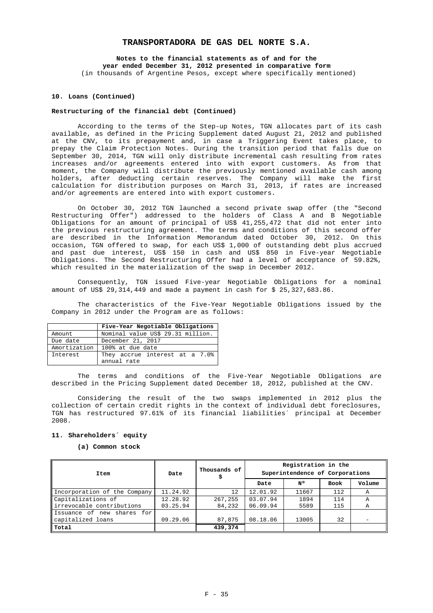**Notes to the financial statements as of and for the year ended December 31, 2012 presented in comparative form**  (in thousands of Argentine Pesos, except where specifically mentioned)

#### **10. Loans (Continued)**

#### **Restructuring of the financial debt (Continued)**

According to the terms of the Step-up Notes, TGN allocates part of its cash available, as defined in the Pricing Supplement dated August 21, 2012 and published at the CNV, to its prepayment and, in case a Triggering Event takes place, to prepay the Claim Protection Notes. During the transition period that falls due on September 30, 2014, TGN will only distribute incremental cash resulting from rates increases and/or agreements entered into with export customers. As from that moment, the Company will distribute the previously mentioned available cash among holders, after deducting certain reserves. The Company will make the first calculation for distribution purposes on March 31, 2013, if rates are increased and/or agreements are entered into with export customers.

On October 30, 2012 TGN launched a second private swap offer (the "Second Restructuring Offer") addressed to the holders of Class A and B Negotiable Obligations for an amount of principal of US\$ 41,255,472 that did not enter into the previous restructuring agreement. The terms and conditions of this second offer are described in the Information Memorandum dated October 30, 2012. On this occasion, TGN offered to swap, for each US\$ 1,000 of outstanding debt plus accrued and past due interest, US\$ 150 in cash and US\$ 850 in Five-year Negotiable Obligations. The Second Restructuring Offer had a level of acceptance of 59.82%, which resulted in the materialization of the swap in December 2012.

Consequently, TGN issued Five-year Negotiable Obligations for a nominal amount of US\$ 29,314,449 and made a payment in cash for \$ 25,327,683.86.

The characteristics of the Five-Year Negotiable Obligations issued by the Company in 2012 under the Program are as follows:

|              | Five-Year Negotiable Obligations  |
|--------------|-----------------------------------|
| Amount       | Nominal value US\$ 29.31 million. |
| Due date     | December 21, 2017                 |
| Amortization | 100% at due date                  |
| Interest     | They accrue interest at a 7.0%    |
|              | annual rate                       |

The terms and conditions of the Five-Year Negotiable Obligations are described in the Pricing Supplement dated December 18, 2012, published at the CNV.

Considering the result of the two swaps implemented in 2012 plus the collection of certain credit rights in the context of individual debt foreclosures, TGN has restructured 97.61% of its financial liabilities´ principal at December 2008.

# **11. Shareholders´ equity**

**(a) Common stock** 

| Item                         | Date     | Thousands of | Registration in the<br>Superintendence of Corporations |       |      |        |  |  |  |
|------------------------------|----------|--------------|--------------------------------------------------------|-------|------|--------|--|--|--|
|                              |          |              | Date                                                   | N٥    | Book | Volume |  |  |  |
| Incorporation of the Company | 11.24.92 | 12           | 12.01.92                                               | 11667 | 112  | Α      |  |  |  |
| Capitalizations of           | 12.28.92 | 267,255      | 03.07.94                                               | 1894  | 114  | А      |  |  |  |
| irrevocable contributions    | 03.25.94 | 84,232       | 06.09.94                                               | 5589  | 115  | Α      |  |  |  |
| Issuance of new shares for   |          |              |                                                        |       |      |        |  |  |  |
| capitalized loans            | 09.29.06 | 87,875       | 08.18.06                                               | 13005 | 32   |        |  |  |  |
| Total                        |          | 439,374      |                                                        |       |      |        |  |  |  |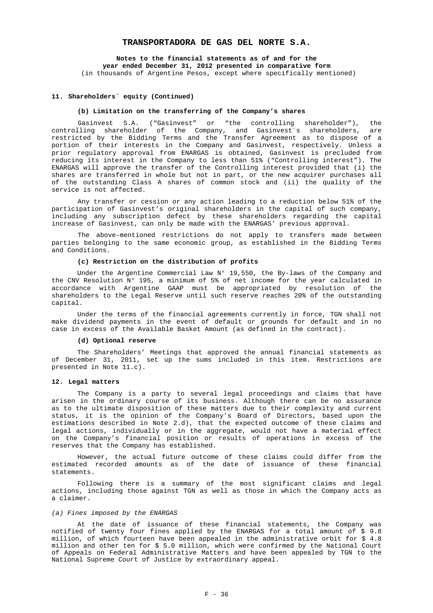**Notes to the financial statements as of and for the year ended December 31, 2012 presented in comparative form**  (in thousands of Argentine Pesos, except where specifically mentioned)

#### **11. Shareholders´ equity (Continued)**

#### **(b) Limitation on the transferring of the Company's shares**

Gasinvest S.A. ("Gasinvest" or "the controlling shareholder"), the controlling shareholder of the Company, and Gasinvest´s shareholders, are restricted by the Bidding Terms and the Transfer Agreement as to dispose of a portion of their interests in the Company and Gasinvest, respectively. Unless a prior regulatory approval from ENARGAS is obtained, Gasinvest is precluded from reducing its interest in the Company to less than 51% ("Controlling interest"). The ENARGAS will approve the transfer of the Controlling interest provided that (i) the shares are transferred in whole but not in part, or the new acquirer purchases all of the outstanding Class A shares of common stock and (ii) the quality of the service is not affected.

Any transfer or cession or any action leading to a reduction below 51% of the participation of Gasinvest's original shareholders in the capital of such company, including any subscription defect by these shareholders regarding the capital increase of Gasinvest, can only be made with the ENARGAS' previous approval.

The above-mentioned restrictions do not apply to transfers made between parties belonging to the same economic group, as established in the Bidding Terms and Conditions.

### **(c) Restriction on the distribution of profits**

Under the Argentine Commercial Law  $N^{\circ}$  19,550, the By-laws of the Company and the CNV Resolution N° 195, a minimum of 5% of net income for the year calculated in accordance with Argentine GAAP must be appropriated by resolution of the shareholders to the Legal Reserve until such reserve reaches 20% of the outstanding capital.

Under the terms of the financial agreements currently in force, TGN shall not make dividend payments in the event of default or grounds for default and in no case in excess of the Available Basket Amount (as defined in the contract).

#### **(d) Optional reserve**

The Shareholders' Meetings that approved the annual financial statements as of December 31, 2011, set up the sums included in this item. Restrictions are presented in Note 11.c).

#### **12. Legal matters**

The Company is a party to several legal proceedings and claims that have arisen in the ordinary course of its business. Although there can be no assurance as to the ultimate disposition of these matters due to their complexity and current status, it is the opinion of the Company's Board of Directors, based upon the estimations described in Note 2.d), that the expected outcome of these claims and legal actions, individually or in the aggregate, would not have a material effect on the Company's financial position or results of operations in excess of the reserves that the Company has established.

However, the actual future outcome of these claims could differ from the estimated recorded amounts as of the date of issuance of these financial statements.

Following there is a summary of the most significant claims and legal actions, including those against TGN as well as those in which the Company acts as a claimer.

## *(a) Fines imposed by the ENARGAS*

At the date of issuance of these financial statements, the Company was notified of twenty four fines applied by the ENARGAS for a total amount of \$ 9.8 million, of which fourteen have been appealed in the administrative orbit for \$4.8 million and other ten for \$ 5.0 million, which were confirmed by the National Court of Appeals on Federal Administrative Matters and have been appealed by TGN to the National Supreme Court of Justice by extraordinary appeal.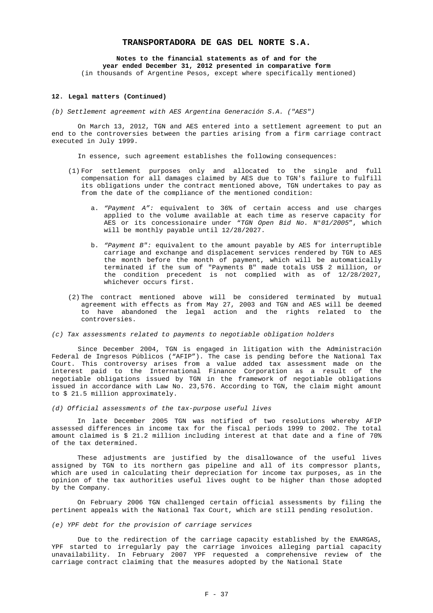### **Notes to the financial statements as of and for the year ended December 31, 2012 presented in comparative form**

(in thousands of Argentine Pesos, except where specifically mentioned)

#### **12. Legal matters (Continued)**

*(b) Settlement agreement with AES Argentina Generación S.A. ("AES")* 

On March 13, 2012, TGN and AES entered into a settlement agreement to put an end to the controversies between the parties arising from a firm carriage contract executed in July 1999.

In essence, such agreement establishes the following consequences:

- (1) For settlement purposes only and allocated to the single and full compensation for all damages claimed by AES due to TGN's failure to fulfill its obligations under the contract mentioned above, TGN undertakes to pay as from the date of the compliance of the mentioned condition:
	- a. *"Payment A":* equivalent to 36% of certain access and use charges applied to the volume available at each time as reserve capacity for AES or its concessionaire under "*TGN Open Bid No. N°01/2005*", which will be monthly payable until 12/28/2027.
	- b. *"Payment B":* equivalent to the amount payable by AES for interruptible carriage and exchange and displacement services rendered by TGN to AES the month before the month of payment, which will be automatically terminated if the sum of "Payments B" made totals US\$ 2 million, or the condition precedent is not complied with as of 12/28/2027, whichever occurs first.
- (2) The contract mentioned above will be considered terminated by mutual agreement with effects as from May 27, 2003 and TGN and AES will be deemed to have abandoned the legal action and the rights related to the controversies.

#### *(c) Tax assessments related to payments to negotiable obligation holders*

Since December 2004, TGN is engaged in litigation with the Administración Federal de Ingresos Públicos ("AFIP"). The case is pending before the National Tax Court. This controversy arises from a value added tax assessment made on the interest paid to the International Finance Corporation as a result of the negotiable obligations issued by TGN in the framework of negotiable obligations issued in accordance with Law No. 23,576. According to TGN, the claim might amount to \$ 21.5 million approximately.

*(d) Official assessments of the tax-purpose useful lives* 

In late December 2005 TGN was notified of two resolutions whereby AFIP assessed differences in income tax for the fiscal periods 1999 to 2002. The total amount claimed is \$ 21.2 million including interest at that date and a fine of 70% of the tax determined.

These adjustments are justified by the disallowance of the useful lives assigned by TGN to its northern gas pipeline and all of its compressor plants, which are used in calculating their depreciation for income tax purposes, as in the opinion of the tax authorities useful lives ought to be higher than those adopted by the Company.

On February 2006 TGN challenged certain official assessments by filing the pertinent appeals with the National Tax Court, which are still pending resolution.

*(e) YPF debt for the provision of carriage services* 

Due to the redirection of the carriage capacity established by the ENARGAS, YPF started to irregularly pay the carriage invoices alleging partial capacity unavailability. In February 2007 YPF requested a comprehensive review of the carriage contract claiming that the measures adopted by the National State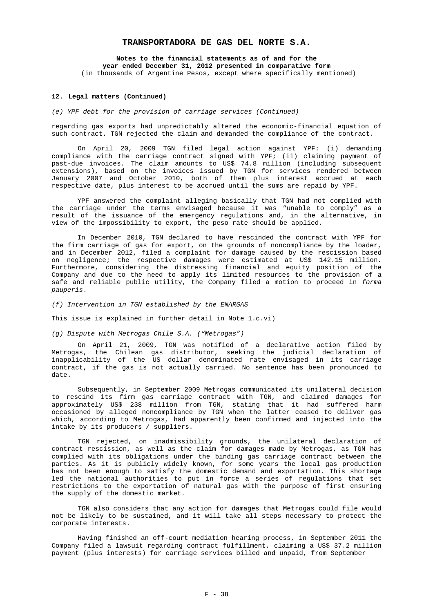**Notes to the financial statements as of and for the year ended December 31, 2012 presented in comparative form**  (in thousands of Argentine Pesos, except where specifically mentioned)

#### **12. Legal matters (Continued)**

*(e) YPF debt for the provision of carriage services (Continued)* 

regarding gas exports had unpredictably altered the economic-financial equation of such contract. TGN rejected the claim and demanded the compliance of the contract.

On April 20, 2009 TGN filed legal action against YPF: (i) demanding compliance with the carriage contract signed with YPF; (ii) claiming payment of past-due invoices. The claim amounts to US\$ 74.8 million (including subsequent extensions), based on the invoices issued by TGN for services rendered between January 2007 and October 2010, both of them plus interest accrued at each respective date, plus interest to be accrued until the sums are repaid by YPF.

YPF answered the complaint alleging basically that TGN had not complied with the carriage under the terms envisaged because it was "unable to comply" as a result of the issuance of the emergency regulations and, in the alternative, in view of the impossibility to export, the peso rate should be applied.

In December 2010, TGN declared to have rescinded the contract with YPF for the firm carriage of gas for export, on the grounds of noncompliance by the loader, and in December 2012, filed a complaint for damage caused by the rescission based on negligence; the respective damages were estimated at US\$ 142.15 million. Furthermore, considering the distressing financial and equity position of the Company and due to the need to apply its limited resources to the provision of a safe and reliable public utility, the Company filed a motion to proceed in *forma pauperis*.

*(f) Intervention in TGN established by the ENARGAS* 

This issue is explained in further detail in Note 1.c.vi)

*(g) Dispute with Metrogas Chile S.A. ("Metrogas")* 

On April 21, 2009, TGN was notified of a declarative action filed by Metrogas, the Chilean gas distributor, seeking the judicial declaration of inapplicability of the US dollar denominated rate envisaged in its carriage contract, if the gas is not actually carried. No sentence has been pronounced to date.

Subsequently, in September 2009 Metrogas communicated its unilateral decision to rescind its firm gas carriage contract with TGN, and claimed damages for approximately US\$ 238 million from TGN, stating that it had suffered harm occasioned by alleged noncompliance by TGN when the latter ceased to deliver gas which, according to Metrogas, had apparently been confirmed and injected into the intake by its producers / suppliers.

TGN rejected, on inadmissibility grounds, the unilateral declaration of contract rescission, as well as the claim for damages made by Metrogas, as TGN has complied with its obligations under the binding gas carriage contract between the parties. As it is publicly widely known, for some years the local gas production has not been enough to satisfy the domestic demand and exportation. This shortage led the national authorities to put in force a series of regulations that set restrictions to the exportation of natural gas with the purpose of first ensuring the supply of the domestic market.

TGN also considers that any action for damages that Metrogas could file would not be likely to be sustained, and it will take all steps necessary to protect the corporate interests.

Having finished an off-court mediation hearing process, in September 2011 the Company filed a lawsuit regarding contract fulfillment, claiming a US\$ 37.2 million payment (plus interests) for carriage services billed and unpaid, from September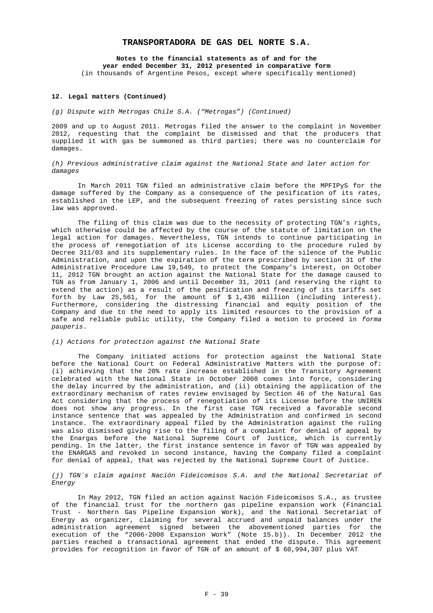**Notes to the financial statements as of and for the year ended December 31, 2012 presented in comparative form** 

(in thousands of Argentine Pesos, except where specifically mentioned)

#### **12. Legal matters (Continued)**

### *(g) Dispute with Metrogas Chile S.A. ("Metrogas") (Continued)*

2009 and up to August 2011. Metrogas filed the answer to the complaint in November 2012, requesting that the complaint be dismissed and that the producers that supplied it with gas be summoned as third parties; there was no counterclaim for damages.

*(h) Previous administrative claim against the National State and later action for damages* 

In March 2011 TGN filed an administrative claim before the MPFIPyS for the damage suffered by the Company as a consequence of the pesification of its rates, established in the LEP, and the subsequent freezing of rates persisting since such law was approved.

The filing of this claim was due to the necessity of protecting TGN's rights, which otherwise could be affected by the course of the statute of limitation on the legal action for damages. Nevertheless, TGN intends to continue participating in the process of renegotiation of its License according to the procedure ruled by Decree 311/03 and its supplementary rules. In the face of the silence of the Public Administration, and upon the expiration of the term prescribed by section 31 of the Administrative Procedure Law 19,549, to protect the Company's interest, on October 11, 2012 TGN brought an action against the National State for the damage caused to TGN as from January 1, 2006 and until December 31, 2011 (and reserving the right to extend the action) as a result of the pesification and freezing of its tariffs set forth by Law 25,561, for the amount of  $$1,436$  million (including interest). Furthermore, considering the distressing financial and equity position of the Company and due to the need to apply its limited resources to the provision of a safe and reliable public utility, the Company filed a motion to proceed in *forma pauperis*.

# *(i) Actions for protection against the National State*

The Company initiated actions for protection against the National State before the National Court on Federal Administrative Matters with the purpose of: (i) achieving that the 20% rate increase established in the Transitory Agreement celebrated with the National State in October 2008 comes into force, considering the delay incurred by the administration, and (ii) obtaining the application of the extraordinary mechanism of rates review envisaged by Section 46 of the Natural Gas Act considering that the process of renegotiation of its License before the UNIREN does not show any progress. In the first case TGN received a favorable second instance sentence that was appealed by the Administration and confirmed in second instance. The extraordinary appeal filed by the Administration against the ruling was also dismissed giving rise to the filing of a complaint for denial of appeal by the Enargas before the National Supreme Court of Justice, which is currently pending. In the latter, the first instance sentence in favor of TGN was appealed by the ENARGAS and revoked in second instance, having the Company filed a complaint for denial of appeal, that was rejected by the National Supreme Court of Justice.

# *(j) TGN´s claim against Nación Fideicomisos S.A. and the National Secretariat of Energy*

In May 2012, TGN filed an action against Nación Fideicomisos S.A., as trustee of the financial trust for the northern gas pipeline expansion work (Financial Trust - Northern Gas Pipeline Expansion Work), and the National Secretariat of Energy as organizer, claiming for several accrued and unpaid balances under the administration agreement signed between the abovementioned parties for the execution of the "2006-2008 Expansion Work" (Note 15.b)). In December 2012 the parties reached a transactional agreement that ended the dispute. This agreement provides for recognition in favor of TGN of an amount of \$ 60,994,307 plus VAT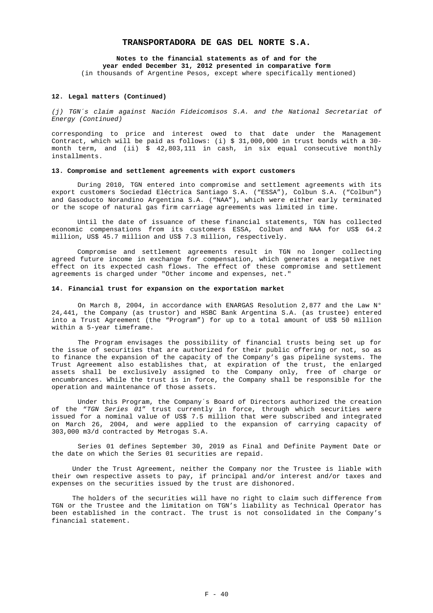# **Notes to the financial statements as of and for the**

**year ended December 31, 2012 presented in comparative form** 

(in thousands of Argentine Pesos, except where specifically mentioned)

#### **12. Legal matters (Continued)**

*(j) TGN´s claim against Nación Fideicomisos S.A. and the National Secretariat of Energy (Continued)* 

corresponding to price and interest owed to that date under the Management Contract, which will be paid as follows: (i) \$ 31,000,000 in trust bonds with a 30 month term, and (ii) \$ 42,803,111 in cash, in six equal consecutive monthly installments.

#### **13. Compromise and settlement agreements with export customers**

During 2010, TGN entered into compromise and settlement agreements with its export customers Sociedad Eléctrica Santiago S.A. ("ESSA"), Colbun S.A. ("Colbun") and Gasoducto Norandino Argentina S.A. ("NAA"), which were either early terminated or the scope of natural gas firm carriage agreements was limited in time.

Until the date of issuance of these financial statements, TGN has collected economic compensations from its customers ESSA, Colbun and NAA for US\$ 64.2 million, US\$ 45.7 million and US\$ 7.3 million, respectively.

Compromise and settlement agreements result in TGN no longer collecting agreed future income in exchange for compensation, which generates a negative net effect on its expected cash flows. The effect of these compromise and settlement agreements is charged under "Other income and expenses, net."

#### **14. Financial trust for expansion on the exportation market**

On March 8, 2004, in accordance with ENARGAS Resolution 2,877 and the Law  $N^{\circ}$ 24,441, the Company (as trustor) and HSBC Bank Argentina S.A. (as trustee) entered into a Trust Agreement (the "Program") for up to a total amount of US\$ 50 million within a 5-year timeframe.

The Program envisages the possibility of financial trusts being set up for the issue of securities that are authorized for their public offering or not, so as to finance the expansion of the capacity of the Company's gas pipeline systems. The Trust Agreement also establishes that, at expiration of the trust, the enlarged assets shall be exclusively assigned to the Company only, free of charge or encumbrances. While the trust is in force, the Company shall be responsible for the operation and maintenance of those assets.

Under this Program, the Company´s Board of Directors authorized the creation of the "*TGN Series 01*" trust currently in force, through which securities were issued for a nominal value of US\$ 7.5 million that were subscribed and integrated on March 26, 2004, and were applied to the expansion of carrying capacity of 303,000 m3/d contracted by Metrogas S.A.

Series 01 defines September 30, 2019 as Final and Definite Payment Date or the date on which the Series 01 securities are repaid.

Under the Trust Agreement, neither the Company nor the Trustee is liable with their own respective assets to pay, if principal and/or interest and/or taxes and expenses on the securities issued by the trust are dishonored.

The holders of the securities will have no right to claim such difference from TGN or the Trustee and the limitation on TGN's liability as Technical Operator has been established in the contract. The trust is not consolidated in the Company's financial statement.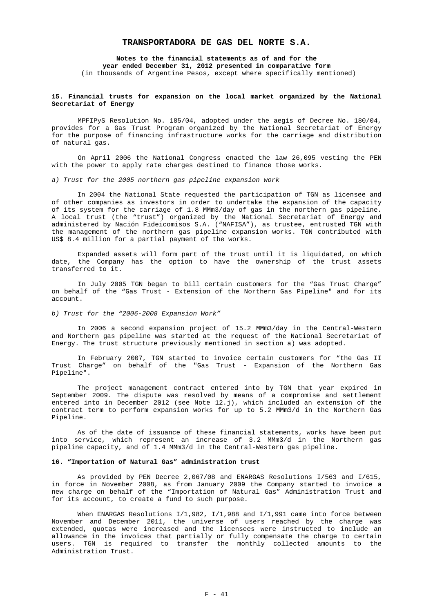**Notes to the financial statements as of and for the year ended December 31, 2012 presented in comparative form**  (in thousands of Argentine Pesos, except where specifically mentioned)

#### **15. Financial trusts for expansion on the local market organized by the National Secretariat of Energy**

MPFIPyS Resolution No. 185/04, adopted under the aegis of Decree No. 180/04, provides for a Gas Trust Program organized by the National Secretariat of Energy for the purpose of financing infrastructure works for the carriage and distribution of natural gas.

On April 2006 the National Congress enacted the law 26,095 vesting the PEN with the power to apply rate charges destined to finance those works.

### *a) Trust for the 2005 northern gas pipeline expansion work*

In 2004 the National State requested the participation of TGN as licensee and of other companies as investors in order to undertake the expansion of the capacity of its system for the carriage of 1.8 MMm3/day of gas in the northern gas pipeline. A local trust (the "trust") organized by the National Secretariat of Energy and administered by Nación Fideicomisos S.A. ("NAFISA"), as trustee, entrusted TGN with the management of the northern gas pipeline expansion works. TGN contributed with US\$ 8.4 million for a partial payment of the works.

Expanded assets will form part of the trust until it is liquidated, on which date, the Company has the option to have the ownership of the trust assets transferred to it.

In July 2005 TGN began to bill certain customers for the "Gas Trust Charge" on behalf of the "Gas Trust - Extension of the Northern Gas Pipeline" and for its account.

# *b) Trust for the "2006-2008 Expansion Work"*

In 2006 a second expansion project of 15.2 MMm3/day in the Central-Western and Northern gas pipeline was started at the request of the National Secretariat of Energy. The trust structure previously mentioned in section a) was adopted.

In February 2007, TGN started to invoice certain customers for "the Gas II Trust Charge" on behalf of the "Gas Trust - Expansion of the Northern Gas Pipeline".

The project management contract entered into by TGN that year expired in September 2009. The dispute was resolved by means of a compromise and settlement entered into in December 2012 (see Note 12.j), which included an extension of the contract term to perform expansion works for up to 5.2 MMm3/d in the Northern Gas Pipeline.

As of the date of issuance of these financial statements, works have been put into service, which represent an increase of 3.2 MMm3/d in the Northern gas pipeline capacity, and of 1.4 MMm3/d in the Central-Western gas pipeline.

### **16. "Importation of Natural Gas" administration trust**

As provided by PEN Decree 2,067/08 and ENARGAS Resolutions I/563 and I/615, in force in November 2008, as from January 2009 the Company started to invoice a new charge on behalf of the "Importation of Natural Gas" Administration Trust and for its account, to create a fund to such purpose.

When ENARGAS Resolutions  $I/1,982$ ,  $I/1,988$  and  $I/1,991$  came into force between November and December 2011, the universe of users reached by the charge was extended, quotas were increased and the licensees were instructed to include an allowance in the invoices that partially or fully compensate the charge to certain users. TGN is required to transfer the monthly collected amounts to the Administration Trust.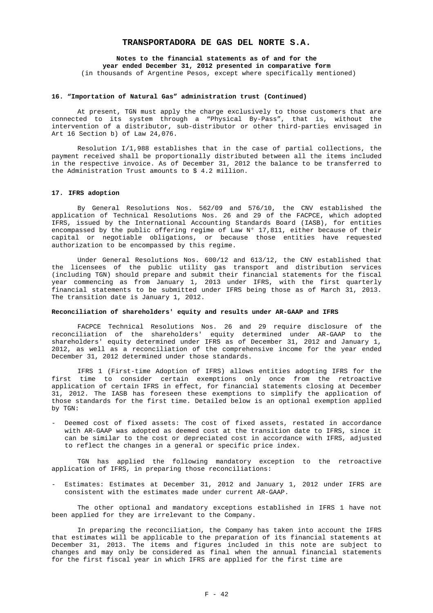**Notes to the financial statements as of and for the year ended December 31, 2012 presented in comparative form**  (in thousands of Argentine Pesos, except where specifically mentioned)

#### **16. "Importation of Natural Gas" administration trust (Continued)**

At present, TGN must apply the charge exclusively to those customers that are connected to its system through a "Physical By-Pass", that is, without the intervention of a distributor, sub-distributor or other third-parties envisaged in Art 16 Section b) of Law 24,076.

Resolution I/1,988 establishes that in the case of partial collections, the payment received shall be proportionally distributed between all the items included in the respective invoice. As of December 31, 2012 the balance to be transferred to the Administration Trust amounts to  $$4.2$  million.

#### **17. IFRS adoption**

By General Resolutions Nos. 562/09 and 576/10, the CNV established the application of Technical Resolutions Nos. 26 and 29 of the FACPCE, which adopted IFRS, issued by the International Accounting Standards Board (IASB), for entities encompassed by the public offering regime of Law N° 17,811, either because of their capital or negotiable obligations, or because those entities have requested authorization to be encompassed by this regime.

Under General Resolutions Nos. 600/12 and 613/12, the CNV established that the licensees of the public utility gas transport and distribution services (including TGN) should prepare and submit their financial statements for the fiscal year commencing as from January 1, 2013 under IFRS, with the first quarterly financial statements to be submitted under IFRS being those as of March 31, 2013. The transition date is January 1, 2012.

#### **Reconciliation of shareholders' equity and results under AR-GAAP and IFRS**

FACPCE Technical Resolutions Nos. 26 and 29 require disclosure of the reconciliation of the shareholders' equity determined under AR-GAAP to the shareholders' equity determined under IFRS as of December 31, 2012 and January 1, 2012, as well as a reconciliation of the comprehensive income for the year ended December 31, 2012 determined under those standards.

IFRS 1 (First-time Adoption of IFRS) allows entities adopting IFRS for the first time to consider certain exemptions only once from the retroactive application of certain IFRS in effect, for financial statements closing at December 31, 2012. The IASB has foreseen these exemptions to simplify the application of those standards for the first time. Detailed below is an optional exemption applied by TGN:

Deemed cost of fixed assets: The cost of fixed assets, restated in accordance with AR-GAAP was adopted as deemed cost at the transition date to IFRS, since it can be similar to the cost or depreciated cost in accordance with IFRS, adjusted to reflect the changes in a general or specific price index.

TGN has applied the following mandatory exception to the retroactive application of IFRS, in preparing those reconciliations:

- Estimates: Estimates at December 31, 2012 and January 1, 2012 under IFRS are consistent with the estimates made under current AR-GAAP.

The other optional and mandatory exceptions established in IFRS 1 have not been applied for they are irrelevant to the Company.

In preparing the reconciliation, the Company has taken into account the IFRS that estimates will be applicable to the preparation of its financial statements at December 31, 2013. The items and figures included in this note are subject to changes and may only be considered as final when the annual financial statements for the first fiscal year in which IFRS are applied for the first time are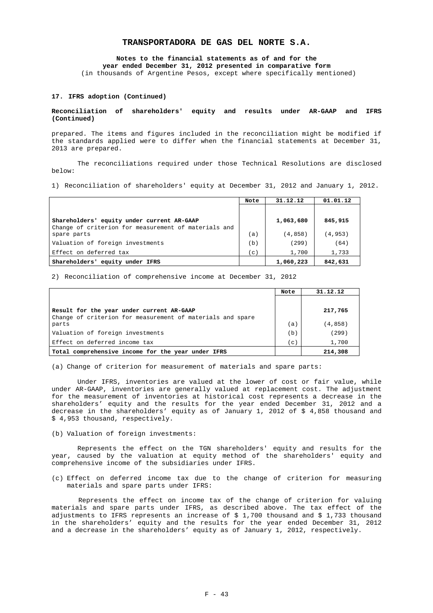**Notes to the financial statements as of and for the year ended December 31, 2012 presented in comparative form** 

(in thousands of Argentine Pesos, except where specifically mentioned)

#### **17. IFRS adoption (Continued)**

#### **Reconciliation of shareholders' equity and results under AR-GAAP and IFRS (Continued)**

prepared. The items and figures included in the reconciliation might be modified if the standards applied were to differ when the financial statements at December 31, 2013 are prepared.

The reconciliations required under those Technical Resolutions are disclosed below:

1) Reconciliation of shareholders' equity at December 31, 2012 and January 1, 2012.

|                                                      | Note  | 31.12.12  | 01.01.12 |
|------------------------------------------------------|-------|-----------|----------|
|                                                      |       |           |          |
| Shareholders' equity under current AR-GAAP           |       | 1,063,680 | 845,915  |
| Change of criterion for measurement of materials and |       |           |          |
| spare parts                                          | (a)   | (4,858)   | (4,953)  |
| Valuation of foreign investments                     | (b)   | (299)     | (64)     |
| Effect on deferred tax                               | ' c ' | 1,700     | 1,733    |
| Shareholders'<br>equity under IFRS                   |       | 1,060,223 | 842,631  |

2) Reconciliation of comprehensive income at December 31, 2012

|                                                                                                         | Note         | 31.12.12 |
|---------------------------------------------------------------------------------------------------------|--------------|----------|
| Result for the year under current AR-GAAP<br>Change of criterion for measurement of materials and spare |              | 217,765  |
| parts                                                                                                   | (a)          | (4, 858) |
| Valuation of foreign investments                                                                        | (b)          | (299)    |
| Effect on deferred income tax                                                                           | $\mathbf{C}$ | 1,700    |
| Total comprehensive income for the year under IFRS                                                      |              | 214,308  |

(a) Change of criterion for measurement of materials and spare parts:

Under IFRS, inventories are valued at the lower of cost or fair value, while under AR-GAAP, inventories are generally valued at replacement cost. The adjustment for the measurement of inventories at historical cost represents a decrease in the shareholders' equity and the results for the year ended December 31, 2012 and a decrease in the shareholders' equity as of January 1, 2012 of \$ 4,858 thousand and \$ 4,953 thousand, respectively.

(b) Valuation of foreign investments:

Represents the effect on the TGN shareholders' equity and results for the year, caused by the valuation at equity method of the shareholders' equity and comprehensive income of the subsidiaries under IFRS.

(c) Effect on deferred income tax due to the change of criterion for measuring materials and spare parts under IFRS:

Represents the effect on income tax of the change of criterion for valuing materials and spare parts under IFRS, as described above. The tax effect of the adjustments to IFRS represents an increase of  $$1,700$  thousand and  $$1,733$  thousand in the shareholders' equity and the results for the year ended December 31, 2012 and a decrease in the shareholders' equity as of January 1, 2012, respectively.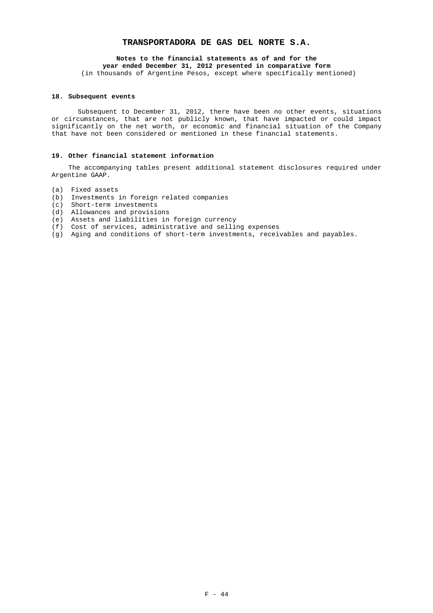# **Notes to the financial statements as of and for the**

**year ended December 31, 2012 presented in comparative form**  (in thousands of Argentine Pesos, except where specifically mentioned)

# **18. Subsequent events**

Subsequent to December 31, 2012, there have been no other events, situations or circumstances, that are not publicly known, that have impacted or could impact significantly on the net worth, or economic and financial situation of the Company that have not been considered or mentioned in these financial statements.

# **19. Other financial statement information**

 The accompanying tables present additional statement disclosures required under Argentine GAAP.

- (a) Fixed assets
- (b) Investments in foreign related companies
- (c) Short-term investments
- (d) Allowances and provisions
- (e) Assets and liabilities in foreign currency
- (f) Cost of services, administrative and selling expenses
- (g) Aging and conditions of short-term investments, receivables and payables.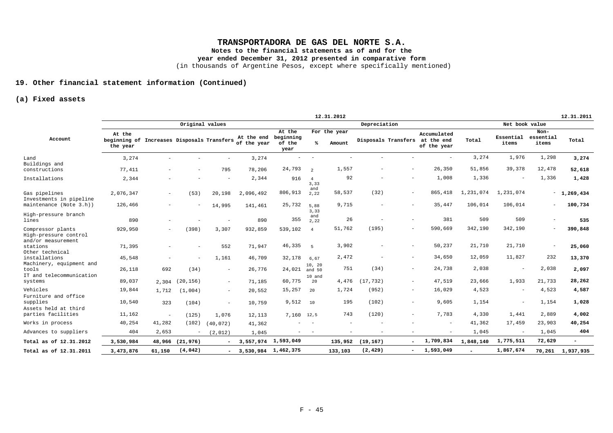**Notes to the financial statements as of and for the** 

**year ended December 31, 2012 presented in comparative form** 

(in thousands of Argentine Pesos, except where specifically mentioned)

# **19. Other financial statement information (Continued)**

# **(a) Fixed assets**

|                                                                  |                                                                  |                          |           |                 |                           |                                       |                  | 12.31.2012             |              |                          |                                          |           |                          |                            | 12.31.2011               |
|------------------------------------------------------------------|------------------------------------------------------------------|--------------------------|-----------|-----------------|---------------------------|---------------------------------------|------------------|------------------------|--------------|--------------------------|------------------------------------------|-----------|--------------------------|----------------------------|--------------------------|
|                                                                  |                                                                  |                          |           | Original values |                           |                                       |                  |                        | Depreciation |                          |                                          |           | Net book value           |                            |                          |
| Account                                                          | At the<br>beginning of Increases Disposals Transfers<br>the year |                          |           |                 | At the end<br>of the year | At the<br>beginning<br>of the<br>year | ℁                | For the year<br>Amount |              | Disposals Transfers      | Accumulated<br>at the end<br>of the year | Total     | Essential<br>items       | Non-<br>essential<br>items | Total                    |
| Land<br>Buildings and                                            | 3,274                                                            |                          |           |                 | 3,274                     |                                       |                  |                        |              |                          |                                          | 3,274     | 1,976                    | 1,298                      | 3,274                    |
| constructions                                                    | 77,411                                                           |                          |           | 795             | 78,206                    | 24,793                                | $\overline{2}$   | 1,557                  |              |                          | 26,350                                   | 51,856    | 39,378                   | 12,478                     | 52,618                   |
| Installations                                                    | 2,344                                                            |                          |           |                 | 2,344                     | 916                                   | 3,33             | 92                     |              |                          | 1,008                                    | 1,336     |                          | 1,336                      | 1,428                    |
| Gas pipelines<br>Investments in pipeline                         | 2,076,347                                                        | $\overline{\phantom{a}}$ | (53)      | 20,198          | 2,096,492                 | 806,913                               | and<br>2,22      | 58,537                 | (32)         | $\sim$                   | 865,418                                  | 1,231,074 | 1,231,074                | $\overline{\phantom{a}}$   | 1,269,434                |
| maintenance (Note 3.h))                                          | 126,466                                                          |                          |           | 14,995          | 141,461                   | 25,732                                | 5,88<br>3,33     | 9,715                  |              |                          | 35,447                                   | 106,014   | 106,014                  |                            | 100,734                  |
| High-pressure branch<br>lines                                    | 890                                                              |                          |           |                 | 890                       | 355                                   | and<br>2,22      | 26                     |              |                          | 381                                      | 509       | 509                      |                            | 535                      |
| Compressor plants<br>High-pressure control<br>and/or measurement | 929,950                                                          | $\overline{a}$           | (398)     | 3,307           | 932,859                   | 539,102                               | $\overline{4}$   | 51,762                 | (195)        | $\sim$                   | 590,669                                  | 342,190   | 342,190                  | $\overline{\phantom{a}}$   | 390,848                  |
| stations<br>Other technical                                      | 71,395                                                           |                          |           | 552             | 71,947                    | 46,335                                | -5               | 3,902                  |              |                          | 50,237                                   | 21,710    | 21,710                   |                            | 25,060                   |
| installations                                                    | 45,548                                                           |                          |           | 1,161           | 46,709                    | 32,178                                | 6,67             | 2,472                  |              | $\overline{\phantom{0}}$ | 34,650                                   | 12,059    | 11,827                   | 232                        | 13,370                   |
| Machinery, equipment and<br>tools<br>IT and telecommunication    | 26,118                                                           | 692                      | (34)      | $\sim$          | 26,776                    | 24,021                                | 10, 20<br>and 50 | 751                    | (34)         | $\overline{\phantom{0}}$ | 24,738                                   | 2,038     | $\overline{\phantom{a}}$ | 2,038                      | 2,097                    |
| systems                                                          | 89,037                                                           | 2,304                    | (20, 156) | $\sim$          | 71,185                    | 60,775                                | 10 and<br>20     | 4,476                  | (17.732)     | $\sim$                   | 47,519                                   | 23,666    | 1,933                    | 21,733                     | 28,262                   |
| Vehicles<br>Furniture and office                                 | 19,844                                                           | 1,712                    | (1.004)   | $\sim$          | 20,552                    | 15,257                                | 20               | 1,724                  | (952)        | $\sim$                   | 16,029                                   | 4,523     | $\overline{\phantom{a}}$ | 4,523                      | 4,587                    |
| supplies<br>Assets held at third                                 | 10,540                                                           | 323                      | (104)     | $\sim$          | 10,759                    | 9,512                                 | 10               | 195                    | (102)        | $\overline{\phantom{0}}$ | 9,605                                    | 1,154     | $\overline{\phantom{a}}$ | 1,154                      | 1,028                    |
| parties facilities                                               | 11,162                                                           | $\sim$                   | (125)     | 1,076           | 12,113                    | 7,160 12,5                            |                  | 743                    | (120)        |                          | 7,783                                    | 4,330     | 1,441                    | 2,889                      | 4,002                    |
| Works in process                                                 | 40,254                                                           | 41,282                   | (102)     | (40.072)        | 41,362                    |                                       |                  |                        |              |                          | ۰                                        | 41,362    | 17,459                   | 23,903                     | 40,254                   |
| Advances to suppliers                                            | 404                                                              | 2,653                    |           | (2,012)         | 1,045                     |                                       |                  |                        |              |                          |                                          | 1,045     | $\overline{\phantom{a}}$ | 1,045                      | 404                      |
| Total as of 12.31.2012                                           | 3,530,984                                                        | 48,966                   | (21, 976) | $\sim$          | 3,557,974                 | 1,593,049                             |                  | 135,952                | (19, 167)    |                          | 1,709,834                                | 1,848,140 | 1,775,511                | 72,629                     | $\overline{\phantom{0}}$ |
| Total as of 12.31.2011                                           | 3,473,876                                                        | 61,150                   | (4,042)   | $\sim$          | 3,530,984 1,462,375       |                                       |                  | 133,103                | (2, 429)     | $-$                      | 1,593,049                                |           | 1,867,674                | 70,261                     | 1,937,935                |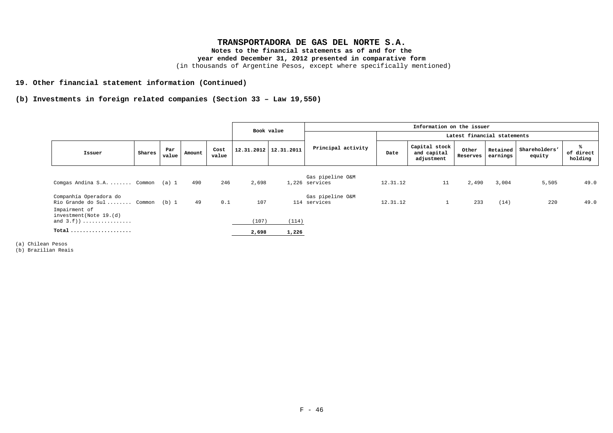**Notes to the financial statements as of and for the** 

### **year ended December 31, 2012 presented in comparative form**

(in thousands of Argentine Pesos, except where specifically mentioned)

# **19. Other financial statement information (Continued)**

# **(b) Investments in foreign related companies (Section 33 – Law 19,550)**

|                                                                                                                     |        |              |        |               |                       | Book value | Information on the issuer          |                             |                                            |                   |          |                                  |                           |  |  |  |
|---------------------------------------------------------------------------------------------------------------------|--------|--------------|--------|---------------|-----------------------|------------|------------------------------------|-----------------------------|--------------------------------------------|-------------------|----------|----------------------------------|---------------------------|--|--|--|
|                                                                                                                     |        |              |        |               |                       |            |                                    | Latest financial statements |                                            |                   |          |                                  |                           |  |  |  |
| Issuer                                                                                                              | Shares | Par<br>value | Amount | Cost<br>value | 12.31.2012 12.31.2011 |            | Principal activity                 | Date                        | Capital stock<br>and capital<br>adjustment | Other<br>Reserves | earnings | Retained Shareholders'<br>equity | ℁<br>of direct<br>holding |  |  |  |
| Comgas Andina S.A.  Common (a) 1                                                                                    |        |              | 490    | 246           | 2,698                 |            | Gas pipeline O&M<br>1,226 services | 12.31.12                    | 11                                         | 2,490             | 3,004    | 5,505                            | 49.0                      |  |  |  |
| Companhía Operadora do<br>Rio Grande do Sul Common (b) 1<br>Impairment of<br>investment (Note 19.(d)<br>and $3.f$ ) |        |              | 49     | 0.1           | 107<br>(107)          | (114)      | Gas pipeline O&M<br>114 services   | 12.31.12                    |                                            | 233               | (14)     | 220                              | 49.0                      |  |  |  |
| $Total$                                                                                                             |        |              |        |               | 2,698                 | 1,226      |                                    |                             |                                            |                   |          |                                  |                           |  |  |  |

(a) Chilean Pesos

(b) Brazilian Reais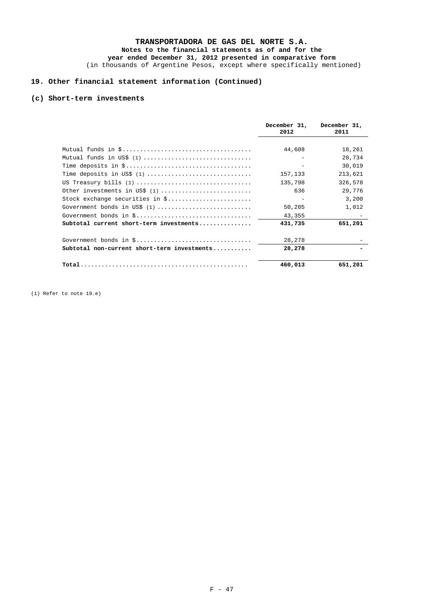# **Notes to the financial statements as of and for the year ended December 31, 2012 presented in comparative form**

(in thousands of Argentine Pesos, except where specifically mentioned)

# **19. Other financial statement information (Continued)**

# **(c) Short-term investments**

|                                             | December 31,<br>2012 | December 31,<br>2011 |
|---------------------------------------------|----------------------|----------------------|
|                                             |                      |                      |
|                                             | 44,608               | 18,261               |
| Mutual funds in US\$ (1)                    |                      | 28,734               |
|                                             |                      | 30,019               |
| Time deposits in US\$ $(1)$                 | 157,133              | 213,621              |
| US Treasury bills (1)                       | 135,798              | 326,578              |
| Other investments in US\$ (1)               | 636                  | 29,776               |
| Stock exchange securities in \$             |                      | 3,200                |
| Government bonds in US\$ $(1)$              | 50,205               | 1,012                |
|                                             | 43,355               |                      |
| Subtotal current short-term investments     | 431,735              | 651,201              |
|                                             | 28,278               |                      |
| Subtotal non-current short-term investments | 28,278               |                      |
|                                             | 460,013              | 651,201              |

(1) Refer to note 19.e)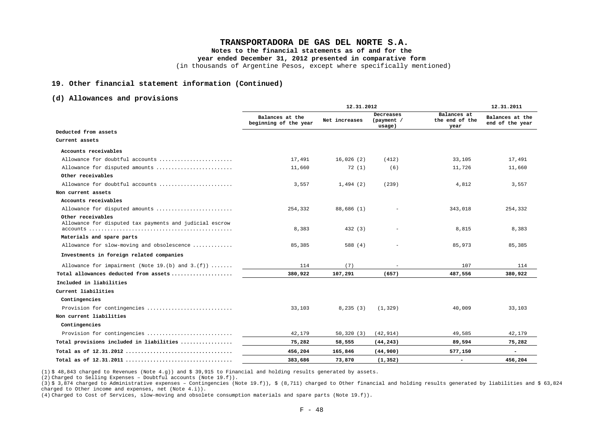**Notes to the financial statements as of and for the** 

**year ended December 31, 2012 presented in comparative form** 

(in thousands of Argentine Pesos, except where specifically mentioned)

#### **19. Other financial statement information (Continued)**

### **(d) Allowances and provisions**

|                                                                              |                                          | 12.31.2012    |                                   |                                       | 12.31.2011                         |  |
|------------------------------------------------------------------------------|------------------------------------------|---------------|-----------------------------------|---------------------------------------|------------------------------------|--|
|                                                                              | Balances at the<br>beginning of the year | Net increases | Decreases<br>(payment /<br>usage) | Balances at<br>the end of the<br>year | Balances at the<br>end of the year |  |
| Deducted from assets                                                         |                                          |               |                                   |                                       |                                    |  |
| Current assets                                                               |                                          |               |                                   |                                       |                                    |  |
| Accounts receivables                                                         |                                          |               |                                   |                                       |                                    |  |
| Allowance for doubtful accounts                                              | 17,491                                   | 16,026(2)     | (412)                             | 33,105                                | 17,491                             |  |
| Allowance for disputed amounts                                               | 11,660                                   | 72(1)         | (6)                               | 11,726                                | 11,660                             |  |
| Other receivables                                                            |                                          |               |                                   |                                       |                                    |  |
| Allowance for doubtful accounts                                              | 3,557                                    | 1,494(2)      | (239)                             | 4,812                                 | 3,557                              |  |
| Non current assets                                                           |                                          |               |                                   |                                       |                                    |  |
| Accounts receivables                                                         |                                          |               |                                   |                                       |                                    |  |
| Allowance for disputed amounts                                               | 254,332                                  | 88,686 (1)    |                                   | 343,018                               | 254,332                            |  |
| Other receivables<br>Allowance for disputed tax payments and judicial escrow | 8,383                                    | 432 (3)       |                                   | 8,815                                 | 8,383                              |  |
| Materials and spare parts                                                    |                                          |               |                                   |                                       |                                    |  |
| Allowance for slow-moving and obsolescence                                   | 85,385                                   | 588 (4)       |                                   | 85,973                                | 85,385                             |  |
| Investments in foreign related companies                                     |                                          |               |                                   |                                       |                                    |  |
| Allowance for impairment (Note 19.(b) and $3.(f))$                           | 114                                      | (7)           | $\overline{\phantom{a}}$          | 107                                   | 114                                |  |
| Total allowances deducted from assets                                        | 380,922                                  | 107,291       | (657)                             | 487,556                               | 380,922                            |  |
| Included in liabilities                                                      |                                          |               |                                   |                                       |                                    |  |
| Current liabilities                                                          |                                          |               |                                   |                                       |                                    |  |
| Contingencies                                                                |                                          |               |                                   |                                       |                                    |  |
| Provision for contingencies                                                  | 33,103                                   | 8,235(3)      | (1, 329)                          | 40,009                                | 33,103                             |  |
| Non current liabilities                                                      |                                          |               |                                   |                                       |                                    |  |
| Contingencies                                                                |                                          |               |                                   |                                       |                                    |  |
| Provision for contingencies                                                  | 42,179                                   | 50,320(3)     | (42, 914)                         | 49,585                                | 42,179                             |  |
| Total provisions included in liabilities                                     | 75,282                                   | 58,555        | (44, 243)                         | 89,594                                | 75,282                             |  |
|                                                                              | 456,204                                  | 165,846       | (44, 900)                         | 577,150                               | $\blacksquare$                     |  |
|                                                                              | 383,686                                  | 73,870        | (1, 352)                          | $\overline{\phantom{0}}$              | 456,204                            |  |

(1) \$ 48,843 charged to Revenues (Note 4.g)) and \$ 39,915 to Financial and holding results generated by assets.

(2) Charged to Selling Expenses – Doubtful accounts (Note 19.f)).

(4) Charged to Cost of Services, slow-moving and obsolete consumption materials and spare parts (Note 19.f)).

<sup>(3) \$ 3,874</sup> charged to Administrative expenses - Contingencies (Note 19.f)), \$ (8,711) charged to Other financial and holding results generated by liabilities and \$ 63,824 charged to Other income and expenses, net (Note 4.i)).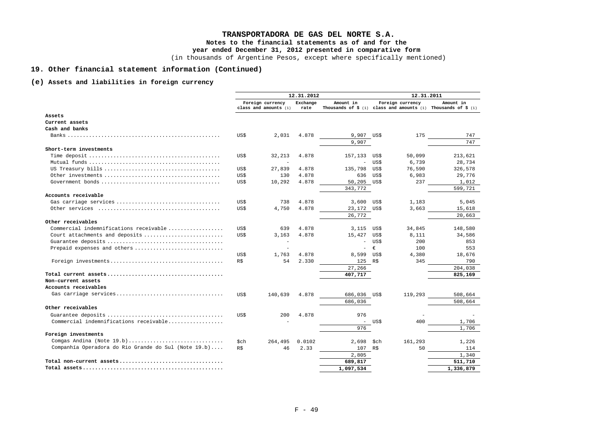# **TRANSPORTADORA DE GAS DEL NORTE S.A. Notes to the financial statements as of and for the year ended December 31, 2012 presented in comparative form**

(in thousands of Argentine Pesos, except where specifically mentioned)

# **19. Other financial statement information (Continued)**

# **(e) Assets and liabilities in foreign currency**

|                                                      | 12.31.2012 |                                           |                  |                          | 12.31.2011 |                  |                                                                                        |
|------------------------------------------------------|------------|-------------------------------------------|------------------|--------------------------|------------|------------------|----------------------------------------------------------------------------------------|
|                                                      |            | Foreign currency<br>class and amounts (1) | Exchange<br>rate | Amount in                |            | Foreign currency | Amount in<br>Thousands of $\sharp$ (1) class and amounts (1) Thousands of $\sharp$ (1) |
| Assets                                               |            |                                           |                  |                          |            |                  |                                                                                        |
| Current assets                                       |            |                                           |                  |                          |            |                  |                                                                                        |
| Cash and banks                                       |            |                                           |                  |                          |            |                  |                                                                                        |
|                                                      | US\$       | 2,031                                     | 4.878            | 9,907 US\$               |            | 175              | 747                                                                                    |
|                                                      |            |                                           |                  | 9,907                    |            |                  | 747                                                                                    |
| Short-term investments                               |            |                                           |                  |                          |            |                  |                                                                                        |
|                                                      | US\$       | 32,213                                    | 4.878            | 157,133                  | US\$       | 50,099           | 213,621                                                                                |
|                                                      |            |                                           |                  |                          | US\$       | 6,739            | 28,734                                                                                 |
|                                                      | US\$       | 27,839                                    | 4.878            | 135,798                  | US\$       | 76,590           | 326,578                                                                                |
|                                                      | US\$       | 130                                       | 4.878            | 636                      | US\$       | 6,983            | 29,776                                                                                 |
|                                                      | US\$       | 10,292                                    | 4.878            | 50,205 US\$              |            | 237              | 1,012                                                                                  |
|                                                      |            |                                           |                  | 343,772                  |            |                  | 599,721                                                                                |
| Accounts receivable                                  |            |                                           |                  |                          |            |                  |                                                                                        |
| Gas carriage services                                | US\$       | 738                                       | 4.878            | 3,600                    | US\$       | 1,183            | 5,045                                                                                  |
|                                                      | US\$       | 4,750                                     | 4.878            | 23,172 US\$              |            | 3,663            | 15,618                                                                                 |
|                                                      |            |                                           |                  | 26,772                   |            |                  | 20,663                                                                                 |
| Other receivables                                    |            |                                           |                  |                          |            |                  |                                                                                        |
| Commercial indemnifications receivable               | US\$       | 639                                       | 4.878            | 3,115                    | US\$       | 34,845           | 148,580                                                                                |
| Court attachments and deposits                       | US\$       | 3,163                                     | 4.878            | 15,427                   | US\$       | 8,111            | 34,586                                                                                 |
|                                                      |            |                                           |                  | $\overline{\phantom{a}}$ | US\$       | 200              | 853                                                                                    |
| Prepaid expenses and others                          |            |                                           |                  | $\overline{\phantom{a}}$ | €          | 100              | 553                                                                                    |
|                                                      | US\$       | 1,763                                     | 4.878            | 8,599                    | US\$       | 4,380            | 18,676                                                                                 |
|                                                      | R\$        | 54                                        | 2.330            | 125 R\$                  |            | 345              | 790                                                                                    |
|                                                      |            |                                           |                  | 27,266                   |            |                  | 204,038                                                                                |
|                                                      |            |                                           |                  | 407,717                  |            |                  | 825,169                                                                                |
| Non-current assets                                   |            |                                           |                  |                          |            |                  |                                                                                        |
| Accounts receivables                                 |            |                                           |                  |                          |            |                  |                                                                                        |
| Gas carriage services                                | US\$       | 140,639                                   | 4.878            | 686,036 US\$             |            | 119,293          | 508,664                                                                                |
|                                                      |            |                                           |                  | 686,036                  |            |                  | 508,664                                                                                |
| Other receivables                                    |            |                                           |                  |                          |            |                  |                                                                                        |
|                                                      | US\$       | 200                                       | 4.878            | 976                      |            |                  |                                                                                        |
| Commercial indemnifications receivable               |            |                                           |                  |                          | - US\$     | 400              | 1,706                                                                                  |
|                                                      |            |                                           |                  | 976                      |            |                  | 1,706                                                                                  |
| Foreign investments                                  |            |                                           |                  |                          |            |                  |                                                                                        |
| Comgas Andina (Note $19.b)$                          | \$ch       | 264,495                                   | 0.0102           | 2,698                    | \$ch       | 161,293          | 1,226                                                                                  |
| Companhía Operadora do Rio Grande do Sul (Note 19.b) | R\$        | 46                                        | 2.33             | 107 R\$                  |            | 50               | 114                                                                                    |
|                                                      |            |                                           |                  | 2,805                    |            |                  | 1,340                                                                                  |
|                                                      |            |                                           |                  | 689,817                  |            |                  | 511,710                                                                                |
|                                                      |            |                                           |                  | 1,097,534                |            |                  | 1,336,879                                                                              |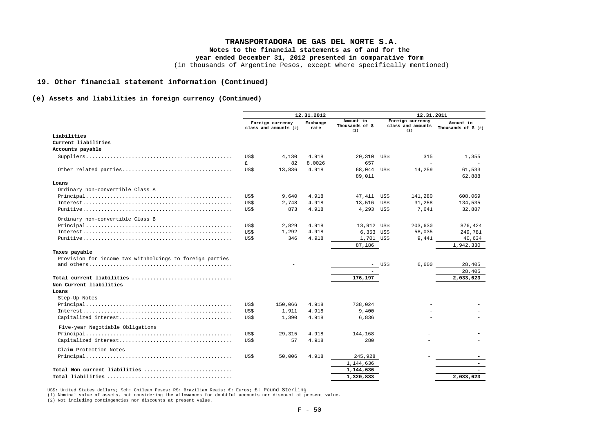## **TRANSPORTADORA DE GAS DEL NORTE S.A.**

**Notes to the financial statements as of and for the** 

**year ended December 31, 2012 presented in comparative form** 

(in thousands of Argentine Pesos, except where specifically mentioned)

#### **19. Other financial statement information (Continued)**

#### **(e) Assets and liabilities in foreign currency (Continued)**

|                                                          | 12.31.2012   |                                           |                  | 12.31.2011                          |      |                                              |                                             |
|----------------------------------------------------------|--------------|-------------------------------------------|------------------|-------------------------------------|------|----------------------------------------------|---------------------------------------------|
|                                                          |              | Foreign currency<br>class and amounts (2) | Exchange<br>rate | Amount in<br>Thousands of \$<br>(2) |      | Foreign currency<br>class and amounts<br>(2) | Amount in<br>Thousands of $\frac{1}{2}$ (2) |
| Liabilities                                              |              |                                           |                  |                                     |      |                                              |                                             |
| Current liabilities                                      |              |                                           |                  |                                     |      |                                              |                                             |
| Accounts payable                                         |              |                                           |                  |                                     |      |                                              |                                             |
|                                                          | US\$         | 4,130                                     | 4.918            | 20,310                              | US\$ | 315                                          | 1,355                                       |
|                                                          | $\mathbf{f}$ | 82                                        | 8.0026           | 657                                 |      |                                              |                                             |
|                                                          | US\$         | 13,836                                    | 4.918            | 68,044 US\$                         |      | 14,259                                       | 61,533                                      |
|                                                          |              |                                           |                  | 89,011                              |      |                                              | 62,888                                      |
| Loans                                                    |              |                                           |                  |                                     |      |                                              |                                             |
| Ordinary non-convertible Class A                         |              |                                           |                  |                                     |      |                                              |                                             |
|                                                          | US\$         | 9,640                                     | 4.918            | 47,411 US\$                         |      | 141,280                                      | 608,069                                     |
|                                                          | US\$         | 2,748                                     | 4.918            | 13,516                              | US\$ | 31,258                                       | 134,535                                     |
|                                                          | US\$         | 873                                       | 4.918            | 4,293                               | US\$ | 7.641                                        | 32,887                                      |
| Ordinary non-convertible Class B                         |              |                                           |                  |                                     |      |                                              |                                             |
|                                                          | US\$         | 2,829                                     | 4.918            | 13,912 US\$                         |      | 203,630                                      | 876,424                                     |
|                                                          | US\$         | 1,292                                     | 4.918            | $6,353$ US\$                        |      | 58,035                                       | 249,781                                     |
|                                                          | US\$         | 346                                       | 4.918            | 1,701 US\$                          |      | 9,441                                        | 40,634                                      |
|                                                          |              |                                           |                  | 87,186                              |      |                                              | 1,942,330                                   |
| Taxes payable                                            |              |                                           |                  |                                     |      |                                              |                                             |
| Provision for income tax withholdings to foreign parties |              |                                           |                  |                                     |      |                                              |                                             |
|                                                          |              |                                           |                  |                                     | US\$ | 6,600                                        | 28,405                                      |
|                                                          |              |                                           |                  |                                     |      |                                              | 28,405                                      |
| Total current liabilities                                |              |                                           |                  | 176,197                             |      |                                              | 2,033,623                                   |
| Non Current liabilities                                  |              |                                           |                  |                                     |      |                                              |                                             |
| Loans                                                    |              |                                           |                  |                                     |      |                                              |                                             |
| Step-Up Notes                                            |              |                                           |                  |                                     |      |                                              |                                             |
|                                                          | US\$         | 150,066                                   | 4.918            | 738,024                             |      |                                              |                                             |
|                                                          | US\$         | 1,911                                     | 4.918            | 9,400                               |      |                                              |                                             |
|                                                          | US\$         | 1,390                                     | 4.918            | 6,836                               |      |                                              |                                             |
| Five-year Negotiable Obligations                         |              |                                           |                  |                                     |      |                                              |                                             |
|                                                          | US\$         | 29,315                                    | 4.918            | 144,168                             |      |                                              |                                             |
|                                                          | US\$         | 57                                        | 4.918            | 280                                 |      |                                              |                                             |
|                                                          |              |                                           |                  |                                     |      |                                              |                                             |
| Claim Protection Notes                                   |              |                                           |                  |                                     |      |                                              |                                             |
|                                                          | US\$         | 50,006                                    | 4.918            | 245,928                             |      |                                              |                                             |
|                                                          |              |                                           |                  | 1,144,636                           |      |                                              | $\overline{\phantom{a}}$                    |
| Total Non current liabilities                            |              |                                           |                  | 1,144,636                           |      |                                              |                                             |
|                                                          |              |                                           |                  | 1,320,833                           |      |                                              | 2,033,623                                   |

US\$: United States dollars; \$ch: Chilean Pesos; R\$: Brazilian Reais; €: Euros; £: Pound Sterling

(1) Nominal value of assets, not considering the allowances for doubtful accounts nor discount at present value.

(2) Not including contingencies nor discounts at present value.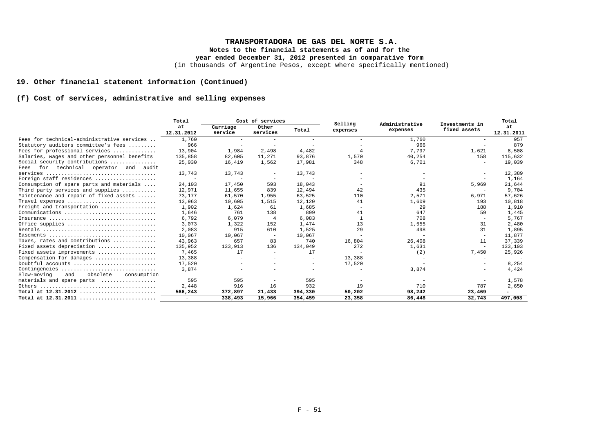# **TRANSPORTADORA DE GAS DEL NORTE S.A.**

**Notes to the financial statements as of and for the** 

**year ended December 31, 2012 presented in comparative form** 

(in thousands of Argentine Pesos, except where specifically mentioned)

# **19. Other financial statement information (Continued)**

# **(f) Cost of services, administrative and selling expenses**

|                                               | Total                    | Cost of services         |                          | Selling                  | Administrative | Investments in | Total                    |                          |
|-----------------------------------------------|--------------------------|--------------------------|--------------------------|--------------------------|----------------|----------------|--------------------------|--------------------------|
|                                               | at<br>12.31.2012         | Carriage<br>service      | Other<br>services        | Total                    | expenses       | expenses       | fixed assets             | at<br>12.31.2011         |
| Fees for technical-administrative services    | 1,760                    |                          |                          | $\overline{\phantom{a}}$ |                | 1,760          |                          | 957                      |
| Statutory auditors committee's fees           | 966                      |                          | $\overline{\phantom{a}}$ | $\sim$                   |                | 966            |                          | 879                      |
| Fees for professional services                | 13,904                   | 1,984                    | 2,498                    | 4,482                    |                | 7,797          | 1,621                    | 8,508                    |
| Salaries, wages and other personnel benefits  | 135,858                  | 82,605                   | 11,271                   | 93,876                   | 1,570          | 40,254         | 158                      | 115,632                  |
| Social security contributions                 | 25,030                   | 16,419                   | 1,562                    | 17,981                   | 348            | 6,701          |                          | 19,039                   |
| technical operator and audit<br>for<br>Fees   |                          |                          |                          |                          |                |                |                          |                          |
|                                               | 13,743                   | 13,743                   |                          | 13,743                   |                |                |                          | 12,389                   |
| Foreign staff residences                      | $\overline{\phantom{a}}$ | $\overline{\phantom{a}}$ |                          |                          |                |                |                          | 1,164                    |
| Consumption of spare parts and materials      | 24,103                   | 17,450                   | 593                      | 18,043                   |                | 91             | 5,969                    | 21,644                   |
| Third party services and supplies             | 12,971                   | 11,655                   | 839                      | 12,494                   | 42             | 435            |                          | 9,704                    |
| Maintenance and repair of fixed assets        | 73,177                   | 61,570                   | 1,955                    | 63,525                   | 110            | 2,571          | 6,971                    | 57,626                   |
| Travel expenses                               | 13,963                   | 10,605                   | 1,515                    | 12,120                   | 41             | 1,609          | 193                      | 10,818                   |
| Freight and transportation                    | 1,902                    | 1,624                    | 61                       | 1,685                    |                | 29             | 188                      | 1,910                    |
|                                               | 1,646                    | 761                      | 138                      | 899                      | 41             | 647            | 59                       | 1,445                    |
| Insurance                                     | 6,792                    | 6,079                    | $\overline{4}$           | 6,083                    | $\overline{1}$ | 708            | $\overline{\phantom{a}}$ | 5,767                    |
| Office supplies                               | 3,073                    | 1,322                    | 152                      | 1,474                    | 13             | 1,555          | 31                       | 2,480                    |
|                                               | 2,083                    | 915                      | 610                      | 1,525                    | 29             | 498            | 31                       | 1,895                    |
|                                               | 10,067                   | 10,067                   |                          | 10,067                   |                |                | $\overline{\phantom{m}}$ | 11,877                   |
| Taxes, rates and contributions                | 43,963                   | 657                      | 83                       | 740                      | 16,804         | 26,408         | 11                       | 37,339                   |
| Fixed assets depreciation                     | 135,952                  | 133,913                  | 136                      | 134,049                  | 272            | 1,631          | $\overline{\phantom{a}}$ | 133,103                  |
| Fixed assets improvements                     | 7.465                    | 17                       | $\sim$                   | 17                       |                | (2)            | 7,450                    | 25,926                   |
| Compensation for damages                      | 13,388                   |                          |                          |                          | 13,388         |                |                          |                          |
| Doubtful accounts                             | 17,520                   |                          |                          | $\sim$                   | 17,520         |                |                          | 8,254                    |
| Contingencies                                 | 3,874                    |                          |                          |                          |                | 3,874          |                          | 4,424                    |
| obsolete<br>Slow-moving<br>and<br>consumption |                          |                          |                          |                          |                |                |                          |                          |
| materials and spare parts                     | 595                      | 595                      |                          | 595                      |                |                |                          | 1,578                    |
|                                               | 2,448                    | 916                      | 16                       | 932                      | 19             | 710            | 787                      | 2,650                    |
| Total at $12.31.2012$                         | 566,243                  | 372,897                  | 21,433                   | 394,330                  | 50,202         | 98,242         | 23,469                   | $\overline{\phantom{0}}$ |
| Total at $12.31.2011$                         | $\overline{\phantom{0}}$ | 338,493                  | 15,966                   | 354,459                  | 23,358         | 86,448         | 32,743                   | 497,008                  |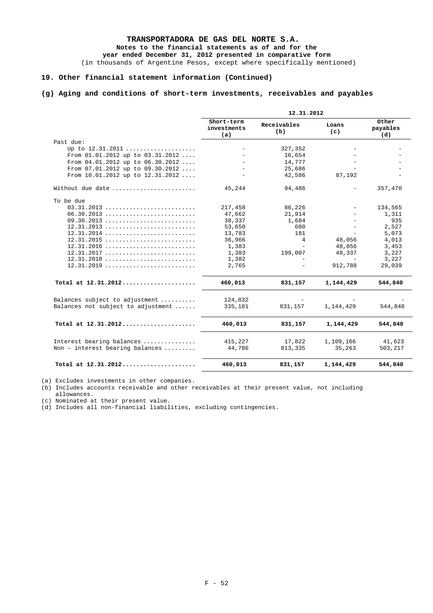# **TRANSPORTADORA DE GAS DEL NORTE S.A. Notes to the financial statements as of and for the**

**year ended December 31, 2012 presented in comparative form** 

(in thousands of Argentine Pesos, except where specifically mentioned)

# **19. Other financial statement information (Continued)**

# **(g) Aging and conditions of short-term investments, receivables and payables**

|                                                        | 12.31.2012                       |                    |                |                          |
|--------------------------------------------------------|----------------------------------|--------------------|----------------|--------------------------|
|                                                        | Short-term<br>investments<br>(a) | Receivables<br>(b) | Loans<br>(c)   | Other<br>payables<br>(d) |
| Past due:                                              |                                  |                    |                |                          |
|                                                        |                                  | 327,352            | $\frac{1}{2}$  |                          |
| From $01.01.2012$ up to $03.31.2012$                   |                                  | 16,654             |                |                          |
| From $04.01.2012$ up to $06.30.2012$                   |                                  | 14,777             |                |                          |
| From $07.01.2012$ up to $09.30.2012$                   |                                  | 25,686             |                |                          |
| From $10.01.2012$ up to $12.31.2012$                   |                                  | 42,586             | 87,192         |                          |
| Without due date                                       | 45,244                           | 94,486             |                | 357,470                  |
| To be due                                              |                                  |                    |                |                          |
| 03.31.2013                                             | 217,458                          | 86,226             | $\frac{1}{2}$  | 134,565                  |
| 06.30.2013                                             | 47,662                           | 21,914             |                | 1,311                    |
| 09.30.2013                                             | 38,337                           | 1,684              |                | 935                      |
| $12.31.2013 \ldots \ldots \ldots \ldots \ldots \ldots$ | 53,650                           | 600                | $\overline{a}$ | 2,527                    |
| 12.31.2014                                             | 13,783                           | 181                | $\equiv$       | 5,073                    |
| 12.31.2015                                             | 36,966                           | 4                  | 48,056         | 4,013                    |
| $12.31.2016 \ldots \ldots \ldots \ldots \ldots \ldots$ | 1,383                            |                    | 48,056         | 3,453                    |
| 12.31.2017                                             | 1,383                            | 199,007            | 48,337         | 3,227                    |
| $12.31.2018 \ldots \ldots \ldots \ldots \ldots \ldots$ | 1,382                            |                    |                | 3,227                    |
| $12.31.2019 \ldots \ldots \ldots \ldots \ldots \ldots$ | 2,765                            |                    | 912,788        | 29,039                   |
| Total at $12.31.2012$                                  | 460,013                          | 831,157            | 1, 144, 429    | 544,840                  |
| Balances subject to adjustment                         | 124,832                          |                    |                |                          |
| Balances not subject to adjustment                     | 335,181                          | 831,157            | 1,144,429      | 544,840                  |
| Total at 12.31.2012                                    | 460,013                          | 831,157            | 1,144,429      | 544,840                  |
| Interest bearing balances                              | 415,227                          | 17,822             | 1,109,166      | 41,623                   |
| Non - interest bearing balances                        | 44,786                           | 813,335            | 35,263         | 503,217                  |
|                                                        |                                  |                    |                |                          |
| Total at 12.31.2012                                    | 460,013                          | 831,157            | 1,144,429      | 544,840                  |

(a) Excludes investments in other companies.

(b) Includes accounts receivable and other receivables at their present value, not including allowances.

(c) Nominated at their present value.

(d) Includes all non-financial liabilities, excluding contingencies.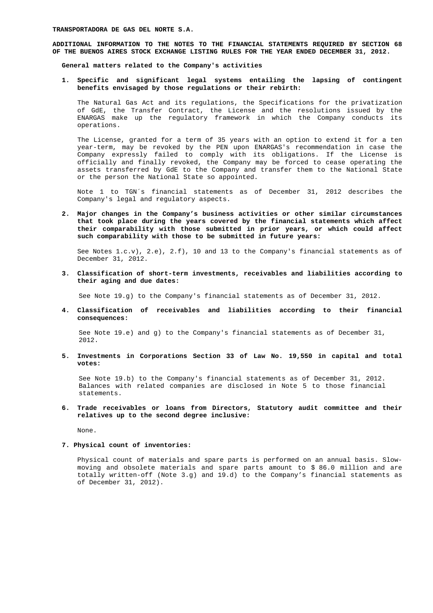**ADDITIONAL INFORMATION TO THE NOTES TO THE FINANCIAL STATEMENTS REQUIRED BY SECTION 68 OF THE BUENOS AIRES STOCK EXCHANGE LISTING RULES FOR THE YEAR ENDED DECEMBER 31, 2012.** 

**General matters related to the Company's activities** 

**1. Specific and significant legal systems entailing the lapsing of contingent benefits envisaged by those regulations or their rebirth:** 

 The Natural Gas Act and its regulations, the Specifications for the privatization of GdE, the Transfer Contract, the License and the resolutions issued by the ENARGAS make up the regulatory framework in which the Company conducts its operations.

The License, granted for a term of 35 years with an option to extend it for a ten year-term, may be revoked by the PEN upon ENARGAS's recommendation in case the Company expressly failed to comply with its obligations. If the License is officially and finally revoked, the Company may be forced to cease operating the assets transferred by GdE to the Company and transfer them to the National State or the person the National State so appointed.

Note 1 to TGN´s financial statements as of December 31, 2012 describes the Company's legal and regulatory aspects.

**2. Major changes in the Company's business activities or other similar circumstances that took place during the years covered by the financial statements which affect their comparability with those submitted in prior years, or which could affect such comparability with those to be submitted in future years:** 

See Notes  $1.c.v$ ,  $2.e$ ,  $2.f$ ,  $10$  and  $13$  to the Company's financial statements as of December 31, 2012.

**3. Classification of short-term investments, receivables and liabilities according to their aging and due dates:** 

See Note 19.g) to the Company's financial statements as of December 31, 2012.

**4. Classification of receivables and liabilities according to their financial consequences:** 

See Note  $19.e$  and q) to the Company's financial statements as of December 31, 2012.

**5. Investments in Corporations Section 33 of Law No. 19,550 in capital and total votes:** 

See Note 19.b) to the Company's financial statements as of December 31, 2012. Balances with related companies are disclosed in Note 5 to those financial statements.

**6. Trade receivables or loans from Directors, Statutory audit committee and their relatives up to the second degree inclusive:** 

None.

#### **7. Physical count of inventories:**

Physical count of materials and spare parts is performed on an annual basis. Slowmoving and obsolete materials and spare parts amount to \$ 86.0 million and are totally written-off (Note 3.g) and 19.d) to the Company's financial statements as of December 31, 2012).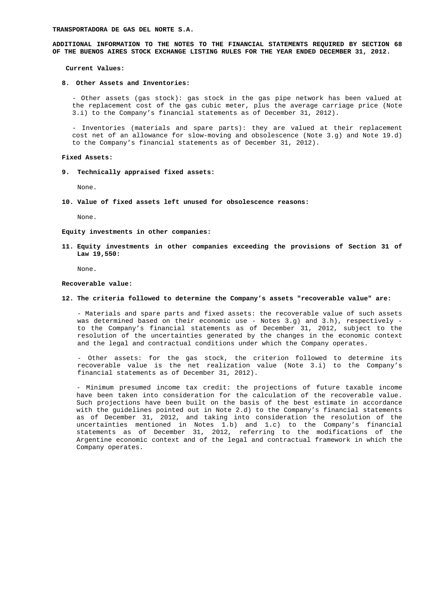**ADDITIONAL INFORMATION TO THE NOTES TO THE FINANCIAL STATEMENTS REQUIRED BY SECTION 68 OF THE BUENOS AIRES STOCK EXCHANGE LISTING RULES FOR THE YEAR ENDED DECEMBER 31, 2012.** 

 **Current Values:** 

#### **8. Other Assets and Inventories:**

- Other assets (gas stock): gas stock in the gas pipe network has been valued at the replacement cost of the gas cubic meter, plus the average carriage price (Note 3.i) to the Company's financial statements as of December 31, 2012).

- Inventories (materials and spare parts): they are valued at their replacement cost net of an allowance for slow-moving and obsolescence (Note 3.g) and Note 19.d) to the Company's financial statements as of December 31, 2012).

#### **Fixed Assets:**

**9. Technically appraised fixed assets:** 

None.

**10. Value of fixed assets left unused for obsolescence reasons:** 

None.

**Equity investments in other companies:** 

**11. Equity investments in other companies exceeding the provisions of Section 31 of Law 19,550:** 

None.

#### **Recoverable value:**

### **12. The criteria followed to determine the Company's assets "recoverable value" are:**

- Materials and spare parts and fixed assets: the recoverable value of such assets was determined based on their economic use - Notes 3.g) and 3.h), respectively to the Company's financial statements as of December 31, 2012, subject to the resolution of the uncertainties generated by the changes in the economic context and the legal and contractual conditions under which the Company operates.

- Other assets: for the gas stock, the criterion followed to determine its recoverable value is the net realization value (Note 3.i) to the Company's financial statements as of December 31, 2012).

- Minimum presumed income tax credit: the projections of future taxable income have been taken into consideration for the calculation of the recoverable value. Such projections have been built on the basis of the best estimate in accordance with the guidelines pointed out in Note 2.d) to the Company's financial statements as of December 31, 2012, and taking into consideration the resolution of the uncertainties mentioned in Notes 1.b) and 1.c) to the Company's financial statements as of December 31, 2012, referring to the modifications of the Argentine economic context and of the legal and contractual framework in which the Company operates.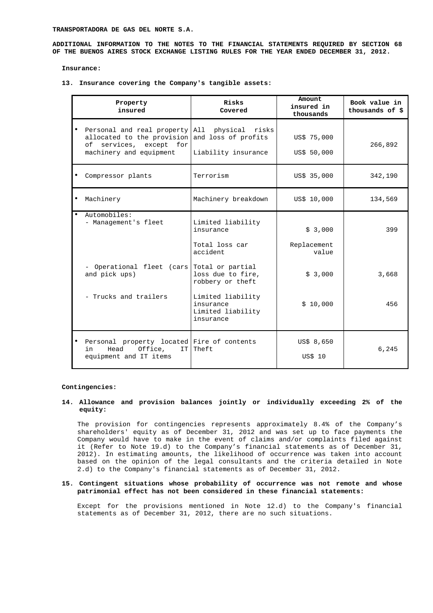**ADDITIONAL INFORMATION TO THE NOTES TO THE FINANCIAL STATEMENTS REQUIRED BY SECTION 68 OF THE BUENOS AIRES STOCK EXCHANGE LISTING RULES FOR THE YEAR ENDED DECEMBER 31, 2012.** 

**Insurance:** 

**13. Insurance covering the Company's tangible assets:** 

| Property<br>insured                                                                                                                                   | Risks<br>Covered                                                                                                                                            | Amount<br>insured in<br>thousands                      | Book value in<br>thousands of \$ |
|-------------------------------------------------------------------------------------------------------------------------------------------------------|-------------------------------------------------------------------------------------------------------------------------------------------------------------|--------------------------------------------------------|----------------------------------|
| Personal and real property All physical risks<br>allocated to the provision and loss of profits<br>of services, except for<br>machinery and equipment | Liability insurance                                                                                                                                         | US\$ 75,000<br>US\$ 50,000                             | 266,892                          |
| Compressor plants                                                                                                                                     | Terrorism                                                                                                                                                   | US\$ 35,000                                            | 342,190                          |
| Machinery                                                                                                                                             | Machinery breakdown                                                                                                                                         | US\$ 10,000                                            | 134,569                          |
| Automobiles:<br>- Management's fleet<br>- Operational fleet (cars)<br>and pick ups)<br>- Trucks and trailers                                          | Limited liability<br>insurance<br>Total loss car<br>accident<br>Total or partial<br>loss due to fire,<br>robbery or theft<br>Limited liability<br>insurance | \$3,000<br>Replacement<br>value<br>\$3,000<br>\$10,000 | 399<br>3,668<br>456              |
|                                                                                                                                                       | Limited liability<br>insurance                                                                                                                              |                                                        |                                  |
| Personal property located Fire of contents<br>Head<br>Office,<br>in<br>IT<br>equipment and IT items                                                   | Theft                                                                                                                                                       | US\$ 8,650<br>US\$ 10                                  | 6,245                            |

#### **Contingencies:**

## **14. Allowance and provision balances jointly or individually exceeding 2% of the equity:**

The provision for contingencies represents approximately 8.4% of the Company's shareholders' equity as of December 31, 2012 and was set up to face payments the Company would have to make in the event of claims and/or complaints filed against it (Refer to Note 19.d) to the Company's financial statements as of December 31, 2012). In estimating amounts, the likelihood of occurrence was taken into account based on the opinion of the legal consultants and the criteria detailed in Note 2.d) to the Company's financial statements as of December 31, 2012.

## **15. Contingent situations whose probability of occurrence was not remote and whose patrimonial effect has not been considered in these financial statements:**

Except for the provisions mentioned in Note 12.d) to the Company's financial statements as of December 31, 2012, there are no such situations.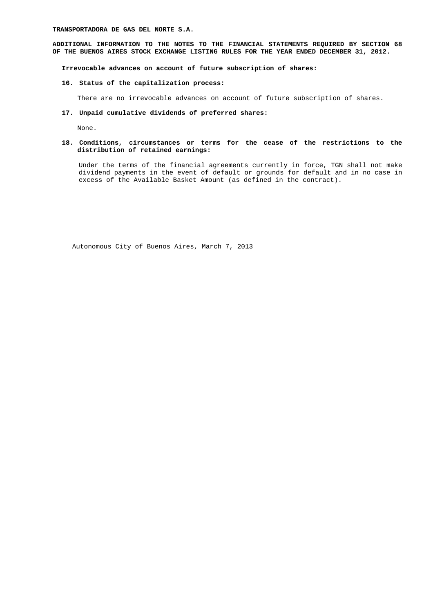**TRANSPORTADORA DE GAS DEL NORTE S.A.** 

**ADDITIONAL INFORMATION TO THE NOTES TO THE FINANCIAL STATEMENTS REQUIRED BY SECTION 68 OF THE BUENOS AIRES STOCK EXCHANGE LISTING RULES FOR THE YEAR ENDED DECEMBER 31, 2012.** 

**Irrevocable advances on account of future subscription of shares:** 

# **16. Status of the capitalization process:**

There are no irrevocable advances on account of future subscription of shares.

# **17. Unpaid cumulative dividends of preferred shares:**

None.

### **18. Conditions, circumstances or terms for the cease of the restrictions to the distribution of retained earnings:**

Under the terms of the financial agreements currently in force, TGN shall not make dividend payments in the event of default or grounds for default and in no case in excess of the Available Basket Amount (as defined in the contract).

Autonomous City of Buenos Aires, March 7, 2013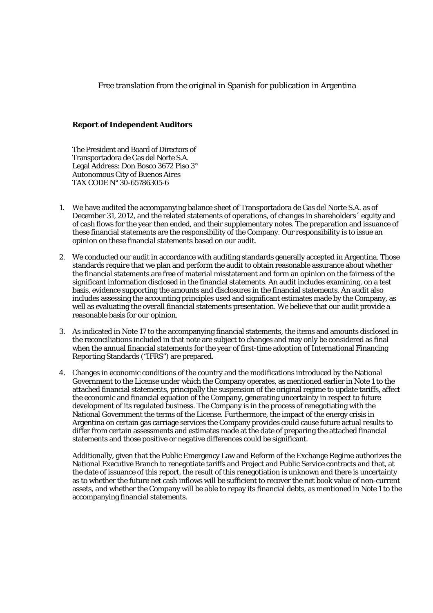Free translation from the original in Spanish for publication in Argentina

# **Report of Independent Auditors**

The President and Board of Directors of Transportadora de Gas del Norte S.A. Legal Address: Don Bosco 3672 Piso 3° Autonomous City of Buenos Aires TAX CODE N° 30-65786305-6

- 1. We have audited the accompanying balance sheet of Transportadora de Gas del Norte S.A. as of December 31, 2012, and the related statements of operations, of changes in shareholders´ equity and of cash flows for the year then ended, and their supplementary notes. The preparation and issuance of these financial statements are the responsibility of the Company. Our responsibility is to issue an opinion on these financial statements based on our audit.
- 2. We conducted our audit in accordance with auditing standards generally accepted in Argentina. Those standards require that we plan and perform the audit to obtain reasonable assurance about whether the financial statements are free of material misstatement and form an opinion on the fairness of the significant information disclosed in the financial statements. An audit includes examining, on a test basis, evidence supporting the amounts and disclosures in the financial statements. An audit also includes assessing the accounting principles used and significant estimates made by the Company, as well as evaluating the overall financial statements presentation. We believe that our audit provide a reasonable basis for our opinion.
- 3. As indicated in Note 17 to the accompanying financial statements, the items and amounts disclosed in the reconciliations included in that note are subject to changes and may only be considered as final when the annual financial statements for the year of first-time adoption of International Financing Reporting Standards ("IFRS") are prepared.
- 4. Changes in economic conditions of the country and the modifications introduced by the National Government to the License under which the Company operates, as mentioned earlier in Note 1 to the attached financial statements, principally the suspension of the original regime to update tariffs, affect the economic and financial equation of the Company, generating uncertainty in respect to future development of its regulated business. The Company is in the process of renegotiating with the National Government the terms of the License. Furthermore, the impact of the energy crisis in Argentina on certain gas carriage services the Company provides could cause future actual results to differ from certain assessments and estimates made at the date of preparing the attached financial statements and those positive or negative differences could be significant.

Additionally, given that the Public Emergency Law and Reform of the Exchange Regime authorizes the National Executive Branch to renegotiate tariffs and Project and Public Service contracts and that, at the date of issuance of this report, the result of this renegotiation is unknown and there is uncertainty as to whether the future net cash inflows will be sufficient to recover the net book value of non-current assets, and whether the Company will be able to repay its financial debts, as mentioned in Note 1 to the accompanying financial statements.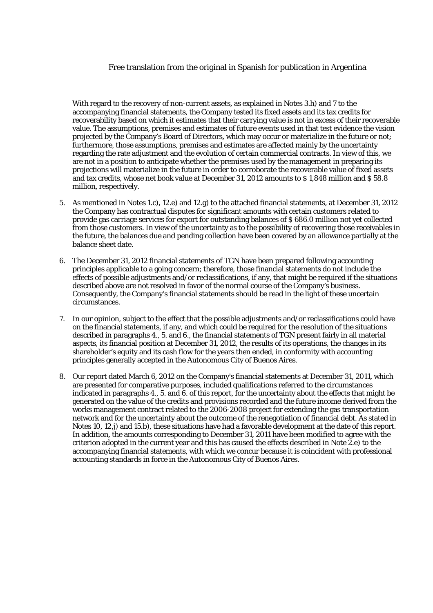# Free translation from the original in Spanish for publication in Argentina

With regard to the recovery of non-current assets, as explained in Notes 3.h) and 7 to the accompanying financial statements, the Company tested its fixed assets and its tax credits for recoverability based on which it estimates that their carrying value is not in excess of their recoverable value. The assumptions, premises and estimates of future events used in that test evidence the vision projected by the Company's Board of Directors, which may occur or materialize in the future or not; furthermore, those assumptions, premises and estimates are affected mainly by the uncertainty regarding the rate adjustment and the evolution of certain commercial contracts. In view of this, we are not in a position to anticipate whether the premises used by the management in preparing its projections will materialize in the future in order to corroborate the recoverable value of fixed assets and tax credits, whose net book value at December 31, 2012 amounts to \$ 1,848 million and \$ 58.8 million, respectively.

- 5. As mentioned in Notes 1.c), 12.e) and 12.g) to the attached financial statements, at December 31, 2012 the Company has contractual disputes for significant amounts with certain customers related to provide gas carriage services for export for outstanding balances of \$ 686.0 million not yet collected from those customers. In view of the uncertainty as to the possibility of recovering those receivables in the future, the balances due and pending collection have been covered by an allowance partially at the balance sheet date.
- 6. The December 31, 2012 financial statements of TGN have been prepared following accounting principles applicable to a going concern; therefore, those financial statements do not include the effects of possible adjustments and/or reclassifications, if any, that might be required if the situations described above are not resolved in favor of the normal course of the Company's business. Consequently, the Company's financial statements should be read in the light of these uncertain circumstances.
- 7. In our opinion, subject to the effect that the possible adjustments and/or reclassifications could have on the financial statements, if any, and which could be required for the resolution of the situations described in paragraphs 4., 5. and 6., the financial statements of TGN present fairly in all material aspects, its financial position at December 31, 2012, the results of its operations, the changes in its shareholder's equity and its cash flow for the years then ended, in conformity with accounting principles generally accepted in the Autonomous City of Buenos Aires.
- 8. Our report dated March 6, 2012 on the Company's financial statements at December 31, 2011, which are presented for comparative purposes, included qualifications referred to the circumstances indicated in paragraphs 4., 5. and 6. of this report, for the uncertainty about the effects that might be generated on the value of the credits and provisions recorded and the future income derived from the works management contract related to the 2006-2008 project for extending the gas transportation network and for the uncertainty about the outcome of the renegotiation of financial debt. As stated in Notes 10, 12.j) and 15.b), these situations have had a favorable development at the date of this report. In addition, the amounts corresponding to December 31, 2011 have been modified to agree with the criterion adopted in the current year and this has caused the effects described in Note 2.e) to the accompanying financial statements, with which we concur because it is coincident with professional accounting standards in force in the Autonomous City of Buenos Aires.